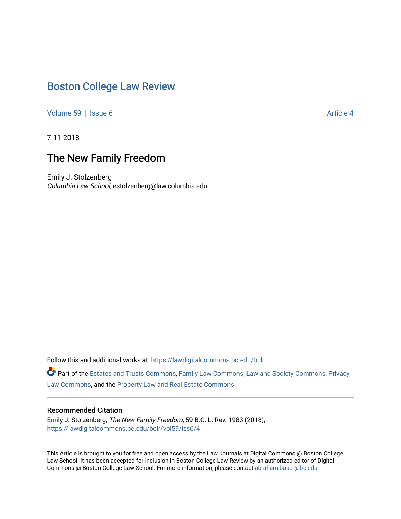## [Boston College Law Review](https://lawdigitalcommons.bc.edu/bclr)

[Volume 59](https://lawdigitalcommons.bc.edu/bclr/vol59) Setsue 6 [Article 4](https://lawdigitalcommons.bc.edu/bclr/vol59/iss6/4) Article 4 Article 4 Article 4 Article 4 Article 4 Article 4

7-11-2018

## The New Family Freedom

Emily J. Stolzenberg Columbia Law School, estolzenberg@law.columbia.edu

Follow this and additional works at: [https://lawdigitalcommons.bc.edu/bclr](https://lawdigitalcommons.bc.edu/bclr?utm_source=lawdigitalcommons.bc.edu%2Fbclr%2Fvol59%2Fiss6%2F4&utm_medium=PDF&utm_campaign=PDFCoverPages) 

Part of the [Estates and Trusts Commons,](http://network.bepress.com/hgg/discipline/906?utm_source=lawdigitalcommons.bc.edu%2Fbclr%2Fvol59%2Fiss6%2F4&utm_medium=PDF&utm_campaign=PDFCoverPages) [Family Law Commons,](http://network.bepress.com/hgg/discipline/602?utm_source=lawdigitalcommons.bc.edu%2Fbclr%2Fvol59%2Fiss6%2F4&utm_medium=PDF&utm_campaign=PDFCoverPages) [Law and Society Commons](http://network.bepress.com/hgg/discipline/853?utm_source=lawdigitalcommons.bc.edu%2Fbclr%2Fvol59%2Fiss6%2F4&utm_medium=PDF&utm_campaign=PDFCoverPages), [Privacy](http://network.bepress.com/hgg/discipline/1234?utm_source=lawdigitalcommons.bc.edu%2Fbclr%2Fvol59%2Fiss6%2F4&utm_medium=PDF&utm_campaign=PDFCoverPages)  [Law Commons,](http://network.bepress.com/hgg/discipline/1234?utm_source=lawdigitalcommons.bc.edu%2Fbclr%2Fvol59%2Fiss6%2F4&utm_medium=PDF&utm_campaign=PDFCoverPages) and the [Property Law and Real Estate Commons](http://network.bepress.com/hgg/discipline/897?utm_source=lawdigitalcommons.bc.edu%2Fbclr%2Fvol59%2Fiss6%2F4&utm_medium=PDF&utm_campaign=PDFCoverPages) 

#### Recommended Citation

Emily J. Stolzenberg, The New Family Freedom, 59 B.C. L. Rev. 1983 (2018), [https://lawdigitalcommons.bc.edu/bclr/vol59/iss6/4](https://lawdigitalcommons.bc.edu/bclr/vol59/iss6/4?utm_source=lawdigitalcommons.bc.edu%2Fbclr%2Fvol59%2Fiss6%2F4&utm_medium=PDF&utm_campaign=PDFCoverPages) 

This Article is brought to you for free and open access by the Law Journals at Digital Commons @ Boston College Law School. It has been accepted for inclusion in Boston College Law Review by an authorized editor of Digital Commons @ Boston College Law School. For more information, please contact [abraham.bauer@bc.edu.](mailto:abraham.bauer@bc.edu)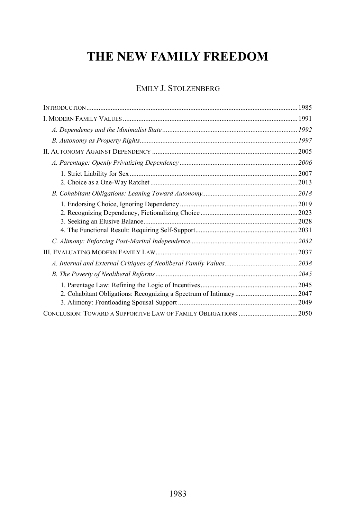# **THE NEW FAMILY FREEDOM**

### EMILY J. STOLZENBERG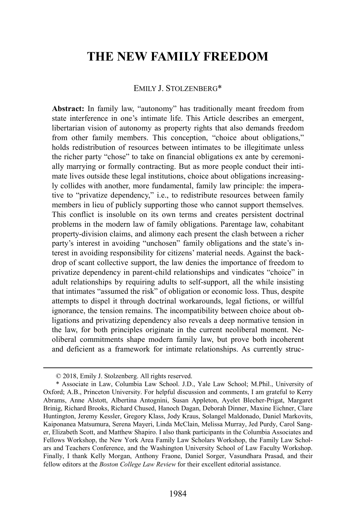## **THE NEW FAMILY FREEDOM**

#### EMILY J. STOLZENBERG\*

**Abstract:** In family law, "autonomy" has traditionally meant freedom from state interference in one's intimate life. This Article describes an emergent, libertarian vision of autonomy as property rights that also demands freedom from other family members. This conception, "choice about obligations," holds redistribution of resources between intimates to be illegitimate unless the richer party "chose" to take on financial obligations ex ante by ceremonially marrying or formally contracting. But as more people conduct their intimate lives outside these legal institutions, choice about obligations increasingly collides with another, more fundamental, family law principle: the imperative to "privatize dependency," i.e., to redistribute resources between family members in lieu of publicly supporting those who cannot support themselves. This conflict is insoluble on its own terms and creates persistent doctrinal problems in the modern law of family obligations. Parentage law, cohabitant property-division claims, and alimony each present the clash between a richer party's interest in avoiding "unchosen" family obligations and the state's interest in avoiding responsibility for citizens' material needs. Against the backdrop of scant collective support, the law denies the importance of freedom to privatize dependency in parent-child relationships and vindicates "choice" in adult relationships by requiring adults to self-support, all the while insisting that intimates "assumed the risk" of obligation or economic loss. Thus, despite attempts to dispel it through doctrinal workarounds, legal fictions, or willful ignorance, the tension remains. The incompatibility between choice about obligations and privatizing dependency also reveals a deep normative tension in the law, for both principles originate in the current neoliberal moment. Neoliberal commitments shape modern family law, but prove both incoherent and deficient as a framework for intimate relationships. As currently struc-

 <sup>© 2018,</sup> Emily J. Stolzenberg. All rights reserved.

<sup>\*</sup> Associate in Law, Columbia Law School. J.D., Yale Law School; M.Phil., University of Oxford; A.B., Princeton University. For helpful discussion and comments, I am grateful to Kerry Abrams, Anne Alstott, Albertina Antognini, Susan Appleton, Ayelet Blecher-Prigat, Margaret Brinig, Richard Brooks, Richard Chused, Hanoch Dagan, Deborah Dinner, Maxine Eichner, Clare Huntington, Jeremy Kessler, Gregory Klass, Jody Kraus, Solangel Maldonado, Daniel Markovits, Kaiponanea Matsumura, Serena Mayeri, Linda McClain, Melissa Murray, Jed Purdy, Carol Sanger, Elizabeth Scott, and Matthew Shapiro. I also thank participants in the Columbia Associates and Fellows Workshop, the New York Area Family Law Scholars Workshop, the Family Law Scholars and Teachers Conference, and the Washington University School of Law Faculty Workshop. Finally, I thank Kelly Morgan, Anthony Fraone, Daniel Sorger, Vasundhara Prasad, and their fellow editors at the *Boston College Law Review* for their excellent editorial assistance.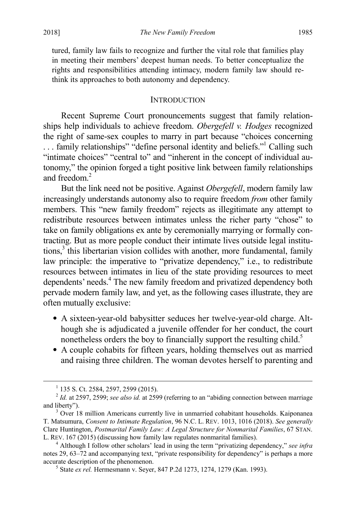tured, family law fails to recognize and further the vital role that families play in meeting their members' deepest human needs. To better conceptualize the rights and responsibilities attending intimacy, modern family law should rethink its approaches to both autonomy and dependency.

#### **INTRODUCTION**

Recent Supreme Court pronouncements suggest that family relationships help individuals to achieve freedom. *Obergefell v. Hodges* recognized the right of same-sex couples to marry in part because "choices concerning ... family relationships" "define personal identity and beliefs." Calling such "intimate choices" "central to" and "inherent in the concept of individual autonomy," the opinion forged a tight positive link between family relationships and freedom.<sup>2</sup>

But the link need not be positive. Against *Obergefell*, modern family law increasingly understands autonomy also to require freedom *from* other family members. This "new family freedom" rejects as illegitimate any attempt to redistribute resources between intimates unless the richer party "chose" to take on family obligations ex ante by ceremonially marrying or formally contracting. But as more people conduct their intimate lives outside legal institu $tions<sub>i</sub><sup>3</sup>$  this libertarian vision collides with another, more fundamental, family law principle: the imperative to "privatize dependency," i.e., to redistribute resources between intimates in lieu of the state providing resources to meet dependents' needs.4 The new family freedom and privatized dependency both pervade modern family law, and yet, as the following cases illustrate, they are often mutually exclusive:

- A sixteen-year-old babysitter seduces her twelve-year-old charge. Although she is adjudicated a juvenile offender for her conduct, the court nonetheless orders the boy to financially support the resulting child.<sup>5</sup>
- A couple cohabits for fifteen years, holding themselves out as married and raising three children. The woman devotes herself to parenting and

 $1$  135 S. Ct. 2584, 2597, 2599 (2015).

<sup>&</sup>lt;sup>2</sup> *Id.* at 2597, 2599; *see also id.* at 2599 (referring to an "abiding connection between marriage and liberty").

 $3$  Over 18 million Americans currently live in unmarried cohabitant households. Kaiponanea T. Matsumura, *Consent to Intimate Regulation*, 96 N.C. L. REV. 1013, 1016 (2018). *See generally* Clare Huntington, *Postmarital Family Law: A Legal Structure for Nonmarital Families*, 67 STAN. L. REV. 167 (2015) (discussing how family law regulates nonmarital families). <sup>4</sup> Although I follow other scholars' lead in using the term "privatizing dependency," *see infra*

notes [29,](#page-7-0) [63](#page-13-0)[–72](#page-14-0) and accompanying text, "private responsibility for dependency" is perhaps a more accurate description of the phenomenon. <sup>5</sup> State *ex rel.* Hermesmann v. Seyer, 847 P.2d 1273, 1274, 1279 (Kan. 1993).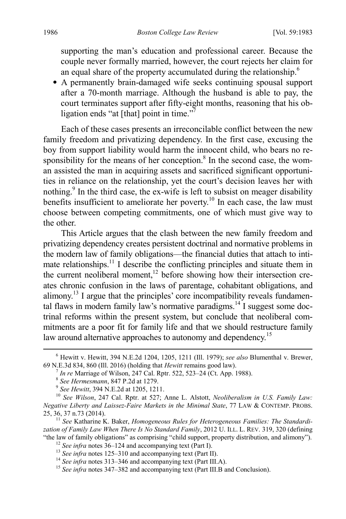supporting the man's education and professional career. Because the couple never formally married, however, the court rejects her claim for an equal share of the property accumulated during the relationship.<sup>6</sup>

• A permanently brain-damaged wife seeks continuing spousal support after a 70-month marriage. Although the husband is able to pay, the court terminates support after fifty-eight months, reasoning that his obligation ends "at [that] point in time." $\bar{7}$ 

Each of these cases presents an irreconcilable conflict between the new family freedom and privatizing dependency. In the first case, excusing the boy from support liability would harm the innocent child, who bears no responsibility for the means of her conception. $8 \text{ In the second case, the worm-}$ an assisted the man in acquiring assets and sacrificed significant opportunities in reliance on the relationship, yet the court's decision leaves her with nothing. $9$  In the third case, the ex-wife is left to subsist on meager disability benefits insufficient to ameliorate her poverty.<sup>10</sup> In each case, the law must choose between competing commitments, one of which must give way to the other.

<span id="page-4-1"></span><span id="page-4-0"></span>This Article argues that the clash between the new family freedom and privatizing dependency creates persistent doctrinal and normative problems in the modern law of family obligations—the financial duties that attach to intimate relationships.<sup>11</sup> I describe the conflicting principles and situate them in the current neoliberal moment,<sup>12</sup> before showing how their intersection creates chronic confusion in the laws of parentage, cohabitant obligations, and alimony.13 I argue that the principles' core incompatibility reveals fundamental flaws in modern family law's normative paradigms.<sup>14</sup> I suggest some doctrinal reforms within the present system, but conclude that neoliberal commitments are a poor fit for family life and that we should restructure family law around alternative approaches to autonomy and dependency.<sup>15</sup>

zation of Family *Law When There Is No Standard Family*, 2012 U. ILL. L. REV. 319, 320 (defining "the law of family obligations" as comprising "child support, property distribution, and alimony").

 <sup>6</sup> Hewitt v. Hewitt, 394 N.E.2d 1204, 1205, 1211 (Ill. 1979); *see also* Blumenthal v. Brewer,

<sup>&</sup>lt;sup>7</sup> In re Marriage of Wilson, 247 Cal. Rptr. 522, 523–24 (Ct. App. 1988).<br>
<sup>8</sup> See Hermesmann, 847 P.2d at 1279.<br>
<sup>9</sup> See Hewitt, 394 N.E.2d at 1205, 1211.<br>
<sup>10</sup> See Wilson, 247 Cal. Rptr. at 527; Anne L. Alstott, *Neolib Negative Liberty and Laissez-Faire Markets in the Minimal State*, 77 LAW & CONTEMP. PROBS. 25, 36, 37 n.73 (2014). 11 *See* Katharine K. Baker, *Homogeneous Rules for Heterogeneous Families: The Standardi-*

<sup>&</sup>lt;sup>12</sup> See infra note[s 36–](#page-10-0)[124](#page-23-0) and accompanying text (Part I).<br><sup>13</sup> See infra note[s 125](#page-23-1)[–310](#page-55-0) and accompanying text (Part II).<br><sup>14</sup> See infra note[s 313](#page-57-0)[–346](#page-63-0) and accompanying text (Part III.A).<br><sup>15</sup> See infra note[s 347](#page-63-1)[–382](#page-70-0) and a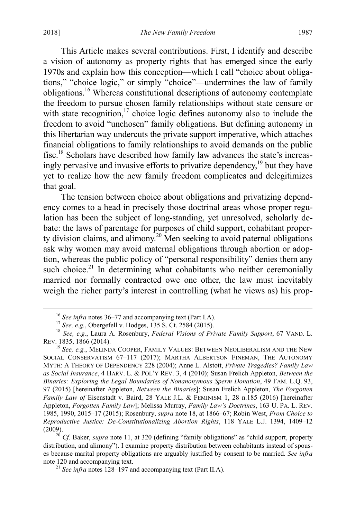This Article makes several contributions. First, I identify and describe a vision of autonomy as property rights that has emerged since the early 1970s and explain how this conception—which I call "choice about obligations," "choice logic," or simply "choice"—undermines the law of family obligations.16 Whereas constitutional descriptions of autonomy contemplate the freedom to pursue chosen family relationships without state censure or with state recognition, $17$  choice logic defines autonomy also to include the freedom to avoid "unchosen" family obligations. But defining autonomy in this libertarian way undercuts the private support imperative, which attaches financial obligations to family relationships to avoid demands on the public fisc.18 Scholars have described how family law advances the state's increasingly pervasive and invasive efforts to privatize dependency,<sup> $19$ </sup> but they have yet to realize how the new family freedom complicates and delegitimizes that goal.

<span id="page-5-1"></span><span id="page-5-0"></span>The tension between choice about obligations and privatizing dependency comes to a head in precisely those doctrinal areas whose proper regulation has been the subject of long-standing, yet unresolved, scholarly debate: the laws of parentage for purposes of child support, cohabitant property division claims, and alimony.<sup>20</sup> Men seeking to avoid paternal obligations ask why women may avoid maternal obligations through abortion or adoption, whereas the public policy of "personal responsibility" denies them any such choice.<sup>21</sup> In determining what cohabitants who neither ceremonially married nor formally contracted owe one other, the law must inevitably weigh the richer party's interest in controlling (what he views as) his prop-

<sup>&</sup>lt;sup>16</sup> See infra note[s 36–](#page-10-0)[77](#page-15-0) and accompanying text (Part I.A).<br><sup>17</sup> See, e.g., Obergefell v. Hodges, 135 S. Ct. 2584 (2015).<br><sup>18</sup> See, e.g., Laura A. Rosenbury, *Federal Visions of Private Family Support*, 67 VAND. L. REV. 1835, 1866 (2014).

<sup>&</sup>lt;sup>19</sup> See, e.g., MELINDA COOPER, FAMILY VALUES: BETWEEN NEOLIBERALISM AND THE NEW SOCIAL CONSERVATISM 67–117 (2017); MARTHA ALBERTSON FINEMAN, THE AUTONOMY MYTH: A THEORY OF DEPENDENCY 228 (2004); Anne L. Alstott, *Private Tragedies? Family Law as Social Insurance*, 4 HARV. L. & POL'Y REV. 3, 4 (2010); Susan Frelich Appleton, *Between the Binaries: Exploring the Legal Boundaries of Nonanonymous Sperm Donation*, 49 FAM. L.Q. 93, 97 (2015) [hereinafter Appleton, *Between the Binaries*]; Susan Frelich Appleton, *The Forgotten Family Law of* Eisenstadt v. Baird, 28 YALE J.L. & FEMINISM 1, 28 n.185 (2016) [hereinafter Appleton, *Forgotten Family Law*]; Melissa Murray, *Family Law's Doctrines*, 163 U. PA. L. REV. 1985, 1990, 2015–17 (2015); Rosenbury, *supra* not[e 18,](#page-5-0) at 1866–67; Robin West, *From Choice to Reproductive Justice: De-Constitutionalizing Abortion Rights*, 118 YALE L.J. 1394, 1409–12 (2009). <sup>20</sup> *Cf.* Baker, *supra* not[e 11,](#page-4-0) at 320 (defining "family obligations" as "child support, property

distribution, and alimony"). I examine property distribution between cohabitants instead of spouses because marital property obligations are arguably justified by consent to be married. *See infra* note [120](#page-22-0) and accompanying text. <sup>21</sup> *See infra* note[s 128](#page-25-0)[–197](#page-35-0) and accompanying text (Part II.A).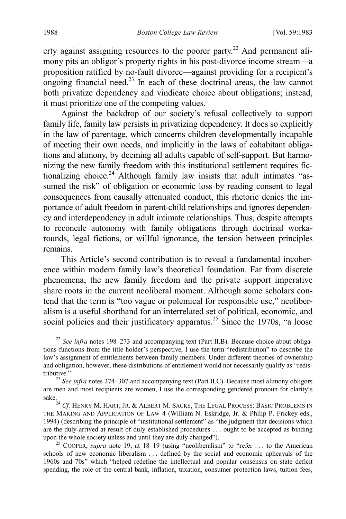<span id="page-6-1"></span>erty against assigning resources to the poorer party.<sup>22</sup> And permanent alimony pits an obligor's property rights in his post-divorce income stream—a proposition ratified by no-fault divorce—against providing for a recipient's ongoing financial need.<sup>23</sup> In each of these doctrinal areas, the law cannot both privatize dependency and vindicate choice about obligations; instead, it must prioritize one of the competing values.

Against the backdrop of our society's refusal collectively to support family life, family law persists in privatizing dependency. It does so explicitly in the law of parentage, which concerns children developmentally incapable of meeting their own needs, and implicitly in the laws of cohabitant obligations and alimony, by deeming all adults capable of self-support. But harmonizing the new family freedom with this institutional settlement requires fictionalizing choice.<sup>24</sup> Although family law insists that adult intimates "assumed the risk" of obligation or economic loss by reading consent to legal consequences from causally attenuated conduct, this rhetoric denies the importance of adult freedom in parent-child relationships and ignores dependency and interdependency in adult intimate relationships. Thus, despite attempts to reconcile autonomy with family obligations through doctrinal workarounds, legal fictions, or willful ignorance, the tension between principles remains.

This Article's second contribution is to reveal a fundamental incoherence within modern family law's theoretical foundation. Far from discrete phenomena, the new family freedom and the private support imperative share roots in the current neoliberal moment. Although some scholars contend that the term is "too vague or polemical for responsible use," neoliberalism is a useful shorthand for an interrelated set of political, economic, and social policies and their justificatory apparatus.<sup>25</sup> Since the 1970s, "a loose

<span id="page-6-0"></span><sup>&</sup>lt;sup>22</sup> *See infra* notes [198](#page-36-0)[–273](#page-49-0) and accompanying text (Part II.B). Because choice about obligations functions from the title holder's perspective, I use the term "redistribution" to describe the law's assignment of entitlements between family members. Under different theories of ownership and obligation, however, these distributions of entitlement would not necessarily qualify as "redis-

tributive." <sup>23</sup> *See infra* note[s 274](#page-50-0)[–307](#page-55-1) and accompanying text (Part II.C). Because most alimony obligors are men and most recipients are women, I use the corresponding gendered pronoun for clarity's

sake.<br><sup>24</sup> *Cf.* HENRY M. HART, JR. & ALBERT M. SACKS, THE LEGAL PROCESS: BASIC PROBLEMS IN THE MAKING AND APPLICATION OF LAW 4 (William N. Eskridge, Jr. & Philip P. Frickey eds., 1994) (describing the principle of "institutional settlement" as "the judgment that decisions which are the duly arrived at result of duly established procedures . . . ought to be accepted as binding upon the whole society unless and until they are duly changed"). 25 COOPER, *supra* note [19,](#page-5-1) at 18–19 (using "neoliberalism" to "refer . . . to the American

schools of new economic liberalism . . . defined by the social and economic upheavals of the 1960s and 70s" which "helped redefine the intellectual and popular consensus on state deficit spending, the role of the central bank, inflation, taxation, consumer protection laws, tuition fees,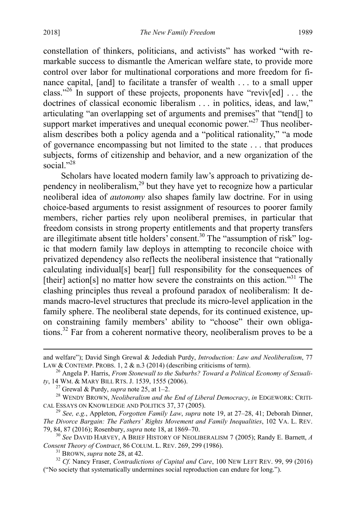<span id="page-7-2"></span>constellation of thinkers, politicians, and activists" has worked "with remarkable success to dismantle the American welfare state, to provide more control over labor for multinational corporations and more freedom for finance capital, [and] to facilitate a transfer of wealth . . . to a small upper class."<sup>26</sup> In support of these projects, proponents have "reviv[ed] ... the doctrines of classical economic liberalism . . . in politics, ideas, and law," articulating "an overlapping set of arguments and premises" that "tend[] to support market imperatives and unequal economic power."<sup>27</sup> Thus neoliberalism describes both a policy agenda and a "political rationality," "a mode of governance encompassing but not limited to the state . . . that produces subjects, forms of citizenship and behavior, and a new organization of the social."<sup>28</sup>

<span id="page-7-3"></span><span id="page-7-1"></span><span id="page-7-0"></span>Scholars have located modern family law's approach to privatizing dependency in neoliberalism, $^{29}$  but they have yet to recognize how a particular neoliberal idea of *autonomy* also shapes family law doctrine. For in using choice-based arguments to resist assignment of resources to poorer family members, richer parties rely upon neoliberal premises, in particular that freedom consists in strong property entitlements and that property transfers are illegitimate absent title holders' consent.<sup>30</sup> The "assumption of risk" logic that modern family law deploys in attempting to reconcile choice with privatized dependency also reflects the neoliberal insistence that "rationally calculating individual[s] bear[] full responsibility for the consequences of [their] action[s] no matter how severe the constraints on this action."<sup>31</sup> The clashing principles thus reveal a profound paradox of neoliberalism: It demands macro-level structures that preclude its micro-level application in the family sphere. The neoliberal state depends, for its continued existence, upon constraining family members' ability to "choose" their own obligations.<sup>32</sup> Far from a coherent normative theory, neoliberalism proves to be a

and welfare"); David Singh Grewal & Jedediah Purdy, *Introduction: Law and Neoliberalism*, 77

LAW & CONTEMP. PROBS. 1, 2 & n.3 (2014) (describing criticisms of term).<br><sup>26</sup> Angela P. Harris, *From Stonewall to the Suburbs? Toward a Political Economy of Sexuali-ty*, 14 WM. & MARY BILL RTS. J. 1539, 1555 (2006).

<sup>&</sup>lt;sup>27</sup> Grewal & Purdy, *supra* not[e 25,](#page-6-0) at 1–2.<br><sup>28</sup> WENDY BROWN, *Neoliberalism and the End of Liberal Democracy*, *in* EDGEWORK: CRITI-<br>CAL ESSAYS ON KNOWLEDGE AND POLITICS 37, 37 (2005).

<sup>&</sup>lt;sup>29</sup> See, e.g., Appleton, *Forgotten Family Law*, *supra* not[e 19,](#page-5-1) at 27–28, 41; Deborah Dinner, *The Divorce Bargain: The Fathers' Rights Movement and Family Inequalities*, 102 VA. L. REV.

<sup>&</sup>lt;sup>30</sup> See DAVID HARVEY, A BRIEF HISTORY OF NEOLIBERALISM 7 (2005); Randy E. Barnett, *A* Consent Theory of Contract, 86 COLUM. L. REV. 269, 299 (1986).

<sup>&</sup>lt;sup>31</sup> BROWN, *supra* not[e 28,](#page-7-1) at 42. **32** *Cf.* Nancy Fraser, *Contradictions of Capital and Care*, 100 NEW LEFT REV. 99, 99 (2016) ("No society that systematically undermines social reproduction can endure for long.").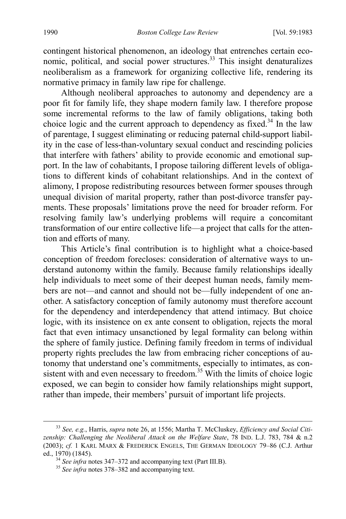<span id="page-8-0"></span>contingent historical phenomenon, an ideology that entrenches certain economic, political, and social power structures.<sup>33</sup> This insight denaturalizes neoliberalism as a framework for organizing collective life, rendering its normative primacy in family law ripe for challenge.

Although neoliberal approaches to autonomy and dependency are a poor fit for family life, they shape modern family law. I therefore propose some incremental reforms to the law of family obligations, taking both choice logic and the current approach to dependency as fixed.<sup>34</sup> In the law of parentage, I suggest eliminating or reducing paternal child-support liability in the case of less-than-voluntary sexual conduct and rescinding policies that interfere with fathers' ability to provide economic and emotional support. In the law of cohabitants, I propose tailoring different levels of obligations to different kinds of cohabitant relationships. And in the context of alimony, I propose redistributing resources between former spouses through unequal division of marital property, rather than post-divorce transfer payments. These proposals' limitations prove the need for broader reform. For resolving family law's underlying problems will require a concomitant transformation of our entire collective life—a project that calls for the attention and efforts of many.

This Article's final contribution is to highlight what a choice-based conception of freedom forecloses: consideration of alternative ways to understand autonomy within the family. Because family relationships ideally help individuals to meet some of their deepest human needs, family members are not—and cannot and should not be—fully independent of one another. A satisfactory conception of family autonomy must therefore account for the dependency and interdependency that attend intimacy. But choice logic, with its insistence on ex ante consent to obligation, rejects the moral fact that even intimacy unsanctioned by legal formality can belong within the sphere of family justice. Defining family freedom in terms of individual property rights precludes the law from embracing richer conceptions of autonomy that understand one's commitments, especially to intimates, as consistent with and even necessary to freedom.<sup>35</sup> With the limits of choice logic exposed, we can begin to consider how family relationships might support, rather than impede, their members' pursuit of important life projects.

 <sup>33</sup> *See, e.g.*, Harris, *supra* not[e 26,](#page-7-2) at 1556; Martha T. McCluskey, *Efficiency and Social Citizenship: Challenging the Neoliberal Attack on the Welfare State*, 78 IND. L.J. 783, 784 & n.2 (2003); *cf.* 1 KARL MARX & FREDERICK ENGELS, THE GERMAN IDEOLOGY 79–86 (C.J. Arthur ed., 1970) (1845). <sup>34</sup> *See infra* note[s 347](#page-63-1)[–372](#page-68-0) and accompanying text (Part III.B). <sup>35</sup> *See infra* note[s 378](#page-69-0)[–382](#page-70-0) and accompanying text.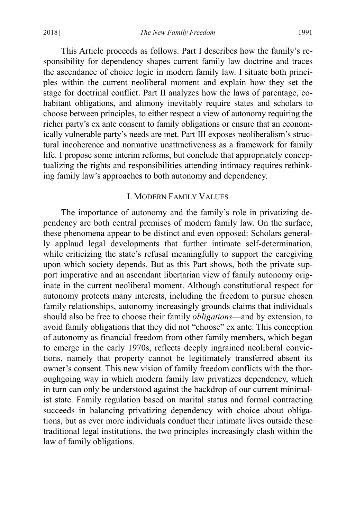This Article proceeds as follows. Part I describes how the family's responsibility for dependency shapes current family law doctrine and traces the ascendance of choice logic in modern family law. I situate both principles within the current neoliberal moment and explain how they set the stage for doctrinal conflict. Part II analyzes how the laws of parentage, cohabitant obligations, and alimony inevitably require states and scholars to choose between principles, to either respect a view of autonomy requiring the richer party's ex ante consent to family obligations or ensure that an economically vulnerable party's needs are met. Part III exposes neoliberalism's structural incoherence and normative unattractiveness as a framework for family life. I propose some interim reforms, but conclude that appropriately conceptualizing the rights and responsibilities attending intimacy requires rethinking family law's approaches to both autonomy and dependency.

#### I. MODERN FAMILY VALUES

The importance of autonomy and the family's role in privatizing dependency are both central premises of modern family law. On the surface, these phenomena appear to be distinct and even opposed: Scholars generally applaud legal developments that further intimate self-determination, while criticizing the state's refusal meaningfully to support the caregiving upon which society depends. But as this Part shows, both the private support imperative and an ascendant libertarian view of family autonomy originate in the current neoliberal moment. Although constitutional respect for autonomy protects many interests, including the freedom to pursue chosen family relationships, autonomy increasingly grounds claims that individuals should also be free to choose their family *obligations*—and by extension, to avoid family obligations that they did not "choose" ex ante. This conception of autonomy as financial freedom from other family members, which began to emerge in the early 1970s, reflects deeply ingrained neoliberal convictions, namely that property cannot be legitimately transferred absent its owner's consent. This new vision of family freedom conflicts with the thoroughgoing way in which modern family law privatizes dependency, which in turn can only be understood against the backdrop of our current minimalist state. Family regulation based on marital status and formal contracting succeeds in balancing privatizing dependency with choice about obligations, but as ever more individuals conduct their intimate lives outside these traditional legal institutions, the two principles increasingly clash within the law of family obligations.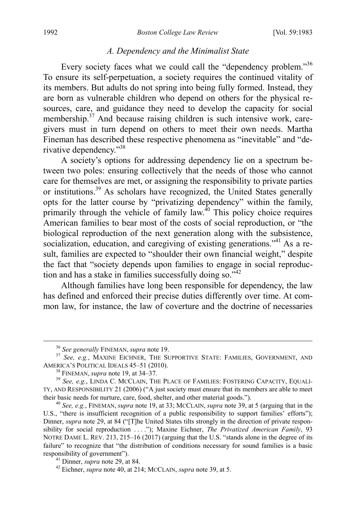#### <span id="page-10-0"></span>*A. Dependency and the Minimalist State*

Every society faces what we could call the "dependency problem."<sup>36</sup> To ensure its self-perpetuation, a society requires the continued vitality of its members. But adults do not spring into being fully formed. Instead, they are born as vulnerable children who depend on others for the physical resources, care, and guidance they need to develop the capacity for social membership.<sup>37</sup> And because raising children is such intensive work, caregivers must in turn depend on others to meet their own needs. Martha Fineman has described these respective phenomena as "inevitable" and "derivative dependency."38

<span id="page-10-2"></span><span id="page-10-1"></span>A society's options for addressing dependency lie on a spectrum between two poles: ensuring collectively that the needs of those who cannot care for themselves are met, or assigning the responsibility to private parties or institutions.<sup>39</sup> As scholars have recognized, the United States generally opts for the latter course by "privatizing dependency" within the family, primarily through the vehicle of family  $\overline{law}^{40}$  This policy choice requires American families to bear most of the costs of social reproduction, or "the biological reproduction of the next generation along with the subsistence, socialization, education, and caregiving of existing generations."<sup>41</sup> As a result, families are expected to "shoulder their own financial weight," despite the fact that "society depends upon families to engage in social reproduction and has a stake in families successfully doing so."<sup>42</sup>

Although families have long been responsible for dependency, the law has defined and enforced their precise duties differently over time. At common law, for instance, the law of coverture and the doctrine of necessaries

<sup>&</sup>lt;sup>36</sup> See generally FINEMAN, *supra* not[e 19.](#page-5-1)<br><sup>37</sup> See, e.g., MAXINE EICHNER, THE SUPPORTIVE STATE: FAMILIES, GOVERNMENT, AND AMERICA'S POLITICAL IDEALS 45–51 (2010).

<sup>&</sup>lt;sup>38</sup> FINEMAN, *supra* note [19,](#page-5-1) at 34–37.<br><sup>39</sup> *See, e.g.*, LINDA C. MCCLAIN, THE PLACE OF FAMILIES: FOSTERING CAPACITY, EQUALI-TY, AND RESPONSIBILITY 21 (2006) ("A just society must ensure that its members are able to meet

<sup>&</sup>lt;sup>40</sup> See, e.g., FINEMAN, *supra* not[e 19,](#page-5-1) at 33; MCCLAIN, *supra* not[e 39,](#page-10-1) at 5 (arguing that in the U.S., "there is insufficient recognition of a public responsibility to support families' efforts"); Dinner, *supra* note [29,](#page-7-0) at 84 ("[T]he United States tilts strongly in the direction of private responsibility for social reproduction . . . ."); Maxine Eichner, *The Privatized American Family*, 93 NOTRE DAME L. REV. 213, 215–16 (2017) (arguing that the U.S. "stands alone in the degree of its failure" to recognize that "the distribution of conditions necessary for sound families is a basic responsibility of government"). <sup>41</sup> Dinner, *supra* not[e 29,](#page-7-0) at 84. <sup>42</sup> Eichner, *supra* note [40,](#page-10-2) at 214; MCCLAIN, *supra* not[e 39,](#page-10-1) at 5.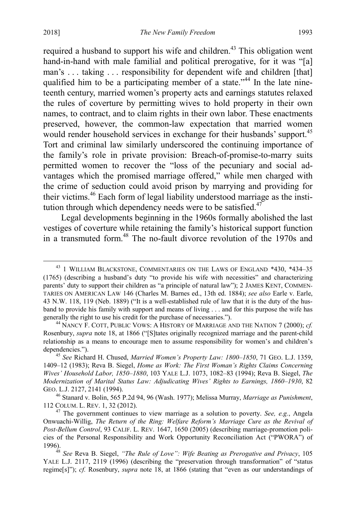required a husband to support his wife and children.<sup>43</sup> This obligation went hand-in-hand with male familial and political prerogative, for it was "[a] man's ... taking ... responsibility for dependent wife and children [that] qualified him to be a participating member of a state."<sup>44</sup> In the late nineteenth century, married women's property acts and earnings statutes relaxed the rules of coverture by permitting wives to hold property in their own names, to contract, and to claim rights in their own labor. These enactments preserved, however, the common-law expectation that married women would render household services in exchange for their husbands' support.<sup>45</sup> Tort and criminal law similarly underscored the continuing importance of the family's role in private provision: Breach-of-promise-to-marry suits permitted women to recover the "loss of the pecuniary and social advantages which the promised marriage offered," while men charged with the crime of seduction could avoid prison by marrying and providing for their victims.46 Each form of legal liability understood marriage as the institution through which dependency needs were to be satisfied. $47$ 

<span id="page-11-1"></span><span id="page-11-0"></span>Legal developments beginning in the 1960s formally abolished the last vestiges of coverture while retaining the family's historical support function in a transmuted form.<sup>48</sup> The no-fault divorce revolution of the 1970s and

<sup>&</sup>lt;sup>43</sup> 1 WILLIAM BLACKSTONE, COMMENTARIES ON THE LAWS OF ENGLAND \*430, \*434-35 (1765) (describing a husband's duty "to provide his wife with necessities" and characterizing parents' duty to support their children as "a principle of natural law"); 2 JAMES KENT, COMMEN-TARIES ON AMERICAN LAW 146 (Charles M. Barnes ed., 13th ed. 1884); *see also* Earle v. Earle, 43 N.W. 118, 119 (Neb. 1889) ("It is a well-established rule of law that it is the duty of the husband to provide his family with support and means of living . . . and for this purpose the wife has generally the right to use his credit for the purchase of necessaries.").

<sup>&</sup>lt;sup>44</sup> NANCY F. COTT, PUBLIC VOWS: A HISTORY OF MARRIAGE AND THE NATION 7 (2000); *cf.* Rosenbury, *supra* note [18,](#page-5-0) at 1866 ("[S]tates originally recognized marriage and the parent-child relationship as a means to encourage men to assume responsibility for women's and children's dependencies."). <sup>45</sup> *See* Richard H. Chused, *Married Women's Property Law: 1800–1850*, 71 GEO. L.J. 1359,

<sup>1409–12 (1983);</sup> Reva B. Siegel, *Home as Work: The First Woman's Rights Claims Concerning Wives' Household Labor, 1850–1880*, 103 YALE L.J. 1073, 1082–83 (1994); Reva B. Siegel, *The Modernization of Marital Status Law: Adjudicating Wives' Rights to Earnings, 1860–1930*, 82 GEO. L.J. 2127, 2141 (1994).

<sup>46</sup> Stanard v. Bolin, 565 P.2d 94, 96 (Wash. 1977); Melissa Murray, *Marriage as Punishment*,

 $17$ <sup>47</sup> The government continues to view marriage as a solution to poverty. *See, e.g.*, Angela Onwuachi-Willig, *The Return of the Ring: Welfare Reform's Marriage Cure as the Revival of Post-Bellum Control*, 93 CALIF. L. REV. 1647, 1650 (2005) (describing marriage-promotion policies of the Personal Responsibility and Work Opportunity Reconciliation Act ("PWORA") of

<sup>&</sup>lt;sup>48</sup> See Reva B. Siegel, *"The Rule of Love": Wife Beating as Prerogative and Privacy*, 105 YALE L.J. 2117, 2119 (1996) (describing the "preservation through transformation" of "status regime[s]"); *cf.* Rosenbury, *supra* note [18,](#page-5-0) at 1866 (stating that "even as our understandings of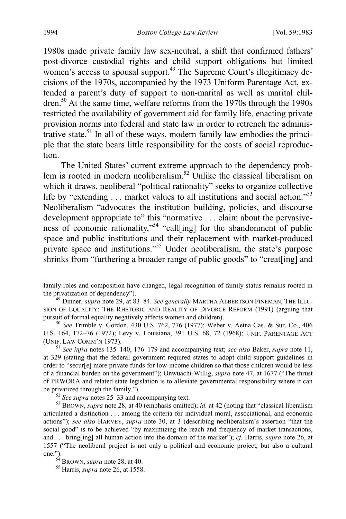1980s made private family law sex-neutral, a shift that confirmed fathers' post-divorce custodial rights and child support obligations but limited women's access to spousal support.<sup>49</sup> The Supreme Court's illegitimacy decisions of the 1970s, accompanied by the 1973 Uniform Parentage Act, extended a parent's duty of support to non-marital as well as marital children.<sup>50</sup> At the same time, welfare reforms from the 1970s through the 1990s restricted the availability of government aid for family life, enacting private provision norms into federal and state law in order to retrench the administrative state.<sup>51</sup> In all of these ways, modern family law embodies the principle that the state bears little responsibility for the costs of social reproduction.

The United States' current extreme approach to the dependency problem is rooted in modern neoliberalism.<sup>52</sup> Unlike the classical liberalism on which it draws, neoliberal "political rationality" seeks to organize collective life by "extending . . . market values to all institutions and social action."<sup>53</sup> Neoliberalism "advocates the institution building, policies, and discourse development appropriate to" this "normative . . . claim about the pervasiveness of economic rationality,"<sup>54</sup> "call[ing] for the abandonment of public space and public institutions and their replacement with market-produced private space and institutions."<sup>55</sup> Under neoliberalism, the state's purpose shrinks from "furthering a broader range of public goods" to "creat[ing] and

family roles and composition have changed, legal recognition of family status remains rooted in the privatization of dependency"). <sup>49</sup> Dinner, *supra* not[e 29,](#page-7-0) at 83–84. *See generally* MARTHA ALBERTSON FINEMAN, THE ILLU-

SION OF EQUALITY: THE RHETORIC AND REALITY OF DIVORCE REFORM (1991) (arguing that pursuit of formal equality negatively affects women and children).

<sup>&</sup>lt;sup>50</sup> *See* Trimble v. Gordon, 430 U.S. 762, 776 (1977); Weber v. Aetna Cas. & Sur. Co., 406 U.S. 164, 172–76 (1972); Levy v. Louisiana, 391 U.S. 68, 72 (1968); UNIF. PARENTAGE ACT

<sup>&</sup>lt;sup>51</sup> *See infra* notes [135](#page-25-1)[–140,](#page-26-0) [176](#page-32-0)[–179](#page-32-1) and accompanying text; *see also* Baker, *supra* note [11,](#page-4-0) at 329 (stating that the federal government required states to adopt child support guidelines in order to "secur[e] more private funds for low-income children so that those children would be less of a financial burden on the government"); Onwuachi-Willig, *supra* note [47,](#page-11-0) at 1677 ("The thrust of PRWORA and related state legislation is to alleviate governmental responsibility where it can be privatized through the family.").<br><sup>52</sup> *See supra* notes [25](#page-6-0)[–33](#page-8-0) and accompanying text.<br><sup>53</sup> BROWN, *supra* not[e 28,](#page-7-1) at 40 (emphasis omitted); *id.* at 42 (noting that "classical liberalism

articulated a distinction . . . among the criteria for individual moral, associational, and economic actions"); *see also* HARVEY, *supra* note [30,](#page-7-3) at 3 (describing neoliberalism's assertion "that the social good" is to be achieved "by maximizing the reach and frequency of market transactions, and . . . bring[ing] all human action into the domain of the market"); *cf.* Harris, *supra* note [26,](#page-7-2) at 1557 ("The neoliberal project is not only a political and economic project, but also a cultural

 $^{54}$  BROWN, *supra* not[e 28,](#page-7-1) at 40.<br><sup>55</sup> Harris, *supra* note [26,](#page-7-2) at 1558.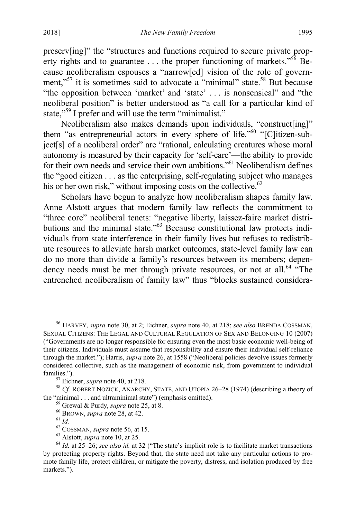<span id="page-13-2"></span><span id="page-13-1"></span>preserv[ing]" the "structures and functions required to secure private property rights and to guarantee  $\dots$  the proper functioning of markets."<sup>56</sup> Because neoliberalism espouses a "narrow[ed] vision of the role of government,"<sup>57</sup> it is sometimes said to advocate a "minimal" state.<sup>58</sup> But because "the opposition between 'market' and 'state' . . . is nonsensical" and "the neoliberal position" is better understood as "a call for a particular kind of state,"<sup>59</sup> I prefer and will use the term "minimalist."

Neoliberalism also makes demands upon individuals, "construct[ing]" them "as entrepreneurial actors in every sphere of life."<sup>60</sup> "[C]itizen-subject[s] of a neoliberal order" are "rational, calculating creatures whose moral autonomy is measured by their capacity for 'self-care'—the ability to provide for their own needs and service their own ambitions."61 Neoliberalism defines the "good citizen . . . as the enterprising, self-regulating subject who manages his or her own risk," without imposing costs on the collective. $62$ 

<span id="page-13-0"></span>Scholars have begun to analyze how neoliberalism shapes family law. Anne Alstott argues that modern family law reflects the commitment to "three core" neoliberal tenets: "negative liberty, laissez-faire market distributions and the minimal state."63 Because constitutional law protects individuals from state interference in their family lives but refuses to redistribute resources to alleviate harsh market outcomes, state-level family law can do no more than divide a family's resources between its members; dependency needs must be met through private resources, or not at all.<sup>64</sup>  $\cdot$ Fhe entrenched neoliberalism of family law" thus "blocks sustained considera-

 <sup>56</sup> HARVEY, *supra* note [30,](#page-7-3) at 2; Eichner, *supra* note [40,](#page-10-2) at 218; *see also* BRENDA COSSMAN, SEXUAL CITIZENS: THE LEGAL AND CULTURAL REGULATION OF SEX AND BELONGING 10 (2007) ("Governments are no longer responsible for ensuring even the most basic economic well-being of their citizens. Individuals must assume that responsibility and ensure their individual self-reliance through the market."); Harris, *supra* not[e 26,](#page-7-2) at 1558 ("Neoliberal policies devolve issues formerly considered collective, such as the management of economic risk, from government to individual

families.").<br><sup>57</sup> Eichner, *supra* not[e 40,](#page-10-2) at 218.<br><sup>58</sup> *Cf.* ROBERT NOZICK, ANARCHY, STATE, AND UTOPIA 26–28 (1974) (describing a theory of the "minimal ... and ultraminimal state") (emphasis omitted).

<sup>&</sup>lt;sup>59</sup> Grewal & Purdy, *supra* not[e 25,](#page-6-0) at 8.<br>
<sup>60</sup> BROWN, *supra* not[e 28,](#page-7-1) at 42.<br>
<sup>61</sup> Id.<br>
<sup>62</sup> COSSMAN, *supra* note [56,](#page-13-1) at 15.<br>
<sup>63</sup> Alstott, *supra* not[e 10,](#page-4-1) at 25.<br>
<sup>64</sup> Id. at 25–26; *see also id.* at 32 ("The state by protecting property rights. Beyond that, the state need not take any particular actions to promote family life, protect children, or mitigate the poverty, distress, and isolation produced by free markets.").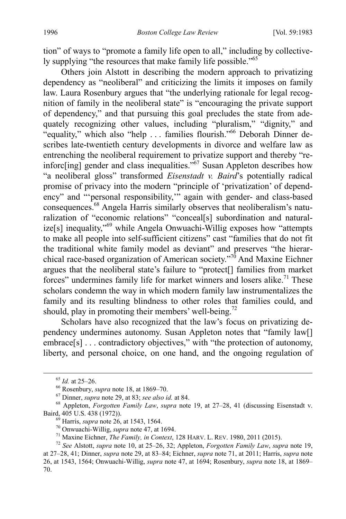tion" of ways to "promote a family life open to all," including by collectively supplying "the resources that make family life possible."<sup>65</sup>

Others join Alstott in describing the modern approach to privatizing dependency as "neoliberal" and criticizing the limits it imposes on family law. Laura Rosenbury argues that "the underlying rationale for legal recognition of family in the neoliberal state" is "encouraging the private support of dependency," and that pursuing this goal precludes the state from adequately recognizing other values, including "pluralism," "dignity," and "equality," which also "help . . . families flourish."66 Deborah Dinner describes late-twentieth century developments in divorce and welfare law as entrenching the neoliberal requirement to privatize support and thereby "reinforc[ing] gender and class inequalities."67 Susan Appleton describes how "a neoliberal gloss" transformed *Eisenstadt v. Baird*'s potentially radical promise of privacy into the modern "principle of 'privatization' of dependency" and "'personal responsibility,'" again with gender- and class-based consequences.68 Angela Harris similarly observes that neoliberalism's naturalization of "economic relations" "conceal[s] subordination and naturalize[s] inequality,"69 while Angela Onwuachi-Willig exposes how "attempts to make all people into self-sufficient citizens" cast "families that do not fit the traditional white family model as deviant" and preserves "the hierarchical race-based organization of American society."<sup>70</sup> And Maxine Eichner argues that the neoliberal state's failure to "protect[] families from market forces" undermines family life for market winners and losers alike.<sup>71</sup> These scholars condemn the way in which modern family law instrumentalizes the family and its resulting blindness to other roles that families could, and should, play in promoting their members' well-being.<sup>72</sup>

<span id="page-14-1"></span><span id="page-14-0"></span>Scholars have also recognized that the law's focus on privatizing dependency undermines autonomy. Susan Appleton notes that "family law[] embrace[s] . . . contradictory objectives," with "the protection of autonomy, liberty, and personal choice, on one hand, and the ongoing regulation of

<sup>&</sup>lt;sup>65</sup> *Id.* at 25–26.<br><sup>66</sup> Rosenbury, *supra* note [18,](#page-5-0) at 1869–70.<br><sup>67</sup> Dinner, *supra* not[e 29,](#page-7-0) at 83; *see also id.* at 84.<br><sup>68</sup> Appleton, *Forgotten Family Law, supra* note [19,](#page-5-1) at 27–28, 41 (discussing Eisenstadt v. Baird, 405 U.S. 438 (1972)).<br>
<sup>69</sup> Harris, *supra* not[e 26,](#page-7-2) at 1543, 1564.<br>
<sup>70</sup> Onwuachi-Willig, *supra* not[e 47,](#page-11-0) at 1694.<br>
<sup>71</sup> Maxine Eichner, *The Family, in Context*, 128 HARV. L. REV. 1980, 2011 (2015).<br>
<sup>72</sup> See Al

at 27–28, 41; Dinner, *supra* note [29,](#page-7-0) at 83–84; Eichner, *supra* note [71,](#page-14-1) at 2011; Harris, *supra* note [26,](#page-7-2) at 1543, 1564; Onwuachi-Willig, *supra* not[e 47,](#page-11-0) at 1694; Rosenbury, *supra* note [18,](#page-5-0) at 1869– 70.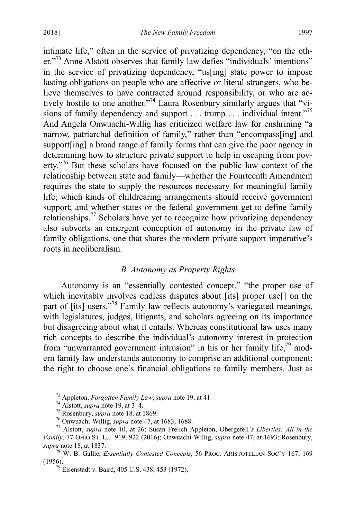intimate life," often in the service of privatizing dependency, "on the other."73 Anne Alstott observes that family law defies "individuals' intentions" in the service of privatizing dependency, "us[ing] state power to impose lasting obligations on people who are affective or literal strangers, who believe themselves to have contracted around responsibility, or who are actively hostile to one another."74 Laura Rosenbury similarly argues that "visions of family dependency and support . . . trump . . . individual intent."<sup>75</sup> And Angela Onwuachi-Willig has criticized welfare law for enshrining "a narrow, patriarchal definition of family," rather than "encompass[ing] and support[ing] a broad range of family forms that can give the poor agency in determining how to structure private support to help in escaping from poverty."76 But these scholars have focused on the public law context of the relationship between state and family—whether the Fourteenth Amendment requires the state to supply the resources necessary for meaningful family life; which kinds of childrearing arrangements should receive government support; and whether states or the federal government get to define family relationships.77 Scholars have yet to recognize how privatizing dependency also subverts an emergent conception of autonomy in the private law of family obligations, one that shares the modern private support imperative's roots in neoliberalism.

#### <span id="page-15-0"></span>*B. Autonomy as Property Rights*

Autonomy is an "essentially contested concept," "the proper use of which inevitably involves endless disputes about [its] proper use<sup>[]</sup> on the part of [its] users."<sup>78</sup> Family law reflects autonomy's variegated meanings, with legislatures, judges, litigants, and scholars agreeing on its importance but disagreeing about what it entails. Whereas constitutional law uses many rich concepts to describe the individual's autonomy interest in protection from "unwarranted government intrusion" in his or her family life, $^{79}$  modern family law understands autonomy to comprise an additional component: the right to choose one's financial obligations to family members. Just as

<sup>&</sup>lt;sup>73</sup> Appleton, *Forgotten Family Law*, *supra* note [19,](#page-5-1) at 41.<br><sup>74</sup> Alstott, *supra* not[e 19,](#page-5-1) at 3–4.<br><sup>75</sup> Rosenbury, *supra* note [18,](#page-5-0) at 1869.<br><sup>76</sup> Onwuachi-Willig, *supra* not[e 47,](#page-11-0) at 1683, 1688.<br><sup>77</sup> Alstott, *supra* n *Family*, 77 OHIO ST. L.J. 919, 922 (2016); Onwuachi-Willig, *supra* note [47,](#page-11-0) at 1693; Rosenbury,

<sup>&</sup>lt;sup>78</sup> W. B. Gallie, *Essentially Contested Concepts*, 56 PROC. ARISTOTELIAN SOC'Y 167, 169 (1956).

 $^{79}$  Eisenstadt v. Baird, 405 U.S. 438, 453 (1972).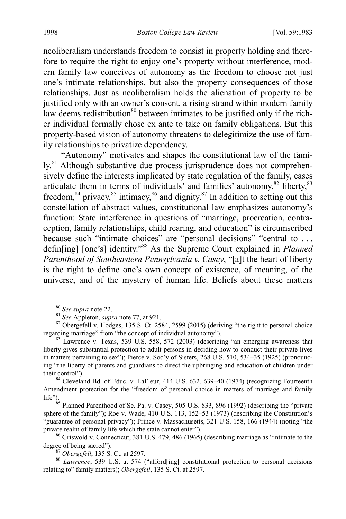neoliberalism understands freedom to consist in property holding and therefore to require the right to enjoy one's property without interference, modern family law conceives of autonomy as the freedom to choose not just one's intimate relationships, but also the property consequences of those relationships. Just as neoliberalism holds the alienation of property to be justified only with an owner's consent, a rising strand within modern family law deems redistribution $80$  between intimates to be justified only if the richer individual formally chose ex ante to take on family obligations. But this property-based vision of autonomy threatens to delegitimize the use of family relationships to privatize dependency.

"Autonomy" motivates and shapes the constitutional law of the family.<sup>81</sup> Although substantive due process jurisprudence does not comprehensively define the interests implicated by state regulation of the family, cases articulate them in terms of individuals' and families' autonomy,<sup>82</sup> liberty,<sup>83</sup> freedom,  $84$  privacy,  $85$  intimacy,  $86$  and dignity.  $87$  In addition to setting out this constellation of abstract values, constitutional law emphasizes autonomy's function: State interference in questions of "marriage, procreation, contraception, family relationships, child rearing, and education" is circumscribed because such "intimate choices" are "personal decisions" "central to ... defin[ing] [one's] identity."<sup>88</sup> As the Supreme Court explained in *Planned Parenthood of Southeastern Pennsylvania v. Casey*, "[a]t the heart of liberty is the right to define one's own concept of existence, of meaning, of the universe, and of the mystery of human life. Beliefs about these matters

<sup>85</sup> Planned Parenthood of Se. Pa. v. Casey, 505 U.S. 833, 896 (1992) (describing the "private sphere of the family"); Roe v. Wade, 410 U.S. 113, 152–53 (1973) (describing the Constitution's "guarantee of personal privacy"); Prince v. Massachusetts, 321 U.S. 158, 166 (1944) (noting "the private realm of family life which the state cannot enter").

 $86$  Griswold v. Connecticut, 381 U.S. 479, 486 (1965) (describing marriage as "intimate to the degree of being sacred").

<sup>&</sup>lt;sup>80</sup> *See supra* not[e 22.](#page-6-1)<br><sup>81</sup> *See* Appleton, *supra* not[e 77,](#page-15-0) at 921.<br><sup>82</sup> Obergefell v. Hodges, 135 S. Ct. 2584, 2599 (2015) (deriving "the right to personal choice regarding marriage" from "the concept of individual au

 $\frac{83}{10}$  Lawrence v. Texas, 539 U.S. 558, 572 (2003) (describing "an emerging awareness that liberty gives substantial protection to adult persons in deciding how to conduct their private lives in matters pertaining to sex"); Pierce v. Soc'y of Sisters, 268 U.S. 510, 534–35 (1925) (pronouncing "the liberty of parents and guardians to direct the upbringing and education of children under their control").

<sup>84</sup> Cleveland Bd. of Educ. v. LaFleur, 414 U.S. 632, 639–40 (1974) (recognizing Fourteenth Amendment protection for the "freedom of personal choice in matters of marriage and family life").

<sup>&</sup>lt;sup>87</sup> *Obergefell*, 135 S. Ct. at 2597.<br><sup>88</sup> *Lawrence*, 539 U.S. at 574 ("afford[ing] constitutional protection to personal decisions relating to" family matters); *Obergefell*, 135 S. Ct. at 2597.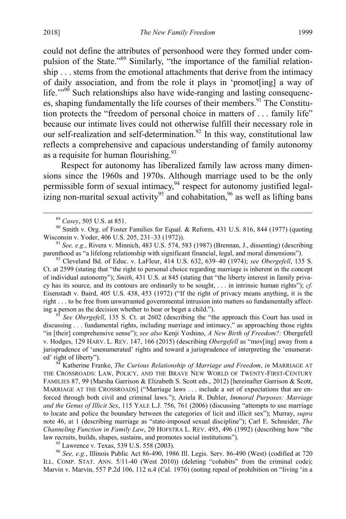could not define the attributes of personhood were they formed under compulsion of the State."<sup>89</sup> Similarly, "the importance of the familial relationship . . . stems from the emotional attachments that derive from the intimacy of daily association, and from the role it plays in 'promot[ing] a way of life."<sup>90</sup> Such relationships also have wide-ranging and lasting consequences, shaping fundamentally the life courses of their members.<sup>91</sup> The Constitution protects the "freedom of personal choice in matters of . . . family life" because our intimate lives could not otherwise fulfill their necessary role in our self-realization and self-determination.<sup>92</sup> In this way, constitutional law reflects a comprehensive and capacious understanding of family autonomy as a requisite for human flourishing.<sup>93</sup>

Respect for autonomy has liberalized family law across many dimensions since the 1960s and 1970s. Although marriage used to be the only permissible form of sexual intimacy,  $94$  respect for autonomy justified legalizing non-marital sexual activity<sup>95</sup> and cohabitation,<sup>96</sup> as well as lifting bans

<sup>92</sup> Cleveland Bd. of Educ. v. LaFleur, 414 U.S. 632, 639–40 (1974); *see Obergefell*, 135 S. Ct. at 2599 (stating that "the right to personal choice regarding marriage is inherent in the concept of individual autonomy"); *Smith*, 431 U.S. at 845 (stating that "the liberty interest in family privacy has its source, and its contours are ordinarily to be sought, . . . in intrinsic human rights"); *cf.* Eisenstadt v. Baird, 405 U.S. 438, 453 (1972) ("If the right of privacy means anything, it is the right . . . to be free from unwarranted governmental intrusion into matters so fundamentally affecting a person as the decision whether to bear or beget a child."). <sup>93</sup> *See Obergefell*, 135 S. Ct. at 2602 (describing the "the approach this Court has used in

discussing . . . fundamental rights, including marriage and intimacy," as approaching those rights "in [their] comprehensive sense"); *see also* Kenji Yoshino, *A New Birth of Freedom?:* Obergefell v. Hodges, 129 HARV. L. REV. 147, 166 (2015) (describing *Obergefell* as "mov[ing] away from a jurisprudence of 'unenumerated' rights and toward a jurisprudence of interpreting the 'enumerat-

ed' right of liberty"). <sup>94</sup> Katherine Franke, *The Curious Relationship of Marriage and Freedom*, *in* MARRIAGE AT THE CROSSROADS: LAW, POLICY, AND THE BRAVE NEW WORLD OF TWENTY-FIRST-CENTURY FAMILIES 87, 99 (Marsha Garrison & Elizabeth S. Scott eds., 2012) [hereinafter Garrison & Scott, MARRIAGE AT THE CROSSROADS] ("Marriage laws . . . include a set of expectations that are enforced through both civil and criminal laws."); Ariela R. Dubler, *Immoral Purposes: Marriage and the Genus of Illicit Sex*, 115 YALE L.J. 756, 761 (2006) (discussing "attempts to use marriage to locate and police the boundary between the categories of licit and illicit sex"); Murray, *supra* note [46,](#page-11-1) at 1 (describing marriage as "state-imposed sexual discipline"); Carl E. Schneider, *The Channeling Function in Family Law*, 20 HOFSTRA L. REV. 495, 496 (1992) (describing how "the law recruits, builds, shapes, sustains, and promotes social institutions"). <sup>95</sup> Lawrence v. Texas, 539 U.S. 558 (2003). <sup>96</sup> *See, e.g.*, Illinois Public Act 86-490, 1986 Ill. Legis. Serv. 86-490 (West) (codified at 720

ILL. COMP. STAT. ANN. 5/11-40 (West 2010)) (deleting "cohabits" from the criminal code); Marvin v. Marvin, 557 P.2d 106, 112 n.4 (Cal. 1976) (noting repeal of prohibition on "living 'in a

<span id="page-17-0"></span>

<sup>&</sup>lt;sup>89</sup> *Casey*, 505 U.S. at 851. 90 Smith v. Org. of Foster Families for Equal. & Reform, 431 U.S. 816, 844 (1977) (quoting Wisconsin v. Yoder, 406 U.S. 205, 231–33 (1972)).

<sup>&</sup>lt;sup>91</sup> See, e.g., Rivera v. Minnich, 483 U.S. 574, 583 (1987) (Brennan, J., dissenting) (describing parenthood as "a lifelong relationship with significant financial, legal, and moral dimensions").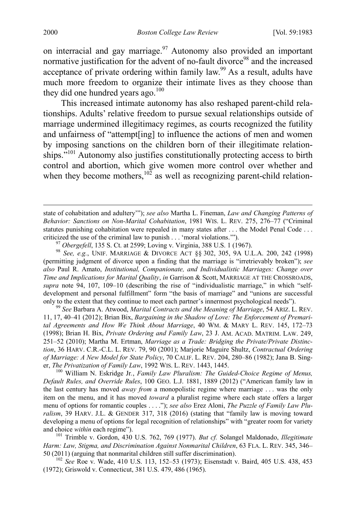<span id="page-18-1"></span>on interracial and gay marriage. $97$  Autonomy also provided an important normative justification for the advent of no-fault divorce<sup>98</sup> and the increased acceptance of private ordering within family law.<sup>99</sup> As a result, adults have much more freedom to organize their intimate lives as they choose than they did one hundred years ago. $100$ 

<span id="page-18-0"></span>This increased intimate autonomy has also reshaped parent-child relationships. Adults' relative freedom to pursue sexual relationships outside of marriage undermined illegitimacy regimes, as courts recognized the futility and unfairness of "attempt[ing] to influence the actions of men and women by imposing sanctions on the children born of their illegitimate relationships."<sup>101</sup> Autonomy also justifies constitutionally protecting access to birth control and abortion, which give women more control over whether and when they become mothers,<sup>102</sup> as well as recognizing parent-child relation-

criticized the use of the criminal law to punish . . . 'moral violations.'").<br><sup>97</sup> *Obergefell*, 135 S. Ct. at 2599; Loving v. Virginia, 388 U.S. 1 (1967).<br><sup>98</sup> *See, e.g.*, UNIF. MARRIAGE & DIVORCE ACT §§ 302, 305, 9A U. (permitting judgment of divorce upon a finding that the marriage is "irretrievably broken"); *see also* Paul R. Amato, *Institutional, Companionate, and Individualistic Marriages: Change over Time and Implications for Marital Quality*, *in* Garrison & Scott, MARRIAGE AT THE CROSSROADS, *supra* note [94,](#page-17-0) 107, 109–10 (describing the rise of "individualistic marriage," in which "selfdevelopment and personal fulfillment" form "the basis of marriage" and "unions are successful only to the extent that they continue to meet each partner's innermost psychological needs"). <sup>99</sup> *See* Barbara A. Atwood, *Marital Contracts and the Meaning of Marriage*, 54 ARIZ. L. REV.

11, 17, 40–41 (2012); Brian Bix, *Bargaining in the Shadow of Love: The Enforcement of Premarital Agreements and How We Think About Marriage*, 40 WM. & MARY L. REV. 145, 172–73 (1998); Brian H. Bix, *Private Ordering and Family Law*, 23 J. AM. ACAD. MATRIM. LAW. 249, 251–52 (2010); Martha M. Ertman, *Marriage as a Trade: Bridging the Private/Private Distinction*, 36 HARV. C.R.-C.L. L. REV. 79, 90 (2001); Marjorie Maguire Shultz, *Contractual Ordering of Marriage: A New Model for State Policy*, 70 CALIF. L. REV. 204, 280–86 (1982); Jana B. Singer, *The Privatization of Family Law*, 1992 WIS. L. REV. 1443, 1445.<br><sup>100</sup> William N. Eskridge Jr., *Family Law Pluralism: The Guided-Choice Regime of Menus,* 

*Default Rules, and Override Rules*, 100 GEO. L.J. 1881, 1889 (2012) ("American family law in the last century has moved *away from* a monopolistic regime where marriage . . . was the only item on the menu, and it has moved *toward* a pluralist regime where each state offers a larger menu of options for romantic couples . . . ."); *see also* Erez Aloni, *The Puzzle of Family Law Pluralism*, 39 HARV. J.L. & GENDER 317, 318 (2016) (stating that "family law is moving toward developing a menu of options for legal recognition of relationships" with "greater room for variety and choice within each regime").

<sup>101</sup> Trimble v. Gordon, 430 U.S. 762, 769 (1977). *But cf.* Solangel Maldonado, *Illegitimate Harm: Law, Stigma, and Discrimination Against Nonmarital Children*, 63 FLA. L. REV. 345, 346– 50 (2011) (arguing that nonmarital children still suffer discrimination). <sup>102</sup> *See* Roe v. Wade, 410 U.S. 113, 152–53 (1973); Eisenstadt v. Baird, 405 U.S. 438, 453

(1972); Griswold v. Connecticut, 381 U.S. 479, 486 (1965).

state of cohabitation and adultery'"); *see also* Martha L. Fineman, *Law and Changing Patterns of Behavior: Sanctions on Non-Marital Cohabitation*, 1981 WIS. L. REV. 275, 276–77 ("Criminal statutes punishing cohabitation were repealed in many states after . . . the Model Penal Code . . .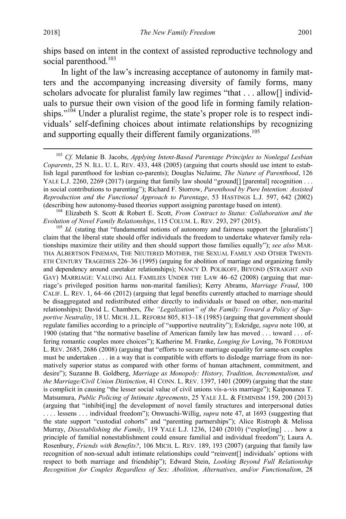ships based on intent in the context of assisted reproductive technology and social parenthood.<sup>103</sup>

In light of the law's increasing acceptance of autonomy in family matters and the accompanying increasing diversity of family forms, many scholars advocate for pluralist family law regimes "that . . . allow[] individuals to pursue their own vision of the good life in forming family relationships."<sup>104</sup> Under a pluralist regime, the state's proper role is to respect individuals' self-defining choices about intimate relationships by recognizing and supporting equally their different family organizations.<sup>105</sup>

(describing how autonomy-based theories support assigning parentage based on intent). <sup>104</sup> Elizabeth S. Scott & Robert E. Scott, *From Contract to Status: Collaboration and the* 

<sup>105</sup> Id. (stating that "fundamental notions of autonomy and fairness support the [pluralists'] claim that the liberal state should offer individuals the freedom to undertake whatever family relationships maximize their utility and then should support those families equally"); *see also* MAR-THA ALBERTSON FINEMAN, THE NEUTERED MOTHER, THE SEXUAL FAMILY AND OTHER TWENTI-ETH CENTURY TRAGEDIES 226–36 (1995) (arguing for abolition of marriage and organizing family and dependency around caretaker relationships); NANCY D. POLIKOFF, BEYOND (STRAIGHT AND GAY) MARRIAGE: VALUING ALL FAMILIES UNDER THE LAW 46–62 (2008) (arguing that marriage's privileged position harms non-marital families); Kerry Abrams, *Marriage Fraud*, 100 CALIF. L. REV. 1, 64–66 (2012) (arguing that legal benefits currently attached to marriage should be disaggregated and redistributed either directly to individuals or based on other, non-marital relationships); David L. Chambers, *The "Legalization" of the Family: Toward a Policy of Supportive Neutrality*, 18 U. MICH. J.L. REFORM 805, 813–18 (1985) (arguing that government should regulate families according to a principle of "supportive neutrality"); Eskridge, *supra* note [100,](#page-18-0) at 1900 (stating that "the normative baseline of American family law has moved . . . toward . . . offering romantic couples more choices"); Katherine M. Franke, *Longing for* Loving, 76 FORDHAM L. REV. 2685, 2686 (2008) (arguing that "efforts to secure marriage equality for same-sex couples must be undertaken . . . in a way that is compatible with efforts to dislodge marriage from its normatively superior status as compared with other forms of human attachment, commitment, and desire"); Suzanne B. Goldberg, *Marriage as Monopoly: History, Tradition, Incrementalism, and the Marriage/Civil Union Distinction*, 41 CONN. L. REV. 1397, 1401 (2009) (arguing that the state is complicit in causing "the lesser social value of civil unions vis-a-vis marriage"); Kaiponanea T. Matsumura, *Public Policing of Intimate Agreements*, 25 YALE J.L. & FEMINISM 159, 200 (2013) (arguing that "inhibit[ing] the development of novel family structures and interpersonal duties . . . . lessens . . . individual freedom"); Onwuachi-Willig, *supra* note [47,](#page-11-0) at 1693 (suggesting that the state support "custodial cohorts" and "parenting partnerships"); Alice Ristroph & Melissa Murray, *Disestablishing the Family*, 119 YALE L.J. 1236, 1240 (2010) ("explor[ing] . . . how a principle of familial nonestablishment could ensure familial and individual freedom"); Laura A. Rosenbury, *Friends with Benefits?*, 106 MICH. L. REV. 189, 193 (2007) (arguing that family law recognition of non-sexual adult intimate relationships could "reinvent[] individuals' options with respect to both marriage and friendship"); Edward Stein, *Looking Beyond Full Relationship Recognition for Couples Regardless of Sex: Abolition, Alternatives, and/or Functionalism*, 28

<span id="page-19-0"></span> <sup>103</sup> *Cf.* Melanie B. Jacobs, *Applying Intent-Based Parentage Principles to Nonlegal Lesbian Coparents*, 25 N. ILL. U. L. REV. 433, 448 (2005) (arguing that courts should use intent to establish legal parenthood for lesbian co-parents); Douglas NeJaime, *The Nature of Parenthood*, 126 YALE L.J. 2260, 2269 (2017) (arguing that family law should "ground [] [parental] recognition . . . in social contributions to parenting"); Richard F. Storrow, *Parenthood by Pure Intention: Assisted Reproduction and the Functional Approach to Parentage*, 53 HASTINGS L.J. 597, 642 (2002)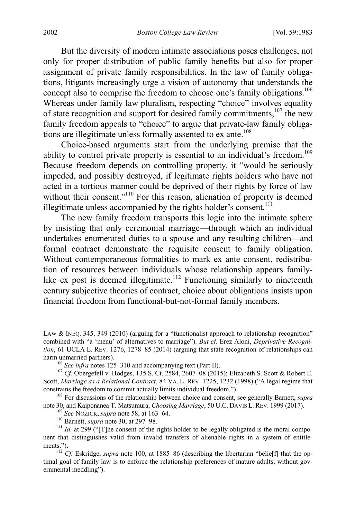But the diversity of modern intimate associations poses challenges, not only for proper distribution of public family benefits but also for proper assignment of private family responsibilities. In the law of family obligations, litigants increasingly urge a vision of autonomy that understands the concept also to comprise the freedom to choose one's family obligations.<sup>106</sup> Whereas under family law pluralism, respecting "choice" involves equality of state recognition and support for desired family commitments,<sup>107</sup> the new family freedom appeals to "choice" to argue that private-law family obligations are illegitimate unless formally assented to ex ante.<sup>108</sup>

<span id="page-20-1"></span><span id="page-20-0"></span>Choice-based arguments start from the underlying premise that the ability to control private property is essential to an individual's freedom.<sup>109</sup> Because freedom depends on controlling property, it "would be seriously impeded, and possibly destroyed, if legitimate rights holders who have not acted in a tortious manner could be deprived of their rights by force of law without their consent."<sup>110</sup> For this reason, alienation of property is deemed illegitimate unless accompanied by the rights holder's consent.<sup>111</sup>

The new family freedom transports this logic into the intimate sphere by insisting that only ceremonial marriage—through which an individual undertakes enumerated duties to a spouse and any resulting children—and formal contract demonstrate the requisite consent to family obligation. Without contemporaneous formalities to mark ex ante consent, redistribution of resources between individuals whose relationship appears familylike ex post is deemed illegitimate.<sup>112</sup> Functioning similarly to nineteenth century subjective theories of contract, choice about obligations insists upon financial freedom from functional-but-not-formal family members.

LAW & INEQ. 345, 349 (2010) (arguing for a "functionalist approach to relationship recognition" combined with "a 'menu' of alternatives to marriage"). *But cf.* Erez Aloni, *Deprivative Recognition*, 61 UCLA L. REV. 1276, 1278–85 (2014) (arguing that state recognition of relationships can harm unmarried partners).<br><sup>106</sup> *See infra* notes [125–](#page-23-1)[310](#page-55-0) and accompanying text (Part II).<br><sup>107</sup> *Cf.* Obergefell v. Hodges, 135 S. Ct. 2584, 2607–08 (2015); Elizabeth S. Scott & Robert E.

Scott, *Marriage as a Relational Contract*, 84 VA. L. REV. 1225, 1232 (1998) ("A legal regime that

constrains the freedom to commit actually limits individual freedom.").<br><sup>108</sup> For discussions of the relationship between choice and consent, see generally Barnett, *supra* note 30, and Kaiponanea T. Matsumura, *Choosing M* 

<sup>&</sup>lt;sup>109</sup> See NOZICK, supra note 58, at 163–64.<br><sup>110</sup> Barnett, supra not[e 30,](#page-7-3) at 297–98.<br><sup>111</sup> Id. at 299 ("[T]he consent of the rights holder to be legally obligated is the moral component that distinguishes valid from invalid transfers of alienable rights in a system of entitlements.").<br><sup>112</sup> *Cf.* Eskridge, *supra* note [100,](#page-18-0) at 1885–86 (describing the libertarian "belie[f] that the op-

timal goal of family law is to enforce the relationship preferences of mature adults, without governmental meddling").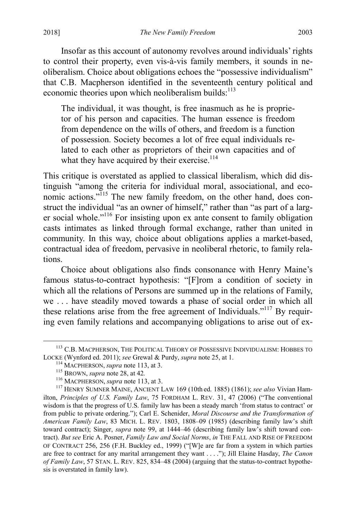Insofar as this account of autonomy revolves around individuals' rights to control their property, even vis-à-vis family members, it sounds in neoliberalism. Choice about obligations echoes the "possessive individualism" that C.B. Macpherson identified in the seventeenth century political and economic theories upon which neoliberalism builds: $113$ 

<span id="page-21-0"></span>The individual, it was thought, is free inasmuch as he is proprietor of his person and capacities. The human essence is freedom from dependence on the wills of others, and freedom is a function of possession. Society becomes a lot of free equal individuals related to each other as proprietors of their own capacities and of what they have acquired by their exercise. $114$ 

This critique is overstated as applied to classical liberalism, which did distinguish "among the criteria for individual moral, associational, and economic actions."<sup>115</sup> The new family freedom, on the other hand, does construct the individual "as an owner of himself," rather than "as part of a larger social whole."116 For insisting upon ex ante consent to family obligation casts intimates as linked through formal exchange, rather than united in community. In this way, choice about obligations applies a market-based, contractual idea of freedom, pervasive in neoliberal rhetoric, to family relations.

Choice about obligations also finds consonance with Henry Maine's famous status-to-contract hypothesis: "[F]rom a condition of society in which all the relations of Persons are summed up in the relations of Family, we . . . have steadily moved towards a phase of social order in which all these relations arise from the free agreement of Individuals."<sup>117</sup> By requiring even family relations and accompanying obligations to arise out of ex-

<sup>&</sup>lt;sup>113</sup> C.B. MACPHERSON, THE POLITICAL THEORY OF POSSESSIVE INDIVIDUALISM: HOBBES TO LOCKE (Wynford ed. 2011); *see* Grewal & Purdy, *supra* note 25, at 1.

<sup>&</sup>lt;sup>114</sup> MACPHERSON, *supra* not[e 113,](#page-21-0) at 3.<br><sup>115</sup> BROWN, *supra* note [28,](#page-7-1) at 42.<br><sup>116</sup> MACPHERSON, *supra* not[e 113,](#page-21-0) at 3.<br><sup>117</sup> HENRY SUMNER MAINE, ANCIENT LAW 169 (10th ed. 1885) (1861); *see also* Vivian Hamilton, *Principles of U.S. Family Law*, 75 FORDHAM L. REV. 31, 47 (2006) ("The conventional wisdom is that the progress of U.S. family law has been a steady march 'from status to contract' or from public to private ordering."); Carl E. Schenider, *Moral Discourse and the Transformation of American Family Law*, 83 MICH. L. REV. 1803, 1808–09 (1985) (describing family law's shift toward contract); Singer, *supra* note [99,](#page-18-1) at 1444–46 (describing family law's shift toward contract). *But see* Eric A. Posner, *Family Law and Social Norms*, *in* THE FALL AND RISE OF FREEDOM OF CONTRACT 256, 256 (F.H. Buckley ed., 1999) ("[W]e are far from a system in which parties are free to contract for any marital arrangement they want . . . ."); Jill Elaine Hasday, *The Canon of Family Law*, 57 STAN. L. REV. 825, 834–48 (2004) (arguing that the status-to-contract hypothesis is overstated in family law).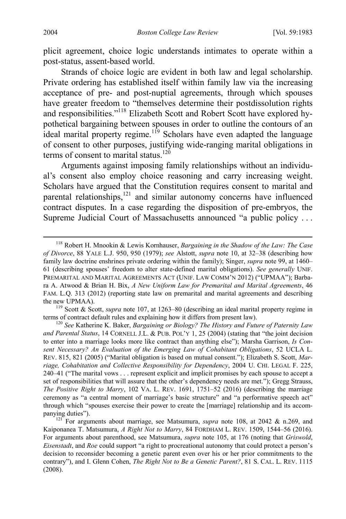plicit agreement, choice logic understands intimates to operate within a post-status, assent-based world.

Strands of choice logic are evident in both law and legal scholarship. Private ordering has established itself within family law via the increasing acceptance of pre- and post-nuptial agreements, through which spouses have greater freedom to "themselves determine their postdissolution rights and responsibilities."<sup>118</sup> Elizabeth Scott and Robert Scott have explored hypothetical bargaining between spouses in order to outline the contours of an ideal marital property regime.<sup>119</sup> Scholars have even adapted the language of consent to other purposes, justifying wide-ranging marital obligations in terms of consent to marital status.<sup>120</sup>

<span id="page-22-0"></span>Arguments against imposing family relationships without an individual's consent also employ choice reasoning and carry increasing weight. Scholars have argued that the Constitution requires consent to marital and parental relationships, $121$  and similar autonomy concerns have influenced contract disputes. In a case regarding the disposition of pre-embryos, the Supreme Judicial Court of Massachusetts announced "a public policy ...

 <sup>118</sup> Robert H. Mnookin & Lewis Kornhauser, *Bargaining in the Shadow of the Law: The Case of Divorce*, 88 YALE L.J. 950, 950 (1979); *see* Alstott, *supra* note [10,](#page-4-1) at 32–38 (describing how family law doctrine enshrines private ordering within the family); Singer, *supra* not[e 99,](#page-18-1) at 1460– 61 (describing spouses' freedom to alter state-defined marital obligations). *See generally* UNIF. PREMARITAL AND MARITAL AGREEMENTS ACT (UNIF. LAW COMM'N 2012) ("UPMAA"); Barbara A. Atwood & Brian H. Bix, *A New Uniform Law for Premarital and Marital Agreements*, 46 FAM. L.Q. 313 (2012) (reporting state law on premarital and marital agreements and describing the new UPMAA).<br><sup>119</sup> Scott & Scott, *supra* note [107,](#page-20-0) at 1263–80 (describing an ideal marital property regime in

terms of contract default rules and explaining how it differs from present law). <sup>120</sup> *See* Katherine K. Baker, *Bargaining or Biology? The History and Future of Paternity Law* 

*and Parental Status*, 14 CORNELL J.L. & PUB. POL'Y 1, 25 (2004) (stating that "the joint decision to enter into a marriage looks more like contract than anything else"); Marsha Garrison, *Is Consent Necessary? An Evaluation of the Emerging Law of Cohabitant Obligations*, 52 UCLA L. REV. 815, 821 (2005) ("Marital obligation is based on mutual consent."); Elizabeth S. Scott, *Marriage, Cohabitation and Collective Responsibility for Dependency*, 2004 U. CHI. LEGAL F. 225, 240–41 ("The marital vows . . . represent explicit and implicit promises by each spouse to accept a set of responsibilities that will assure that the other's dependency needs are met."); Gregg Strauss, *The Positive Right to Marry*, 102 VA. L. REV. 1691, 1751–52 (2016) (describing the marriage ceremony as "a central moment of marriage's basic structure" and "a performative speech act" through which "spouses exercise their power to create the [marriage] relationship and its accompanying duties").<br><sup>121</sup> For arguments about marriage, see Matsumura, *supra* note [108,](#page-20-1) at 2042 & n.269, and

Kaiponanea T. Matsumura, *A Right Not to Marry*, 84 FORDHAM L. REV. 1509, 1544–56 (2016). For arguments about parenthood, see Matsumura, *supra* note [105,](#page-19-0) at 176 (noting that *Griswold*, *Eisenstadt*, and *Roe* could support "a right to procreational autonomy that could protect a person's decision to reconsider becoming a genetic parent even over his or her prior commitments to the contrary"), and I. Glenn Cohen, *The Right Not to Be a Genetic Parent?*, 81 S. CAL. L. REV. 1115 (2008).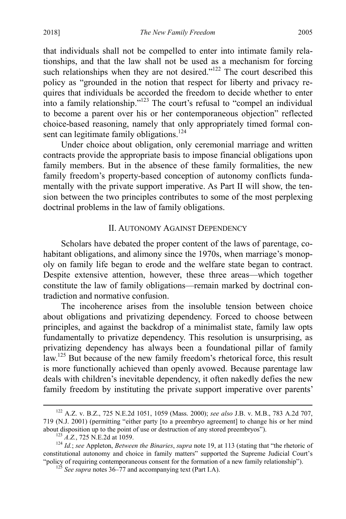that individuals shall not be compelled to enter into intimate family relationships, and that the law shall not be used as a mechanism for forcing such relationships when they are not desired."<sup>122</sup> The court described this policy as "grounded in the notion that respect for liberty and privacy requires that individuals be accorded the freedom to decide whether to enter into a family relationship."123 The court's refusal to "compel an individual to become a parent over his or her contemporaneous objection" reflected choice-based reasoning, namely that only appropriately timed formal consent can legitimate family obligations.<sup>124</sup>

Under choice about obligation, only ceremonial marriage and written contracts provide the appropriate basis to impose financial obligations upon family members. But in the absence of these family formalities, the new family freedom's property-based conception of autonomy conflicts fundamentally with the private support imperative. As Part II will show, the tension between the two principles contributes to some of the most perplexing doctrinal problems in the law of family obligations.

#### <span id="page-23-0"></span>II. AUTONOMY AGAINST DEPENDENCY

Scholars have debated the proper content of the laws of parentage, cohabitant obligations, and alimony since the 1970s, when marriage's monopoly on family life began to erode and the welfare state began to contract. Despite extensive attention, however, these three areas—which together constitute the law of family obligations—remain marked by doctrinal contradiction and normative confusion.

<span id="page-23-1"></span>The incoherence arises from the insoluble tension between choice about obligations and privatizing dependency. Forced to choose between principles, and against the backdrop of a minimalist state, family law opts fundamentally to privatize dependency. This resolution is unsurprising, as privatizing dependency has always been a foundational pillar of family law.<sup>125</sup> But because of the new family freedom's rhetorical force, this result is more functionally achieved than openly avowed. Because parentage law deals with children's inevitable dependency, it often nakedly defies the new family freedom by instituting the private support imperative over parents'

 <sup>122</sup> A.Z. v. B.Z., 725 N.E.2d 1051, 1059 (Mass. 2000); *see also* J.B. v. M.B., 783 A.2d 707, 719 (N.J. 2001) (permitting "either party [to a preembryo agreement] to change his or her mind about disposition up to the point of use or destruction of any stored preembryos").

<sup>&</sup>lt;sup>123</sup> A.Z., 725 N.E.2d at 1059.<br><sup>124</sup> Id.; see Appleton, *Between the Binaries*, supra note [19,](#page-5-1) at 113 (stating that "the rhetoric of constitutional autonomy and choice in family matters" supported the Supreme Judicial Court's "policy of requiring contemporaneous consent for the formation of a new family relationship"). <sup>125</sup> *See supra* note[s 36](#page-10-0)[–77](#page-15-0) and accompanying text (Part I.A).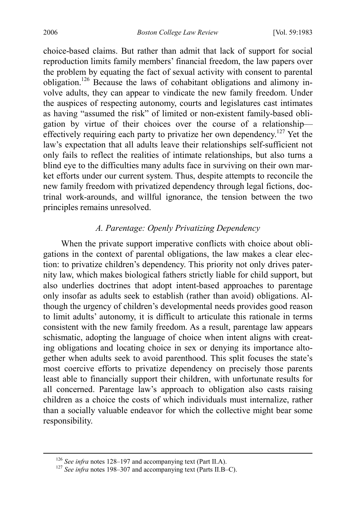choice-based claims. But rather than admit that lack of support for social reproduction limits family members' financial freedom, the law papers over the problem by equating the fact of sexual activity with consent to parental obligation.126 Because the laws of cohabitant obligations and alimony involve adults, they can appear to vindicate the new family freedom. Under the auspices of respecting autonomy, courts and legislatures cast intimates as having "assumed the risk" of limited or non-existent family-based obligation by virtue of their choices over the course of a relationship effectively requiring each party to privatize her own dependency.<sup>127</sup> Yet the law's expectation that all adults leave their relationships self-sufficient not only fails to reflect the realities of intimate relationships, but also turns a blind eye to the difficulties many adults face in surviving on their own market efforts under our current system. Thus, despite attempts to reconcile the new family freedom with privatized dependency through legal fictions, doctrinal work-arounds, and willful ignorance, the tension between the two principles remains unresolved.

#### *A. Parentage: Openly Privatizing Dependency*

When the private support imperative conflicts with choice about obligations in the context of parental obligations, the law makes a clear election: to privatize children's dependency. This priority not only drives paternity law, which makes biological fathers strictly liable for child support, but also underlies doctrines that adopt intent-based approaches to parentage only insofar as adults seek to establish (rather than avoid) obligations. Although the urgency of children's developmental needs provides good reason to limit adults' autonomy, it is difficult to articulate this rationale in terms consistent with the new family freedom. As a result, parentage law appears schismatic, adopting the language of choice when intent aligns with creating obligations and locating choice in sex or denying its importance altogether when adults seek to avoid parenthood. This split focuses the state's most coercive efforts to privatize dependency on precisely those parents least able to financially support their children, with unfortunate results for all concerned. Parentage law's approach to obligation also casts raising children as a choice the costs of which individuals must internalize, rather than a socially valuable endeavor for which the collective might bear some responsibility.

<sup>&</sup>lt;sup>126</sup> *See infra* notes [128–](#page-25-0)[197](#page-35-0) and accompanying text (Part II.A). <sup>127</sup> *See infra* notes [198–](#page-36-0)[307](#page-55-1) and accompanying text (Parts II.B–C).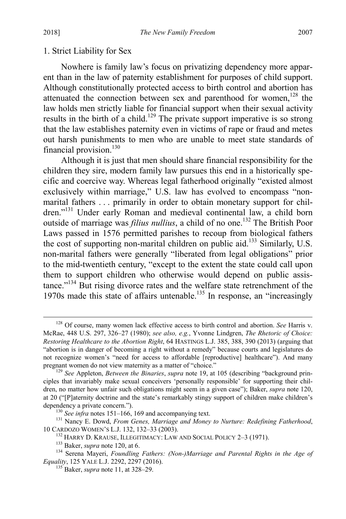#### 1. Strict Liability for Sex

<span id="page-25-0"></span>Nowhere is family law's focus on privatizing dependency more apparent than in the law of paternity establishment for purposes of child support. Although constitutionally protected access to birth control and abortion has attenuated the connection between sex and parenthood for women, $128$  the law holds men strictly liable for financial support when their sexual activity results in the birth of a child.<sup>129</sup> The private support imperative is so strong that the law establishes paternity even in victims of rape or fraud and metes out harsh punishments to men who are unable to meet state standards of financial provision.<sup>130</sup>

<span id="page-25-2"></span>Although it is just that men should share financial responsibility for the children they sire, modern family law pursues this end in a historically specific and coercive way. Whereas legal fatherhood originally "existed almost exclusively within marriage," U.S. law has evolved to encompass "nonmarital fathers . . . primarily in order to obtain monetary support for children."<sup>131</sup> Under early Roman and medieval continental law, a child born outside of marriage was *filius nullius*, a child of no one.<sup>132</sup> The British Poor Laws passed in 1576 permitted parishes to recoup from biological fathers the cost of supporting non-marital children on public aid.<sup>133</sup> Similarly, U.S. non-marital fathers were generally "liberated from legal obligations" prior to the mid-twentieth century, "except to the extent the state could call upon them to support children who otherwise would depend on public assistance."<sup>134</sup> But rising divorce rates and the welfare state retrenchment of the 1970s made this state of affairs untenable.<sup>135</sup> In response, an "increasingly

<span id="page-25-1"></span> <sup>128</sup> Of course, many women lack effective access to birth control and abortion. *See* Harris v. McRae, 448 U.S. 297, 326–27 (1980); *see also, e.g.*, Yvonne Lindgren, *The Rhetoric of Choice: Restoring Healthcare to the Abortion Right*, 64 HASTINGS L.J. 385, 388, 390 (2013) (arguing that "abortion is in danger of becoming a right without a remedy" because courts and legislatures do not recognize women's "need for access to affordable [reproductive] healthcare"). And many pregnant women do not view maternity as a matter of "choice." <sup>129</sup> *See Appleton, Between the Binaries, supra* note [19,](#page-5-1) at 105 (describing "background prin-

ciples that invariably make sexual conceivers 'personally responsible' for supporting their children, no matter how unfair such obligations might seem in a given case"); Baker, *supra* note [120,](#page-22-0) at 20 ("[P]aternity doctrine and the state's remarkably stingy support of children make children's

dependency a private concern.").<br>
<sup>130</sup> *See infra* notes [151–](#page-28-0)[166,](#page-30-0) [169](#page-30-1) and accompanying text.<br>
<sup>131</sup> Nancy E. Dowd, *From Genes, Marriage and Money to Nurture: Redefining Fatherhood*,<br>
10 CARDOZO WOMEN'S L.J. 132, 132–33 (

<sup>&</sup>lt;sup>132</sup> HARRY D. KRAUSE, ILLEGITIMACY: LAW AND SOCIAL POLICY 2–3 (1971).<br><sup>133</sup> Baker, *supra* note [120,](#page-22-0) at 6.<br><sup>134</sup> Serena Mayeri, *Foundling Fathers: (Non-)Marriage and Parental Rights in the Age of Equality*, 125 YALE L.J. 2292, 2297 (2016). <sup>135</sup> Baker, *supra* note [11,](#page-4-0) at 328–29.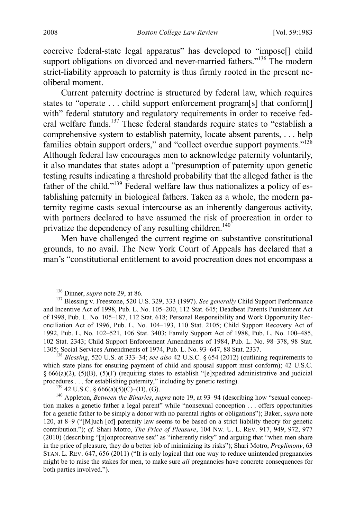coercive federal-state legal apparatus" has developed to "impose[] child support obligations on divorced and never-married fathers."<sup>136</sup> The modern strict-liability approach to paternity is thus firmly rooted in the present neoliberal moment.

Current paternity doctrine is structured by federal law, which requires states to "operate . . . child support enforcement program[s] that conform[] with" federal statutory and regulatory requirements in order to receive federal welfare funds.<sup>137</sup> These federal standards require states to "establish a comprehensive system to establish paternity, locate absent parents, . . . help families obtain support orders," and "collect overdue support payments."<sup>138</sup> Although federal law encourages men to acknowledge paternity voluntarily, it also mandates that states adopt a "presumption of paternity upon genetic testing results indicating a threshold probability that the alleged father is the father of the child."<sup>139</sup> Federal welfare law thus nationalizes a policy of establishing paternity in biological fathers. Taken as a whole, the modern paternity regime casts sexual intercourse as an inherently dangerous activity, with partners declared to have assumed the risk of procreation in order to privatize the dependency of any resulting children.<sup>140</sup>

Men have challenged the current regime on substantive constitutional grounds, to no avail. The New York Court of Appeals has declared that a man's "constitutional entitlement to avoid procreation does not encompass a

<span id="page-26-0"></span>

<sup>&</sup>lt;sup>136</sup> Dinner, *supra* not[e 29,](#page-7-0) at 86.<br><sup>137</sup> Blessing v. Freestone, 520 U.S. 329, 333 (1997). *See generally* Child Support Performance and Incentive Act of 1998, Pub. L. No. 105–200, 112 Stat. 645; Deadbeat Parents Punishment Act of 1998, Pub. L. No. 105–187, 112 Stat. 618; Personal Responsibility and Work Opportunity Reconciliation Act of 1996, Pub. L. No. 104–193, 110 Stat. 2105; Child Support Recovery Act of 1992, Pub. L. No. 102–521, 106 Stat. 3403; Family Support Act of 1988, Pub. L. No. 100–485, 102 Stat. 2343; Child Support Enforcement Amendments of 1984, Pub. L. No. 98–378, 98 Stat. 1305; Social Services Amendments of 1974, Pub. L. No. 93–647, 88 Stat. 2337. <sup>138</sup> *Blessing*, 520 U.S. at 333–34; *see also* 42 U.S.C. § 654 (2012) (outlining requirements to

which state plans for ensuring payment of child and spousal support must conform); 42 U.S.C.  $§ 666(a)(2)$ , (5)(B), (5)(F) (requiring states to establish "[e]xpedited administrative and judicial procedures . . . for establishing paternity," including by genetic testing).<br><sup>139</sup> 42 U.S.C. § 666(a)(5)(C)–(D), (G).<br><sup>140</sup> Appleton, *Between the Binaries*, *supra* not[e 19,](#page-5-1) at 93–94 (describing how "sexual concep-

tion makes a genetic father a legal parent" while "nonsexual conception . . . offers opportunities for a genetic father to be simply a donor with no parental rights or obligations"); Baker, *supra* note [120,](#page-22-0) at 8–9 ("[M]uch [of] paternity law seems to be based on a strict liability theory for genetic contribution."); *cf.* Shari Motro, *The Price of Pleasure*, 104 NW. U. L. REV. 917, 949, 972, 977 (2010) (describing "[n]onprocreative sex" as "inherently risky" and arguing that "when men share in the price of pleasure, they do a better job of minimizing its risks"); Shari Motro, *Preglimony*, 63 STAN. L. REV. 647, 656 (2011) ("It is only logical that one way to reduce unintended pregnancies might be to raise the stakes for men, to make sure *all* pregnancies have concrete consequences for both parties involved.").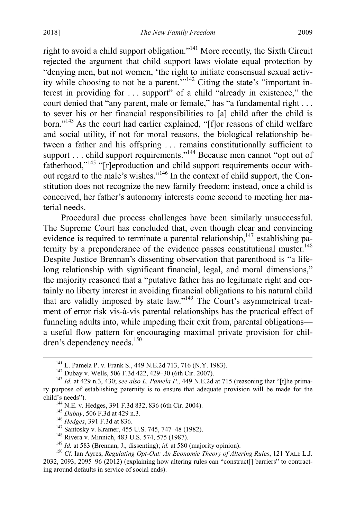right to avoid a child support obligation."141 More recently, the Sixth Circuit rejected the argument that child support laws violate equal protection by "denying men, but not women, 'the right to initiate consensual sexual activity while choosing to not be a parent."<sup>142</sup> Citing the state's "important interest in providing for . . . support" of a child "already in existence," the court denied that "any parent, male or female," has "a fundamental right . . . to sever his or her financial responsibilities to [a] child after the child is born."143 As the court had earlier explained, "[f]or reasons of child welfare and social utility, if not for moral reasons, the biological relationship between a father and his offspring . . . remains constitutionally sufficient to support . . . child support requirements."<sup>144</sup> Because men cannot "opt out of fatherhood,"<sup>145</sup> "[r]eproduction and child support requirements occur without regard to the male's wishes."146 In the context of child support, the Constitution does not recognize the new family freedom; instead, once a child is conceived, her father's autonomy interests come second to meeting her material needs.

Procedural due process challenges have been similarly unsuccessful. The Supreme Court has concluded that, even though clear and convincing evidence is required to terminate a parental relationship,  $147$  establishing paternity by a preponderance of the evidence passes constitutional muster.<sup>148</sup> Despite Justice Brennan's dissenting observation that parenthood is "a lifelong relationship with significant financial, legal, and moral dimensions," the majority reasoned that a "putative father has no legitimate right and certainly no liberty interest in avoiding financial obligations to his natural child that are validly imposed by state law."149 The Court's asymmetrical treatment of error risk vis-à-vis parental relationships has the practical effect of funneling adults into, while impeding their exit from, parental obligations a useful flow pattern for encouraging maximal private provision for children's dependency needs.<sup>150</sup>

<sup>&</sup>lt;sup>141</sup> L. Pamela P. v. Frank S., 449 N.E.2d 713, 716 (N.Y. 1983).<br><sup>142</sup> Dubay v. Wells, 506 F.3d 422, 429–30 (6th Cir. 2007).<br><sup>143</sup> *Id.* at 429 n.3, 430; *see also L. Pamela P.*, 449 N.E.2d at 715 (reasoning that "[t]he p ry purpose of establishing paternity is to ensure that adequate provision will be made for the child's needs").<br>
<sup>144</sup> N.E. v. Hedges, 391 F.3d 832, 836 (6th Cir. 2004).<br>
<sup>145</sup> Dubay, 506 F.3d at 429 n.3.<br>
<sup>146</sup> Hedges, 391 F.3d at 836.<br>
<sup>147</sup> Santosky v. Kramer, 455 U.S. 745, 747–48 (1982).<br>
<sup>148</sup> Rivera v. Minnich

<sup>2032, 2093, 2095–96 (2012) (</sup>explaining how altering rules can "construct[] barriers" to contracting around defaults in service of social ends).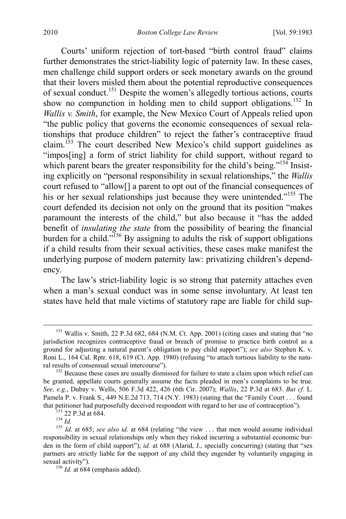<span id="page-28-0"></span>Courts' uniform rejection of tort-based "birth control fraud" claims further demonstrates the strict-liability logic of paternity law. In these cases, men challenge child support orders or seek monetary awards on the ground that their lovers misled them about the potential reproductive consequences of sexual conduct.151 Despite the women's allegedly tortious actions, courts show no compunction in holding men to child support obligations.<sup>152</sup> In *Wallis v. Smith*, for example, the New Mexico Court of Appeals relied upon "the public policy that governs the economic consequences of sexual relationships that produce children" to reject the father's contraceptive fraud claim.<sup>153</sup> The court described New Mexico's child support guidelines as "impos[ing] a form of strict liability for child support, without regard to which parent bears the greater responsibility for the child's being."<sup>154</sup> Insisting explicitly on "personal responsibility in sexual relationships," the *Wallis* court refused to "allow[] a parent to opt out of the financial consequences of his or her sexual relationships just because they were unintended."<sup>155</sup> The court defended its decision not only on the ground that its position "makes paramount the interests of the child," but also because it "has the added benefit of *insulating the state* from the possibility of bearing the financial burden for a child."<sup>156</sup> By assigning to adults the risk of support obligations if a child results from their sexual activities, these cases make manifest the underlying purpose of modern paternity law: privatizing children's dependency.

The law's strict-liability logic is so strong that paternity attaches even when a man's sexual conduct was in some sense involuntary. At least ten states have held that male victims of statutory rape are liable for child sup-

<sup>&</sup>lt;sup>151</sup> Wallis v. Smith, 22 P.3d 682, 684 (N.M. Ct. App. 2001) (citing cases and stating that "no jurisdiction recognizes contraceptive fraud or breach of promise to practice birth control as a ground for adjusting a natural parent's obligation to pay child support"); *see also* Stephen K. v. Roni L., 164 Cal. Rptr. 618, 619 (Ct. App. 1980) (refusing "to attach tortious liability to the natural results of consensual sexual intercourse").<br><sup>152</sup> Because these cases are usually dismissed for failure to state a claim upon which relief can

be granted, appellate courts generally assume the facts pleaded in men's complaints to be true. *See, e.g.*, Dubay v. Wells, 506 F.3d 422, 426 (6th Cir. 2007); *Wallis*, 22 P.3d at 683. *But cf.* L. Pamela P. v. Frank S., 449 N.E.2d 713, 714 (N.Y. 1983) (stating that the "Family Court . . . found

that petitioner had purposefully deceived respondent with regard to her use of contraception").<br><sup>153</sup> 22 P.3d at 684.<br><sup>154</sup> *Id.*<br><sup>155</sup> *Id.* at 685; *see also id.* at 684 (relating "the view ... that men would assume ind responsibility in sexual relationships only when they risked incurring a substantial economic burden in the form of child support"); *id.* at 688 (Alarid, J., specially concurring) (stating that "sex partners are strictly liable for the support of any child they engender by voluntarily engaging in sexual activity").<br><sup>156</sup> *Id.* at 684 (emphasis added).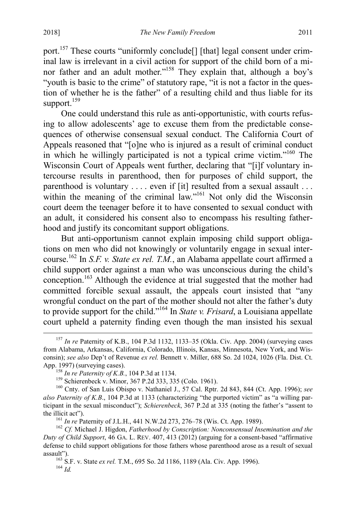port.<sup>157</sup> These courts "uniformly conclude<sup>[]</sup> [that] legal consent under criminal law is irrelevant in a civil action for support of the child born of a minor father and an adult mother."<sup>158</sup> They explain that, although a boy's "youth is basic to the crime" of statutory rape, "it is not a factor in the question of whether he is the father" of a resulting child and thus liable for its support. $159$ 

One could understand this rule as anti-opportunistic, with courts refusing to allow adolescents' age to excuse them from the predictable consequences of otherwise consensual sexual conduct. The California Court of Appeals reasoned that "[o]ne who is injured as a result of criminal conduct in which he willingly participated is not a typical crime victim."160 The Wisconsin Court of Appeals went further, declaring that "[i]f voluntary intercourse results in parenthood, then for purposes of child support, the parenthood is voluntary .... even if [it] resulted from a sexual assault ... within the meaning of the criminal law."<sup>161</sup> Not only did the Wisconsin court deem the teenager before it to have consented to sexual conduct with an adult, it considered his consent also to encompass his resulting fatherhood and justify its concomitant support obligations.

But anti-opportunism cannot explain imposing child support obligations on men who did not knowingly or voluntarily engage in sexual intercourse.162 In *S.F. v. State ex rel. T.M.*, an Alabama appellate court affirmed a child support order against a man who was unconscious during the child's conception.<sup>163</sup> Although the evidence at trial suggested that the mother had committed forcible sexual assault, the appeals court insisted that "any wrongful conduct on the part of the mother should not alter the father's duty to provide support for the child."164 In *State v. Frisard*, a Louisiana appellate court upheld a paternity finding even though the man insisted his sexual

 <sup>157</sup> *In re* Paternity of K.B., 104 P.3d 1132, 1133–35 (Okla. Civ. App. 2004) (surveying cases from Alabama, Arkansas, California, Colorado, Illinois, Kansas, Minnesota, New York, and Wisconsin); *see also* Dep't of Revenue *ex rel.* Bennett v. Miller, 688 So. 2d 1024, 1026 (Fla. Dist. Ct. App. 1997) (surveying cases).<br>
<sup>158</sup> *In re Paternity of K.B.*, 104 P.3d at 1134.<br>
<sup>159</sup> Schierenbeck v. Minor, 367 P.2d 333, 335 (Colo. 1961).<br>
<sup>160</sup> Cnty. of San Luis Obispo v. Nathaniel J., 57 Cal. Rptr. 2d 843, 844 (C

*also Paternity of K.B*., 104 P.3d at 1133 (characterizing "the purported victim" as "a willing participant in the sexual misconduct"); *Schierenbeck*, 367 P.2d at 335 (noting the father's "assent to the illicit act").<br><sup>161</sup> *In re* Paternity of J.L.H., 441 N.W.2d 273, 276–78 (Wis. Ct. App. 1989).<br><sup>162</sup> *Cf.* Michael J. Higdon, *Fatherhood by Conscription: Nonconsensual Insemination and the* 

*Duty of Child Support*, 46 GA. L. REV. 407, 413 (2012) (arguing for a consent-based "affirmative defense to child support obligations for those fathers whose parenthood arose as a result of sexual

<sup>&</sup>lt;sup>163</sup> S.F. v. State *ex rel.* T.M., 695 So. 2d 1186, 1189 (Ala. Civ. App. 1996). <sup>164</sup> *Id*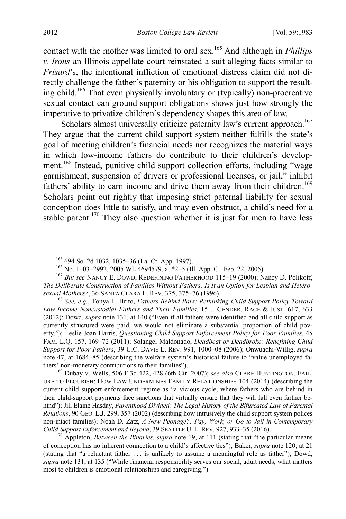contact with the mother was limited to oral sex.165 And although in *Phillips v. Irons* an Illinois appellate court reinstated a suit alleging facts similar to *Frisard*'s, the intentional infliction of emotional distress claim did not directly challenge the father's paternity or his obligation to support the resulting child.166 That even physically involuntary or (typically) non-procreative sexual contact can ground support obligations shows just how strongly the imperative to privatize children's dependency shapes this area of law.

<span id="page-30-0"></span>Scholars almost universally criticize paternity law's current approach.<sup>167</sup> They argue that the current child support system neither fulfills the state's goal of meeting children's financial needs nor recognizes the material ways in which low-income fathers do contribute to their children's development.168 Instead, punitive child support collection efforts, including "wage garnishment, suspension of drivers or professional licenses, or jail," inhibit fathers' ability to earn income and drive them away from their children.<sup>169</sup> Scholars point out rightly that imposing strict paternal liability for sexual conception does little to satisfy, and may even obstruct, a child's need for a stable parent.<sup>170</sup> They also question whether it is just for men to have less

URE TO FLOURISH: HOW LAW UNDERMINES FAMILY RELATIONSHIPS 104 (2014) (describing the current child support enforcement regime as "a vicious cycle, where fathers who are behind in their child-support payments face sanctions that virtually ensure that they will fall even farther behind"); Jill Elaine Hasday, Parenthood Divided: The Legal History of the Bifurcated Law of Parental *Relations*, 90 GEO. L.J. 299, 357 (2002) (describing how intrusively the child support system polices non-intact families); Noah D. Zatz, *A New Peonage?: Pay, Work, or Go to Jail in Contemporary* 

<sup>170</sup> Appleton, *Between the Binaries*, *supra* note [19,](#page-5-1) at 111 (stating that "the particular means"). of conception has no inherent connection to a child's affective ties"); Baker, *supra* note [120,](#page-22-0) at 21 (stating that "a reluctant father . . . is unlikely to assume a meaningful role as father"); Dowd, *supra* not[e 131,](#page-25-2) at 135 ("While financial responsibility serves our social, adult needs, what matters most to children is emotional relationships and caregiving.").

<span id="page-30-1"></span>

<sup>&</sup>lt;sup>165</sup> 694 So. 2d 1032, 1035–36 (La. Ct. App. 1997).<br><sup>166</sup> No. 1–03–2992, 2005 WL 4694579, at \*2–5 (Ill. App. Ct. Feb. 22, 2005).<br><sup>167</sup> *But see* NANCY E. DOWD, REDEFINING FATHERHOOD 115–19 (2000); Nancy D. Polikoff, *The Deliberate Construction of Families Without Fathers: Is It an Option for Lesbian and Hetero-*

*sexual Mothers?*, 36 SANTA CLARA L. REV. 375, 375–76 (1996). <sup>168</sup> *See, e.g.*, Tonya L. Brito, *Fathers Behind Bars: Rethinking Child Support Policy Toward Low-Income Noncustodial Fathers and Their Families*, 15 J. GENDER, RACE & JUST. 617, 633 (2012); Dowd, *supra* not[e 131,](#page-25-2) at 140 ("Even if all fathers were identified and all child support as currently structured were paid, we would not eliminate a substantial proportion of child poverty."); Leslie Joan Harris, *Questioning Child Support Enforcement Policy for Poor Families*, 45 FAM. L.Q. 157, 169–72 (2011); Solangel Maldonado, *Deadbeat or Deadbroke: Redefining Child Support for Poor Fathers*, 39 U.C. DAVIS L. REV. 991, 1000–08 (2006); Onwuachi-Willig, *supra* note [47,](#page-11-0) at 1684–85 (describing the welfare system's historical failure to "value unemployed fathers' non-monetary contributions to their families").<br><sup>169</sup> Dubay v. Wells, 506 F.3d 422, 428 (6th Cir. 2007); *see also* CLARE HUNTINGTON, FAIL-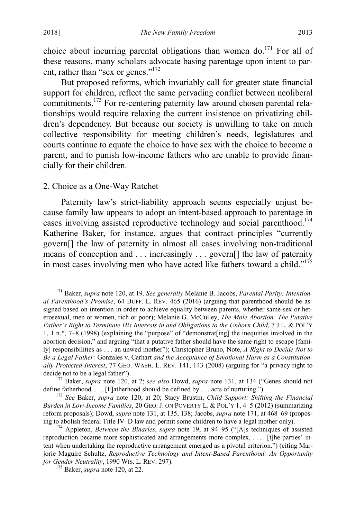<span id="page-31-0"></span>choice about incurring parental obligations than women do.<sup>171</sup> For all of these reasons, many scholars advocate basing parentage upon intent to parent, rather than "sex or genes."<sup>172</sup>

<span id="page-31-1"></span>But proposed reforms, which invariably call for greater state financial support for children, reflect the same pervading conflict between neoliberal commitments.173 For re-centering paternity law around chosen parental relationships would require relaxing the current insistence on privatizing children's dependency. But because our society is unwilling to take on much collective responsibility for meeting children's needs, legislatures and courts continue to equate the choice to have sex with the choice to become a parent, and to punish low-income fathers who are unable to provide financially for their children.

#### 2. Choice as a One-Way Ratchet

Paternity law's strict-liability approach seems especially unjust because family law appears to adopt an intent-based approach to parentage in cases involving assisted reproductive technology and social parenthood.<sup>174</sup> Katherine Baker, for instance, argues that contract principles "currently govern[] the law of paternity in almost all cases involving non-traditional means of conception and . . . increasingly . . . govern[] the law of paternity in most cases involving men who have acted like fathers toward a child."<sup>175</sup>

 <sup>171</sup> Baker, *supra* note [120,](#page-22-0) at 19. *See generally* Melanie B. Jacobs, *Parental Parity: Intentional Parenthood's Promise*, 64 BUFF. L. REV. 465 (2016) (arguing that parenthood should be assigned based on intention in order to achieve equality between parents, whether same-sex or heterosexual, men or women, rich or poor); Melanie G. McCulley, *The Male Abortion: The Putative Father's Right to Terminate His Interests in and Obligations to the Unborn Child*, 7 J.L. & POL'Y 1, 1 n.\*, 7–8 (1998) (explaining the "purpose" of "demonstrat[ing] the inequities involved in the abortion decision," and arguing "that a putative father should have the same right to escape [family] responsibilities as . . . an unwed mother"); Christopher Bruno, Note, *A Right to Decide Not to Be a Legal Father:* Gonzales v. Carhart *and the Acceptance of Emotional Harm as a Constitutionally Protected Interest*, 77 GEO. WASH. L. REV. 141, 143 (2008) (arguing for "a privacy right to

<sup>&</sup>lt;sup>172</sup> Baker, *supra* note [120,](#page-22-0) at 2; *see also* Dowd, *supra* note [131,](#page-25-2) at 134 ("Genes should not define fatherhood.... [F]atherhood should be defined by ... acts of nurturing.").

<sup>&</sup>lt;sup>173</sup> See Baker, *supra* note [120,](#page-22-0) at 20; Stacy Brustin, *Child Support: Shifting the Financial Burden in Low-Income Families*, 20 GEO. J. ON POVERTY L. & POL'Y 1, 4–5 (2012) (summarizing reform proposals); Dowd, *supra* note [131,](#page-25-2) at 135, 138; Jacobs, *supra* not[e 171,](#page-31-0) at 468–69 (proposing to abolish federal Title IV–D law and permit some children to have a legal mother only). <sup>174</sup> Appleton, *Between the Binaries*, *supra* note [19,](#page-5-1) at 94–95 ("[A]s techniques of assisted

reproduction became more sophisticated and arrangements more complex, . . . . [t]he parties' intent when undertaking the reproductive arrangement emerged as a pivotal criterion.") (citing Marjorie Maguire Schultz, *Reproductive Technology and Intent-Based Parenthood: An Opportunity for Gender Neutrality*, 1990 WIS. L. REV. 297). <sup>175</sup> Baker, *supra* note [120,](#page-22-0) at 22.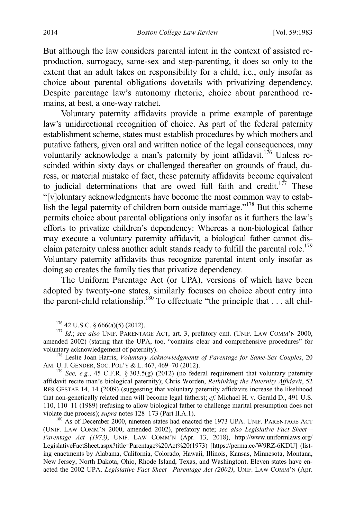But although the law considers parental intent in the context of assisted reproduction, surrogacy, same-sex and step-parenting, it does so only to the extent that an adult takes on responsibility for a child, i.e., only insofar as choice about parental obligations dovetails with privatizing dependency. Despite parentage law's autonomy rhetoric, choice about parenthood remains, at best, a one-way ratchet.

<span id="page-32-0"></span>Voluntary paternity affidavits provide a prime example of parentage law's unidirectional recognition of choice. As part of the federal paternity establishment scheme, states must establish procedures by which mothers and putative fathers, given oral and written notice of the legal consequences, may voluntarily acknowledge a man's paternity by joint affidavit.<sup>176</sup> Unless rescinded within sixty days or challenged thereafter on grounds of fraud, duress, or material mistake of fact, these paternity affidavits become equivalent to judicial determinations that are owed full faith and credit.<sup>177</sup> These "[v]oluntary acknowledgments have become the most common way to establish the legal paternity of children born outside marriage."178 But this scheme permits choice about parental obligations only insofar as it furthers the law's efforts to privatize children's dependency: Whereas a non-biological father may execute a voluntary paternity affidavit, a biological father cannot disclaim paternity unless another adult stands ready to fulfill the parental role.<sup>179</sup> Voluntary paternity affidavits thus recognize parental intent only insofar as doing so creates the family ties that privatize dependency.

The Uniform Parentage Act (or UPA), versions of which have been adopted by twenty-one states, similarly focuses on choice about entry into the parent-child relationship.<sup>180</sup> To effectuate "the principle that  $\dots$  all chil-

<span id="page-32-1"></span>

<sup>176</sup> 42 U.S.C. § 666(a)(5) (2012). <sup>177</sup> *Id.*; *see also* UNIF. PARENTAGE ACT, art. 3, prefatory cmt. (UNIF. LAW COMM'N 2000, amended 2002) (stating that the UPA, too, "contains clear and comprehensive procedures" for

voluntary acknowledgement of paternity).<br><sup>178</sup> Leslie Joan Harris, *Voluntary Acknowledgments of Parentage for Same-Sex Couples*, 20<br>AM. U. J. GENDER, SOC. POL'Y & L. 467, 469–70 (2012).

<sup>&</sup>lt;sup>179</sup> See, e.g., 45 C.F.R. § 303.5(g) (2012) (no federal requirement that voluntary paternity affidavit recite man's biological paternity); Chris Worden, *Rethinking the Paternity Affidavit*, 52 RES GESTAE 14, 14 (2009) (suggesting that voluntary paternity affidavits increase the likelihood that non-genetically related men will become legal fathers); *cf.* Michael H. v. Gerald D., 491 U.S. 110, 110–11 (1989) (refusing to allow biological father to challenge marital presumption does not violate due process); *supra* notes [128–](#page-25-0)[173](#page-31-1) (Part II.A.1).<br><sup>180</sup> As of December 2000, nineteen states had enacted the 1973 UPA. UNIF. PARENTAGE ACT

<sup>(</sup>UNIF. LAW COMM'N 2000, amended 2002), prefatory note; *see also Legislative Fact Sheet— Parentage Act (1973)*, UNIF. LAW COMM'N (Apr. 13, 2018), http://www.uniformlaws.org/ LegislativeFactSheet.aspx?title=Parentage%20Act%20(1973) [https://perma.cc/W9RZ-6KDU] (listing enactments by Alabama, California, Colorado, Hawaii, Illinois, Kansas, Minnesota, Montana, New Jersey, North Dakota, Ohio, Rhode Island, Texas, and Washington). Eleven states have enacted the 2002 UPA. *Legislative Fact Sheet—Parentage Act (2002)*, UNIF. LAW COMM'N (Apr.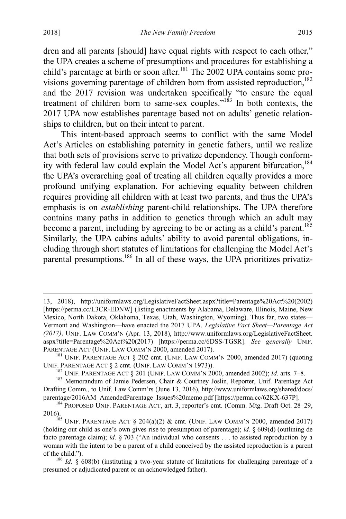dren and all parents [should] have equal rights with respect to each other," the UPA creates a scheme of presumptions and procedures for establishing a child's parentage at birth or soon after.<sup>181</sup> The  $2002$  UPA contains some provisions governing parentage of children born from assisted reproduction, $182$ and the 2017 revision was undertaken specifically "to ensure the equal treatment of children born to same-sex couples."<sup>183</sup> In both contexts, the 2017 UPA now establishes parentage based not on adults' genetic relationships to children, but on their intent to parent.

This intent-based approach seems to conflict with the same Model Act's Articles on establishing paternity in genetic fathers, until we realize that both sets of provisions serve to privatize dependency. Though conformity with federal law could explain the Model Act's apparent bifurcation,<sup>184</sup> the UPA's overarching goal of treating all children equally provides a more profound unifying explanation. For achieving equality between children requires providing all children with at least two parents, and thus the UPA's emphasis is on *establishing* parent-child relationships. The UPA therefore contains many paths in addition to genetics through which an adult may become a parent, including by agreeing to be or acting as a child's parent.<sup>185</sup> Similarly, the UPA cabins adults' ability to avoid parental obligations, including through short statutes of limitations for challenging the Model Act's parental presumptions.<sup>186</sup> In all of these ways, the UPA prioritizes privatiz-

 <sup>13, 2018),</sup> http://uniformlaws.org/LegislativeFactSheet.aspx?title=Parentage%20Act%20(2002) [https://perma.cc/L3CR-EDNW] (listing enactments by Alabama, Delaware, Illinois, Maine, New Mexico, North Dakota, Oklahoma, Texas, Utah, Washington, Wyoming). Thus far, two states— Vermont and Washington—have enacted the 2017 UPA. *Legislative Fact Sheet—Parentage Act (2017)*, UNIF. LAW COMM'N (Apr. 13, 2018), http://www.uniformlaws.org/LegislativeFactSheet. aspx?title=Parentage%20Act%20(2017) [https://perma.cc/6DSS-TGSR]. *See generally* UNIF. PARENTAGE ACT (UNIF. LAW COMM'N 2000, amended 2017).<br><sup>181</sup> UNIF. PARENTAGE ACT § 202 cmt. (UNIF. LAW COMM'N 2000, amended 2017) (quoting

UNIF. PARENTAGE ACT § 2 cmt. (UNIF. LAW COMM'N 1973)).<br><sup>182</sup> UNIF. PARENTAGE ACT § 201 (UNIF. LAW COMM'N 2000, amended 2002); *Id.* arts. 7–8.<br><sup>183</sup> Memorandum of Jamie Pedersen, Chair & Courtney Joslin, Reporter, Unif. Pa

Drafting Comm., to Unif. Law Comm'rs (June 13, 2016), http://www.uniformlaws.org/shared/docs/<br>parentage/2016AM AmendedParentage Issues%20memo.pdf [https://perma.cc/62KX-637P].

<sup>&</sup>lt;sup>184</sup> PROPOSED UNIF. PARENTAGE ACT, art. 3, reporter's cmt. (Comm. Mtg. Draft Oct. 28–29, 2016).<br><sup>185</sup> UNIF. PARENTAGE ACT § 204(a)(2) & cmt. (UNIF. LAW COMM'N 2000, amended 2017)

<sup>(</sup>holding out child as one's own gives rise to presumption of parentage); *id.* § 609(d) (outlining de facto parentage claim); *id.* § 703 ("An individual who consents . . . to assisted reproduction by a woman with the intent to be a parent of a child conceived by the assisted reproduction is a parent of the child.").<br><sup>186</sup> *Id.* § 608(b) (instituting a two-year statute of limitations for challenging parentage of a

presumed or adjudicated parent or an acknowledged father).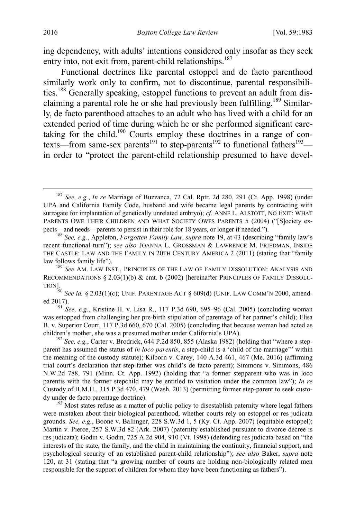ing dependency, with adults' intentions considered only insofar as they seek entry into, not exit from, parent-child relationships.<sup>187</sup>

<span id="page-34-0"></span>Functional doctrines like parental estoppel and de facto parenthood similarly work only to confirm, not to discontinue, parental responsibilities.188 Generally speaking, estoppel functions to prevent an adult from disclaiming a parental role he or she had previously been fulfilling.<sup>189</sup> Similarly, de facto parenthood attaches to an adult who has lived with a child for an extended period of time during which he or she performed significant caretaking for the child.<sup>190</sup> Courts employ these doctrines in a range of contexts—from same-sex parents<sup>191</sup> to step-parents<sup>192</sup> to functional fathers<sup>193</sup> in order to "protect the parent-child relationship presumed to have devel-

 <sup>187</sup> *See, e.g.*, *In re* Marriage of Buzzanca, 72 Cal. Rptr. 2d 280, 291 (Ct. App. 1998) (under UPA and California Family Code, husband and wife became legal parents by contracting with surrogate for implantation of genetically unrelated embryo); *cf.* ANNE L. ALSTOTT, NO EXIT: WHAT PARENTS OWE THEIR CHILDREN AND WHAT SOCIETY OWES PARENTS 5 (2004) ("[S]ociety expects—and needs—parents to persist in their role for 18 years, or longer if needed."). <sup>188</sup> *See, e.g.*, Appleton, *Forgotten Family Law*, *supra* not[e 19,](#page-5-1) at 43 (describing "family law's

recent functional turn"); *see also* JOANNA L. GROSSMAN & LAWRENCE M. FRIEDMAN, INSIDE THE CASTLE: LAW AND THE FAMILY IN 20TH CENTURY AMERICA 2 (2011) (stating that "family law follows family life"). <sup>189</sup> *See* AM. LAW INST., PRINCIPLES OF THE LAW OF FAMILY DISSOLUTION: ANALYSIS AND

RECOMMENDATIONS  $\S 2.03(1)(b)$  & cmt. b (2002) [hereinafter PRINCIPLES OF FAMILY DISSOLU-TION].

 $^{190}$  *See id.* § 2.03(1)(c); UNIF. PARENTAGE ACT § 609(d) (UNIF. LAW COMM'N 2000, amended 2017). <sup>191</sup> *See, e.g.*, Kristine H. v. Lisa R., 117 P.3d 690, 695–96 (Cal. 2005) (concluding woman

was estopped from challenging her pre-birth stipulation of parentage of her partner's child); Elisa B. v. Superior Court, 117 P.3d 660, 670 (Cal. 2005) (concluding that because woman had acted as children's mother, she was a presumed mother under California's UPA). <sup>192</sup> *See, e.g.*, Carter v. Brodrick, 644 P.2d 850, 855 (Alaska 1982) (holding that "where a step-

parent has assumed the status of *in loco parentis*, a step-child is a 'child of the marriage'" within the meaning of the custody statute); Kilborn v. Carey, 140 A.3d 461, 467 (Me. 2016) (affirming trial court's declaration that step-father was child's de facto parent); Simmons v. Simmons, 486 N.W.2d 788, 791 (Minn. Ct. App. 1992) (holding that "a former stepparent who was in loco parentis with the former stepchild may be entitled to visitation under the common law"); *In re* Custody of B.M.H., 315 P.3d 470, 479 (Wash. 2013) (permitting former step-parent to seek custody under de facto parentage doctrine).<br><sup>193</sup> Most states refuse as a matter of public policy to disestablish paternity where legal fathers

were mistaken about their biological parenthood, whether courts rely on estoppel or res judicata grounds. *See, e.g.*, Boone v. Ballinger, 228 S.W.3d 1, 5 (Ky. Ct. App. 2007) (equitable estoppel); Martin v. Pierce, 257 S.W.3d 82 (Ark. 2007) (paternity established pursuant to divorce decree is res judicata); Godin v. Godin, 725 A.2d 904, 910 (Vt. 1998) (defending res judicata based on "the interests of the state, the family, and the child in maintaining the continuity, financial support, and psychological security of an established parent-child relationship"); *see also* Baker, *supra* note [120,](#page-22-0) at 31 (stating that "a growing number of courts are holding non-biologically related men responsible for the support of children for whom they have been functioning as fathers").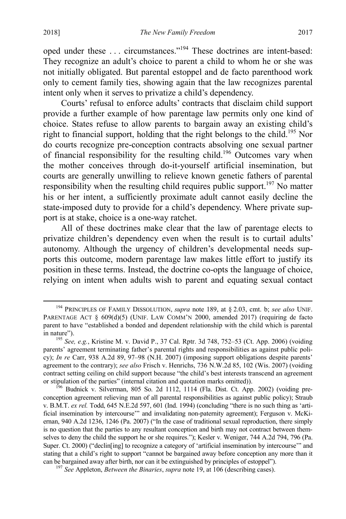oped under these . . . circumstances."194 These doctrines are intent-based: They recognize an adult's choice to parent a child to whom he or she was not initially obligated. But parental estoppel and de facto parenthood work only to cement family ties, showing again that the law recognizes parental intent only when it serves to privatize a child's dependency.

Courts' refusal to enforce adults' contracts that disclaim child support provide a further example of how parentage law permits only one kind of choice. States refuse to allow parents to bargain away an existing child's right to financial support, holding that the right belongs to the child.<sup>195</sup> Nor do courts recognize pre-conception contracts absolving one sexual partner of financial responsibility for the resulting child.196 Outcomes vary when the mother conceives through do-it-yourself artificial insemination, but courts are generally unwilling to relieve known genetic fathers of parental responsibility when the resulting child requires public support.<sup>197</sup> No matter his or her intent, a sufficiently proximate adult cannot easily decline the state-imposed duty to provide for a child's dependency. Where private support is at stake, choice is a one-way ratchet.

<span id="page-35-0"></span>All of these doctrines make clear that the law of parentage elects to privatize children's dependency even when the result is to curtail adults' autonomy. Although the urgency of children's developmental needs supports this outcome, modern parentage law makes little effort to justify its position in these terms. Instead, the doctrine co-opts the language of choice, relying on intent when adults wish to parent and equating sexual contact

 <sup>194</sup> PRINCIPLES OF FAMILY DISSOLUTION, *supra* note [189,](#page-34-0) at § 2.03, cmt. b; *see also* UNIF. PARENTAGE ACT § 609(d)(5) (UNIF. LAW COMM'N 2000, amended 2017) (requiring de facto parent to have "established a bonded and dependent relationship with the child which is parental

in nature"). <sup>195</sup> *See, e.g.*, Kristine M. v. David P., 37 Cal. Rptr. 3d 748, 752–53 (Ct. App. 2006) (voiding parents' agreement terminating father's parental rights and responsibilities as against public policy); *In re* Carr, 938 A.2d 89, 97–98 (N.H. 2007) (imposing support obligations despite parents' agreement to the contrary); *see also* Frisch v. Henrichs, 736 N.W.2d 85, 102 (Wis. 2007) (voiding contract setting ceiling on child support because "the child's best interests transcend an agreement or stipulation of the parties" (internal citation and quotation marks omitted)). <sup>196</sup> Budnick v. Silverman, 805 So. 2d 1112, 1114 (Fla. Dist. Ct. App. 2002) (voiding pre-

conception agreement relieving man of all parental responsibilities as against public policy); Straub v. B.M.T. *ex rel.* Todd, 645 N.E.2d 597, 601 (Ind. 1994) (concluding "there is no such thing as 'artificial insemination by intercourse'" and invalidating non-paternity agreement); Ferguson v. McKiernan, 940 A.2d 1236, 1246 (Pa. 2007) ("In the case of traditional sexual reproduction, there simply is no question that the parties to any resultant conception and birth may not contract between themselves to deny the child the support he or she requires."); Kesler v. Weniger, 744 A.2d 794, 796 (Pa. Super. Ct. 2000) ("declin[ing] to recognize a category of 'artificial insemination by intercourse'" and stating that a child's right to support "cannot be bargained away before conception any more than it can be bargained away after birth, nor can it be extinguished by principles of estoppel"). <sup>197</sup> *See* Appleton, *Between the Binaries*, *supra* note [19,](#page-5-1) at 106 (describing cases).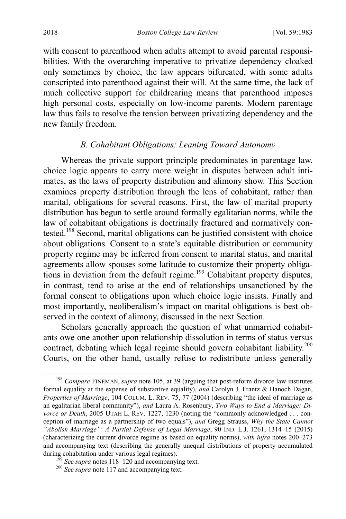with consent to parenthood when adults attempt to avoid parental responsibilities. With the overarching imperative to privatize dependency cloaked only sometimes by choice, the law appears bifurcated, with some adults conscripted into parenthood against their will. At the same time, the lack of much collective support for childrearing means that parenthood imposes high personal costs, especially on low-income parents. Modern parentage law thus fails to resolve the tension between privatizing dependency and the new family freedom.

### *B. Cohabitant Obligations: Leaning Toward Autonomy*

<span id="page-36-1"></span>Whereas the private support principle predominates in parentage law, choice logic appears to carry more weight in disputes between adult intimates, as the laws of property distribution and alimony show. This Section examines property distribution through the lens of cohabitant, rather than marital, obligations for several reasons. First, the law of marital property distribution has begun to settle around formally egalitarian norms, while the law of cohabitant obligations is doctrinally fractured and normatively contested.198 Second, marital obligations can be justified consistent with choice about obligations. Consent to a state's equitable distribution or community property regime may be inferred from consent to marital status, and marital agreements allow spouses some latitude to customize their property obligations in deviation from the default regime.<sup>199</sup> Cohabitant property disputes, in contrast, tend to arise at the end of relationships unsanctioned by the formal consent to obligations upon which choice logic insists. Finally and most importantly, neoliberalism's impact on marital obligations is best observed in the context of alimony, discussed in the next Section.

<span id="page-36-0"></span>Scholars generally approach the question of what unmarried cohabitants owe one another upon relationship dissolution in terms of status versus contract, debating which legal regime should govern cohabitant liability.<sup>200</sup> Courts, on the other hand, usually refuse to redistribute unless generally

 <sup>198</sup> *Compare* FINEMAN, *supra* not[e 105,](#page-19-0) at 39 (arguing that post-reform divorce law institutes formal equality at the expense of substantive equality), *and* Carolyn J. Frantz & Hanoch Dagan, *Properties of Marriage*, 104 COLUM. L. REV. 75, 77 (2004) (describing "the ideal of marriage as an egalitarian liberal community"), *and* Laura A. Rosenbury, *Two Ways to End a Marriage: Divorce or Death*, 2005 UTAH L. REV. 1227, 1230 (noting the "commonly acknowledged . . . conception of marriage as a partnership of two equals"), *and* Gregg Strauss, *Why the State Cannot "Abolish Marriage": A Partial Defense of Legal Marriage*, 90 IND. L.J. 1261, 1314–15 (2015) (characterizing the current divorce regime as based on equality norms), *with infra* notes [200–](#page-36-0)[273](#page-49-0) and accompanying text (describing the generally unequal distributions of property accumulated during cohabitation under various legal regimes).

<sup>&</sup>lt;sup>199</sup> See supra note[s 118](#page-22-0)[–120](#page-22-1) and accompanying text. <sup>200</sup> *See supra* not[e 117](#page-21-0) and accompanying text.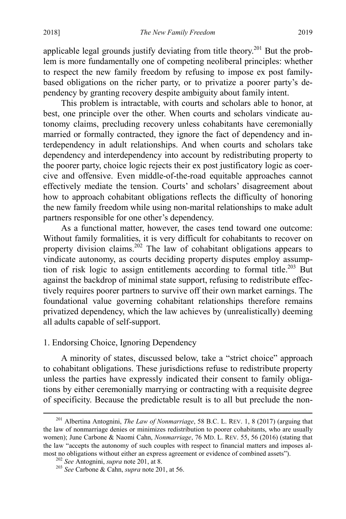<span id="page-37-0"></span>applicable legal grounds justify deviating from title theory.<sup>201</sup> But the problem is more fundamentally one of competing neoliberal principles: whether to respect the new family freedom by refusing to impose ex post familybased obligations on the richer party, or to privatize a poorer party's dependency by granting recovery despite ambiguity about family intent.

This problem is intractable, with courts and scholars able to honor, at best, one principle over the other. When courts and scholars vindicate autonomy claims, precluding recovery unless cohabitants have ceremonially married or formally contracted, they ignore the fact of dependency and interdependency in adult relationships. And when courts and scholars take dependency and interdependency into account by redistributing property to the poorer party, choice logic rejects their ex post justificatory logic as coercive and offensive. Even middle-of-the-road equitable approaches cannot effectively mediate the tension. Courts' and scholars' disagreement about how to approach cohabitant obligations reflects the difficulty of honoring the new family freedom while using non-marital relationships to make adult partners responsible for one other's dependency.

As a functional matter, however, the cases tend toward one outcome: Without family formalities, it is very difficult for cohabitants to recover on property division claims.<sup>202</sup> The law of cohabitant obligations appears to vindicate autonomy, as courts deciding property disputes employ assumption of risk logic to assign entitlements according to formal title.<sup>203</sup> But against the backdrop of minimal state support, refusing to redistribute effectively requires poorer partners to survive off their own market earnings. The foundational value governing cohabitant relationships therefore remains privatized dependency, which the law achieves by (unrealistically) deeming all adults capable of self-support.

## 1. Endorsing Choice, Ignoring Dependency

A minority of states, discussed below, take a "strict choice" approach to cohabitant obligations. These jurisdictions refuse to redistribute property unless the parties have expressly indicated their consent to family obligations by either ceremonially marrying or contracting with a requisite degree of specificity. Because the predictable result is to all but preclude the non-

 <sup>201</sup> Albertina Antognini, *The Law of Nonmarriage*, 58 B.C. L. REV. 1, 8 (2017) (arguing that the law of nonmarriage denies or minimizes redistribution to poorer cohabitants, who are usually women); June Carbone & Naomi Cahn, *Nonmarriage*, 76 MD. L. REV. 55, 56 (2016) (stating that the law "accepts the autonomy of such couples with respect to financial matters and imposes almost no obligations without either an express agreement or evidence of combined assets").<br><sup>202</sup> *See* Antognini, *supra* not[e 201,](#page-37-0) at 8. <sup>203</sup> *See* Carbone & Cahn, *supra* note 201, at 56.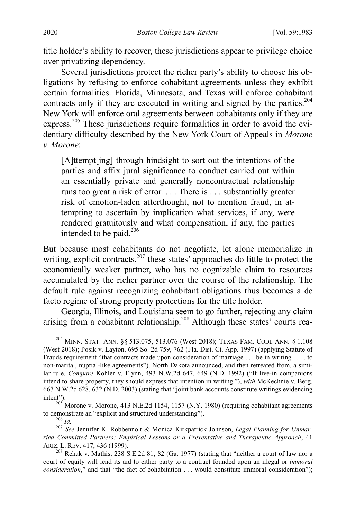title holder's ability to recover, these jurisdictions appear to privilege choice over privatizing dependency.

Several jurisdictions protect the richer party's ability to choose his obligations by refusing to enforce cohabitant agreements unless they exhibit certain formalities. Florida, Minnesota, and Texas will enforce cohabitant contracts only if they are executed in writing and signed by the parties.<sup>204</sup> New York will enforce oral agreements between cohabitants only if they are express.<sup>205</sup> These jurisdictions require formalities in order to avoid the evidentiary difficulty described by the New York Court of Appeals in *Morone v. Morone*:

[A]ttempt[ing] through hindsight to sort out the intentions of the parties and affix jural significance to conduct carried out within an essentially private and generally noncontractual relationship runs too great a risk of error. . . . There is . . . substantially greater risk of emotion-laden afterthought, not to mention fraud, in attempting to ascertain by implication what services, if any, were rendered gratuitously and what compensation, if any, the parties intended to be paid. $^{206}$ 

But because most cohabitants do not negotiate, let alone memorialize in writing, explicit contracts, $2^{07}$  these states' approaches do little to protect the economically weaker partner, who has no cognizable claim to resources accumulated by the richer partner over the course of the relationship. The default rule against recognizing cohabitant obligations thus becomes a de facto regime of strong property protections for the title holder.

Georgia, Illinois, and Louisiana seem to go further, rejecting any claim arising from a cohabitant relationship.<sup>208</sup> Although these states' courts rea-

 <sup>204</sup> MINN. STAT. ANN. §§ 513.075, 513.076 (West 2018); TEXAS FAM. CODE ANN. § 1.108 (West 2018); Posik v. Layton, 695 So. 2d 759, 762 (Fla. Dist. Ct. App. 1997) (applying Statute of Frauds requirement "that contracts made upon consideration of marriage . . . be in writing . . . . to non-marital, nuptial-like agreements"). North Dakota announced, and then retreated from, a similar rule. *Compare* Kohler v. Flynn, 493 N.W.2d 647, 649 (N.D. 1992) ("If live-in companions intend to share property, they should express that intention in writing."), *with* McKechnie v. Berg, 667 N.W.2d 628, 632 (N.D. 2003) (stating that "joint bank accounts constitute writings evidencing

intent").<br><sup>205</sup> Morone v. Morone, 413 N.E.2d 1154, 1157 (N.Y. 1980) (requiring cohabitant agreements to demonstrate an "explicit and structured understanding").

<sup>&</sup>lt;sup>206</sup> Id.<br><sup>207</sup> See Jennifer K. Robbennolt & Monica Kirkpatrick Johnson, *Legal Planning for Unmarried Committed Partners: Empirical Lessons or a Preventative and Therapeutic Approach*, 41

 $208$  Rehak v. Mathis, 238 S.E.2d 81, 82 (Ga. 1977) (stating that "neither a court of law nor a court of equity will lend its aid to either party to a contract founded upon an illegal or *immoral consideration*," and that "the fact of cohabitation . . . would constitute immoral consideration");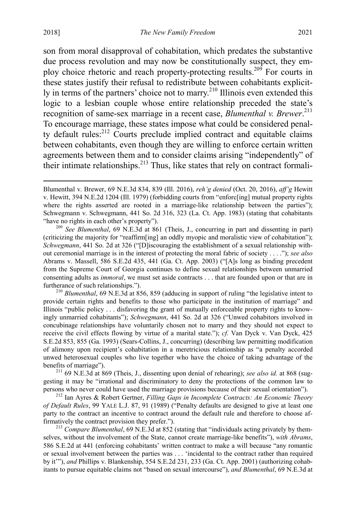2018] *The New Family Freedom* 2021

son from moral disapproval of cohabitation, which predates the substantive due process revolution and may now be constitutionally suspect, they employ choice rhetoric and reach property-protecting results.209 For courts in these states justify their refusal to redistribute between cohabitants explicitly in terms of the partners' choice not to marry.<sup>210</sup> Illinois even extended this logic to a lesbian couple whose entire relationship preceded the state's recognition of same-sex marriage in a recent case, *Blumenthal v. Brewer*. 211 To encourage marriage, these states impose what could be considered penalty default rules: $^{212}$  Courts preclude implied contract and equitable claims between cohabitants, even though they are willing to enforce certain written agreements between them and to consider claims arising "independently" of their intimate relationships. $^{213}$  Thus, like states that rely on contract formali-

<sup>209</sup> See Blumenthal, 69 N.E.3d at 861 (Theis, J., concurring in part and dissenting in part) (criticizing the majority for "reaffirm[ing] an oddly myopic and moralistic view of cohabitation"); *Schwegmann*, 441 So. 2d at 326 ("[D]iscouraging the establishment of a sexual relationship without ceremonial marriage is in the interest of protecting the moral fabric of society . . . ."); *see also* Abrams v. Massell, 586 S.E.2d 435, 441 (Ga. Ct. App. 2003) ("[A]s long as binding precedent from the Supreme Court of Georgia continues to define sexual relationships between unmarried consenting adults as *immoral*, we must set aside contracts . . . that are founded upon or that are in furtherance of such relationships.").<br><sup>210</sup> *Blumenthal*, 69 N.E.3d at 856, 859 (adducing in support of ruling "the legislative intent to

provide certain rights and benefits to those who participate in the institution of marriage" and Illinois "public policy . . . disfavoring the grant of mutually enforceable property rights to knowingly unmarried cohabitants"); *Schwegmann*, 441 So. 2d at 326 ("Unwed cohabitors involved in concubinage relationships have voluntarily chosen not to marry and they should not expect to receive the civil effects flowing by virtue of a marital state."); *cf.* Van Dyck v. Van Dyck, 425 S.E.2d 853, 855 (Ga. 1993) (Sears-Collins, J., concurring) (describing law permitting modification of alimony upon recipient's cohabitation in a meretricious relationship as "a penalty accorded unwed heterosexual couples who live together who have the choice of taking advantage of the benefits of marriage"). <sup>211</sup> 69 N.E.3d at 869 (Theis, J., dissenting upon denial of rehearing); *see also id.* at 868 (sug-

gesting it may be "irrational and discriminatory to deny the protections of the common law to persons who never could have used the marriage provisions because of their sexual orientation").

<sup>212</sup> Ian Ayres & Robert Gertner, *Filling Gaps in Incomplete Contracts: An Economic Theory of Default Rules*, 99 YALE L.J. 87, 91 (1989) ("Penalty defaults are designed to give at least one party to the contract an incentive to contract around the default rule and therefore to choose affirmatively the contract provision they prefer."). <sup>213</sup> *Compare Blumenthal*, 69 N.E.3d at 852 (stating that "individuals acting privately by them-

selves, without the involvement of the State, cannot create marriage-like benefits"), *with Abrams*, 586 S.E.2d at 441 (enforcing cohabitants' written contract to make a will because "any romantic or sexual involvement between the parties was . . . 'incidental to the contract rather than required by it'"), *and* Phillips v. Blankenship, 554 S.E.2d 231, 233 (Ga. Ct. App. 2001) (authorizing cohabitants to pursue equitable claims not "based on sexual intercourse"), *and Blumenthal*, 69 N.E.3d at

Blumenthal v. Brewer, 69 N.E.3d 834, 839 (Ill. 2016), *reh'g denied* (Oct. 20, 2016), *aff'g* Hewitt v. Hewitt, 394 N.E.2d 1204 (Ill. 1979) (forbidding courts from "enforc[ing] mutual property rights where the rights asserted are rooted in a marriage-like relationship between the parties"); Schwegmann v. Schwegmann, 441 So. 2d 316, 323 (La. Ct. App. 1983) (stating that cohabitants "have no rights in each other's property").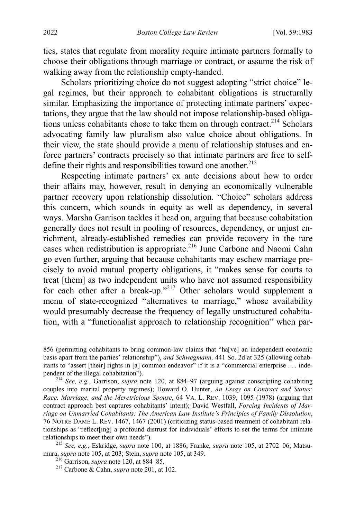ties, states that regulate from morality require intimate partners formally to choose their obligations through marriage or contract, or assume the risk of walking away from the relationship empty-handed.

<span id="page-40-0"></span>Scholars prioritizing choice do not suggest adopting "strict choice" legal regimes, but their approach to cohabitant obligations is structurally similar. Emphasizing the importance of protecting intimate partners' expectations, they argue that the law should not impose relationship-based obligations unless cohabitants chose to take them on through contract.<sup>214</sup> Scholars advocating family law pluralism also value choice about obligations. In their view, the state should provide a menu of relationship statuses and enforce partners' contracts precisely so that intimate partners are free to selfdefine their rights and responsibilities toward one another.<sup>215</sup>

Respecting intimate partners' ex ante decisions about how to order their affairs may, however, result in denying an economically vulnerable partner recovery upon relationship dissolution. "Choice" scholars address this concern, which sounds in equity as well as dependency, in several ways. Marsha Garrison tackles it head on, arguing that because cohabitation generally does not result in pooling of resources, dependency, or unjust enrichment, already-established remedies can provide recovery in the rare cases when redistribution is appropriate.<sup>216</sup> June Carbone and Naomi Cahn go even further, arguing that because cohabitants may eschew marriage precisely to avoid mutual property obligations, it "makes sense for courts to treat [them] as two independent units who have not assumed responsibility for each other after a break-up."<sup>217</sup> Other scholars would supplement a menu of state-recognized "alternatives to marriage," whose availability would presumably decrease the frequency of legally unstructured cohabitation, with a "functionalist approach to relationship recognition" when par-

 <sup>856 (</sup>permitting cohabitants to bring common-law claims that "ha[ve] an independent economic basis apart from the parties' relationship"), *and Schwegmann,* 441 So. 2d at 325 (allowing cohabitants to "assert [their] rights in [a] common endeavor" if it is a "commercial enterprise . . . independent of the illegal cohabitation").

<sup>&</sup>lt;sup>214</sup> See, e.g., Garrison, *supra* note [120,](#page-22-1) at 884–97 (arguing against conscripting cohabiting couples into marital property regimes); Howard O. Hunter, *An Essay on Contract and Status: Race, Marriage, and the Meretricious Spouse*, 64 VA. L. REV. 1039, 1095 (1978) (arguing that contract approach best captures cohabitants' intent); David Westfall, *Forcing Incidents of Marriage on Unmarried Cohabitants: The American Law Institute's Principles of Family Dissolution*, 76 NOTRE DAME L. REV. 1467, 1467 (2001) (criticizing status-based treatment of cohabitant relationships as "reflect[ing] a profound distrust for individuals' efforts to set the terms for intimate relationships to meet their own needs").

<sup>&</sup>lt;sup>215</sup> See, e.g., Eskridge, *supra* note [100,](#page-18-0) at 1886; Franke, *supra* note [105,](#page-19-0) at 2702–06; Matsumura, *supra* note [105,](#page-19-0) at 203; Stein, *supra* not[e 105,](#page-19-0) at 349.<br><sup>216</sup> Garrison, *supra* not[e 120,](#page-22-1) at 884–85.<br><sup>217</sup> Carbone & Cahn, *supra* not[e 201,](#page-37-0) at 102.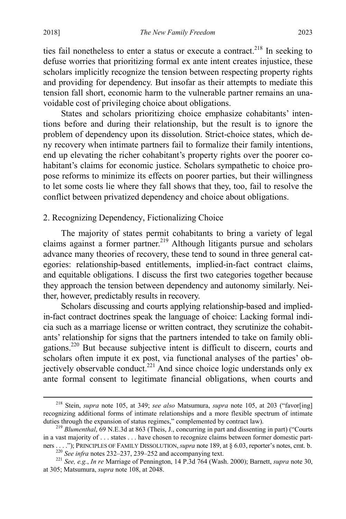ties fail nonetheless to enter a status or execute a contract.<sup>218</sup> In seeking to defuse worries that prioritizing formal ex ante intent creates injustice, these scholars implicitly recognize the tension between respecting property rights and providing for dependency. But insofar as their attempts to mediate this tension fall short, economic harm to the vulnerable partner remains an unavoidable cost of privileging choice about obligations.

States and scholars prioritizing choice emphasize cohabitants' intentions before and during their relationship, but the result is to ignore the problem of dependency upon its dissolution. Strict-choice states, which deny recovery when intimate partners fail to formalize their family intentions, end up elevating the richer cohabitant's property rights over the poorer cohabitant's claims for economic justice. Scholars sympathetic to choice propose reforms to minimize its effects on poorer parties, but their willingness to let some costs lie where they fall shows that they, too, fail to resolve the conflict between privatized dependency and choice about obligations.

# 2. Recognizing Dependency, Fictionalizing Choice

The majority of states permit cohabitants to bring a variety of legal claims against a former partner.<sup>219</sup> Although litigants pursue and scholars advance many theories of recovery, these tend to sound in three general categories: relationship-based entitlements, implied-in-fact contract claims, and equitable obligations. I discuss the first two categories together because they approach the tension between dependency and autonomy similarly. Neither, however, predictably results in recovery.

Scholars discussing and courts applying relationship-based and impliedin-fact contract doctrines speak the language of choice: Lacking formal indicia such as a marriage license or written contract, they scrutinize the cohabitants' relationship for signs that the partners intended to take on family obligations.220 But because subjective intent is difficult to discern, courts and scholars often impute it ex post, via functional analyses of the parties' objectively observable conduct.<sup>221</sup> And since choice logic understands only ex ante formal consent to legitimate financial obligations, when courts and

 <sup>218</sup> Stein, *supra* note [105,](#page-19-0) at 349; *see also* Matsumura, *supra* note [105,](#page-19-0) at 203 ("favor[ing] recognizing additional forms of intimate relationships and a more flexible spectrum of intimate duties through the expansion of status regimes," complemented by contract law). 219 *Blumenthal*, 69 N.E.3d at 863 (Theis, J., concurring in part and dissenting in part) ("Courts

in a vast majority of . . . states . . . have chosen to recognize claims between former domestic partners ...."); PRINCIPLES OF FAMILY DISSOLUTION, *supra* not[e 189,](#page-34-0) at § 6.03, reporter's notes, cmt. b.<br><sup>220</sup> See infra notes [232–](#page-43-0)[237,](#page-44-0) [239–](#page-44-1)[252](#page-46-0) and accompanying text.<br><sup>221</sup> See, e.g., *In re* Marriage of Pennington, 14 P.3d

at 305; Matsumura, *supra* not[e 108,](#page-20-0) at 2048.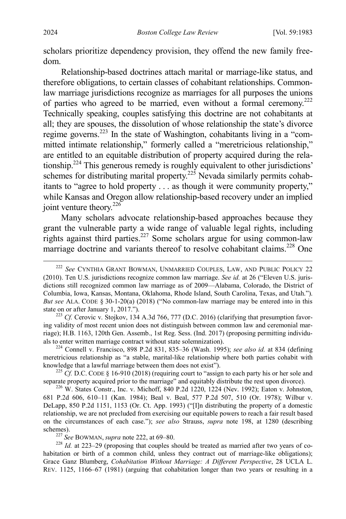scholars prioritize dependency provision, they offend the new family freedom.

<span id="page-42-0"></span>Relationship-based doctrines attach marital or marriage-like status, and therefore obligations, to certain classes of cohabitant relationships. Commonlaw marriage jurisdictions recognize as marriages for all purposes the unions of parties who agreed to be married, even without a formal ceremony.<sup>222</sup> Technically speaking, couples satisfying this doctrine are not cohabitants at all; they are spouses, the dissolution of whose relationship the state's divorce regime governs.<sup>223</sup> In the state of Washington, cohabitants living in a "committed intimate relationship," formerly called a "meretricious relationship," are entitled to an equitable distribution of property acquired during the relationship.224 This generous remedy is roughly equivalent to other jurisdictions' schemes for distributing marital property.<sup>225</sup> Nevada similarly permits cohabitants to "agree to hold property . . . as though it were community property," while Kansas and Oregon allow relationship-based recovery under an implied joint venture theory. $226$ 

Many scholars advocate relationship-based approaches because they grant the vulnerable party a wide range of valuable legal rights, including rights against third parties.<sup>227</sup> Some scholars argue for using common-law marriage doctrine and variants thereof to resolve cohabitant claims.<sup>228</sup> One

ing validity of most recent union does not distinguish between common law and ceremonial marriage); H.B. 1163, 120th Gen. Assemb., 1st Reg. Sess. (Ind. 2017) (proposing permitting individuals to enter written marriage contract without state solemnization). <sup>224</sup> Connell v. Francisco, 898 P.2d 831, 835–36 (Wash. 1995); *see also id.* at 834 (defining

meretricious relationship as "a stable, marital-like relationship where both parties cohabit with knowledge that a lawful marriage between them does not exist").<br><sup>225</sup> *Cf.* D.C. CODE § 16-910 (2018) (requiring court to "assign to each party his or her sole and

separate property acquired prior to the marriage" and equitably distribute the rest upon divorce).<br><sup>226</sup> W. States Constr., Inc. v. Michoff, 840 P.2d 1220, 1224 (Nev. 1992); Eaton v. Johnston,

681 P.2d 606, 610–11 (Kan. 1984); Beal v. Beal, 577 P.2d 507, 510 (Or. 1978); Wilbur v. DeLapp, 850 P.2d 1151, 1153 (Or. Ct. App. 1993) ("[I]n distributing the property of a domestic relationship, we are not precluded from exercising our equitable powers to reach a fair result based on the circumstances of each case."); *see also* Strauss, *supra* note [198,](#page-36-1) at 1280 (describing schemes). <sup>227</sup> *See* BOWMAN, *supra* not[e 222,](#page-42-0) at 69–80. <sup>228</sup> *Id.* at 223–29 (proposing that couples should be treated as married after two years of co-

habitation or birth of a common child, unless they contract out of marriage-like obligations); Grace Ganz Blumberg, *Cohabitation Without Marriage: A Different Perspective*, 28 UCLA L. REV. 1125, 1166–67 (1981) (arguing that cohabitation longer than two years or resulting in a

<span id="page-42-1"></span> <sup>222</sup> *See* CYNTHIA GRANT BOWMAN, UNMARRIED COUPLES, LAW, AND PUBLIC POLICY 22 (2010). Ten U.S. jurisdictions recognize common law marriage. *See id.* at 26 ("Eleven U.S. jurisdictions still recognized common law marriage as of 2009—Alabama, Colorado, the District of Columbia, Iowa, Kansas, Montana, Oklahoma, Rhode Island, South Carolina, Texas, and Utah."). *But see* ALA. CODE § 30-1-20(a) (2018) ("No common-law marriage may be entered into in this state on or after January 1, 2017.").<br><sup>223</sup> *Cf.* Cerovic v. Stojkov, 134 A.3d 766, 777 (D.C. 2016) (clarifying that presumption favor-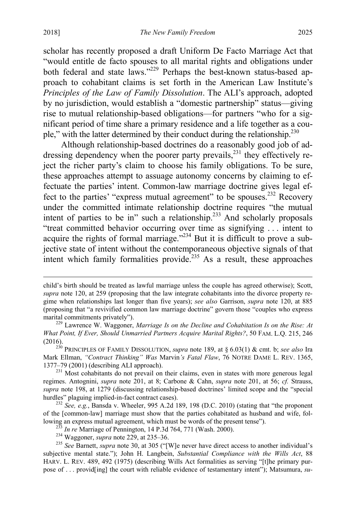<span id="page-43-1"></span>scholar has recently proposed a draft Uniform De Facto Marriage Act that "would entitle de facto spouses to all marital rights and obligations under both federal and state laws."<sup>229</sup> Perhaps the best-known status-based approach to cohabitant claims is set forth in the American Law Institute's *Principles of the Law of Family Dissolution*. The ALI's approach, adopted by no jurisdiction, would establish a "domestic partnership" status—giving rise to mutual relationship-based obligations—for partners "who for a significant period of time share a primary residence and a life together as a couple," with the latter determined by their conduct during the relationship.<sup>230</sup>

<span id="page-43-2"></span><span id="page-43-0"></span>Although relationship-based doctrines do a reasonably good job of addressing dependency when the poorer party prevails,<sup>231</sup> they effectively reject the richer party's claim to choose his family obligations. To be sure, these approaches attempt to assuage autonomy concerns by claiming to effectuate the parties' intent. Common-law marriage doctrine gives legal effect to the parties' "express mutual agreement" to be spouses.<sup>232</sup> Recovery under the committed intimate relationship doctrine requires "the mutual intent of parties to be in" such a relationship.233 And scholarly proposals "treat committed behavior occurring over time as signifying . . . intent to acquire the rights of formal marriage."<sup> $234$ </sup> But it is difficult to prove a subjective state of intent without the contemporaneous objective signals of that intent which family formalities provide.<sup>235</sup> As a result, these approaches

<span id="page-43-3"></span>child's birth should be treated as lawful marriage unless the couple has agreed otherwise); Scott, *supra* note [120,](#page-22-1) at 259 (proposing that the law integrate cohabitants into the divorce property regime when relationships last longer than five years); *see also* Garrison, *supra* note [120,](#page-22-1) at 885 (proposing that "a revivified common law marriage doctrine" govern those "couples who express marital commitments privately").<br><sup>229</sup> Lawrence W. Waggoner, *Marriage Is on the Decline and Cohabitation Is on the Rise: At* 

*What Point, If Ever, Should Unmarried Partners Acquire Marital Rights?*, 50 FAM. L.Q. 215, 246

<sup>(2016).</sup> <sup>230</sup> PRINCIPLES OF FAMILY DISSOLUTION, *supra* note [189,](#page-34-0) at § 6.03(1) & cmt. b; *see also* Ira Mark Ellman, *"Contract Thinking" Was* Marvin*'s Fatal Flaw*, 76 NOTRE DAME L. REV. 1365, 1377–79 (2001) (describing ALI approach).

<sup>&</sup>lt;sup>231</sup> Most cohabitants do not prevail on their claims, even in states with more generous legal regimes. Antognini, *supra* note [201,](#page-37-0) at 8; Carbone & Cahn, *supra* note [201,](#page-37-0) at 56; *cf.* Strauss, *supra* note [198,](#page-36-1) at 1279 (discussing relationship-based doctrines' limited scope and the "special

<sup>&</sup>lt;sup>232</sup> See, e.g., Bansda v. Wheeler, 995 A.2d 189, 198 (D.C. 2010) (stating that "the proponent of the [common-law] marriage must show that the parties cohabitated as husband and wife, following an express mutual agreement, which must be words of the present tense").<br>
<sup>233</sup> In re Marriage of Pennington, 14 P.3d 764, 771 (Wash. 2000).<br>
<sup>234</sup> Waggoner, *supra* not[e 229,](#page-43-1) at 235–36.<br>
<sup>235</sup> See Barnett, *supra*

subjective mental state."); John H. Langbein, *Substantial Compliance with the Wills Act*, 88 HARV. L. REV. 489, 492 (1975) (describing Wills Act formalities as serving "[t]he primary purpose of . . . provid[ing] the court with reliable evidence of testamentary intent"); Matsumura, *su-*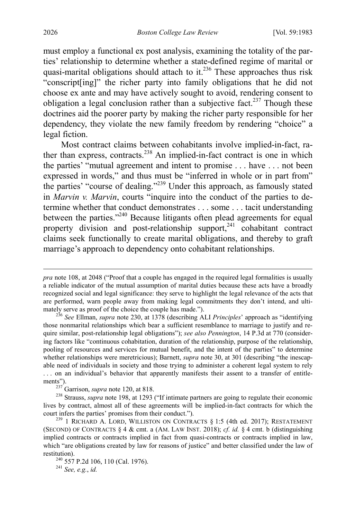must employ a functional ex post analysis, examining the totality of the parties' relationship to determine whether a state-defined regime of marital or quasi-marital obligations should attach to it.<sup>236</sup> These approaches thus risk "conscript[ing]" the richer party into family obligations that he did not choose ex ante and may have actively sought to avoid, rendering consent to obligation a legal conclusion rather than a subjective fact.<sup>237</sup> Though these doctrines aid the poorer party by making the richer party responsible for her dependency, they violate the new family freedom by rendering "choice" a legal fiction.

<span id="page-44-1"></span><span id="page-44-0"></span>Most contract claims between cohabitants involve implied-in-fact, rather than express, contracts.<sup>238</sup> An implied-in-fact contract is one in which the parties' "mutual agreement and intent to promise . . . have . . . not been expressed in words," and thus must be "inferred in whole or in part from" the parties' "course of dealing."<sup>239</sup> Under this approach, as famously stated in *Marvin v. Marvin*, courts "inquire into the conduct of the parties to determine whether that conduct demonstrates . . . some . . . tacit understanding between the parties."<sup>240</sup> Because litigants often plead agreements for equal property division and post-relationship support, $241$  cohabitant contract claims seek functionally to create marital obligations, and thereby to graft marriage's approach to dependency onto cohabitant relationships.

 $\overline{a}$ 

*pra* note [108,](#page-20-0) at 2048 ("Proof that a couple has engaged in the required legal formalities is usually a reliable indicator of the mutual assumption of marital duties because these acts have a broadly recognized social and legal significance: they serve to highlight the legal relevance of the acts that are performed, warn people away from making legal commitments they don't intend, and ultimately serve as proof of the choice the couple has made."). 236 *See* Ellman, *supra* note [230,](#page-43-2) at 1378 (describing ALI *Principles*' approach as "identifying

those nonmarital relationships which bear a sufficient resemblance to marriage to justify and require similar, post-relationship legal obligations"); *see also Pennington*, 14 P.3d at 770 (considering factors like "continuous cohabitation, duration of the relationship, purpose of the relationship, pooling of resources and services for mutual benefit, and the intent of the parties" to determine whether relationships were meretricious); Barnett, *supra* not[e 30,](#page-7-0) at 301 (describing "the inescapable need of individuals in society and those trying to administer a coherent legal system to rely . . . on an individual's behavior that apparently manifests their assent to a transfer of entitle-

ments").<br><sup>237</sup> Garrison, *supra* not[e 120,](#page-22-1) at 818.<br><sup>238</sup> Strauss, *supra* note [198,](#page-36-1) at 1293 ("If intimate partners are going to regulate their economic lives by contract, almost all of these agreements will be implied-in-fact contracts for which the court infers the parties' promises from their conduct.").<br><sup>239</sup> 1 RICHARD A. LORD, WILLISTON ON CONTRACTS § 1:5 (4th ed. 2017); RESTATEMENT

<sup>(</sup>SECOND) OF CONTRACTS  $\S 4 \&$  cmt. a (AM. LAW INST. 2018); *cf. id.*  $\S 4$  cmt. b (distinguishing implied contracts or contracts implied in fact from quasi-contracts or contracts implied in law, which "are obligations created by law for reasons of justice" and better classified under the law of restitution). <sup>240</sup> 557 P.2d 106, 110 (Cal. 1976). <sup>241</sup> *See, e.g.*, *id.*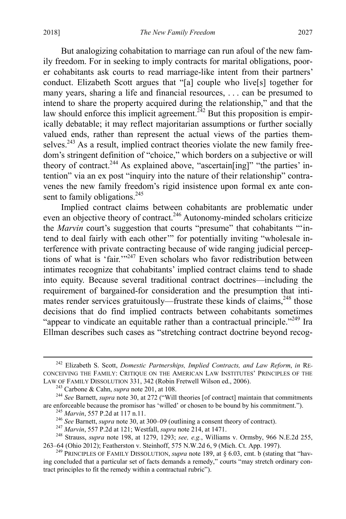But analogizing cohabitation to marriage can run afoul of the new family freedom. For in seeking to imply contracts for marital obligations, poorer cohabitants ask courts to read marriage-like intent from their partners' conduct. Elizabeth Scott argues that "[a] couple who live[s] together for many years, sharing a life and financial resources, . . . can be presumed to

intend to share the property acquired during the relationship," and that the law should enforce this implicit agreement.<sup> $\frac{242}{4}$ </sup> But this proposition is empirically debatable; it may reflect majoritarian assumptions or further socially valued ends, rather than represent the actual views of the parties themselves.<sup>243</sup> As a result, implied contract theories violate the new family freedom's stringent definition of "choice," which borders on a subjective or will theory of contract.<sup>244</sup> As explained above, "ascertain[ing]" "the parties' intention" via an ex post "inquiry into the nature of their relationship" contravenes the new family freedom's rigid insistence upon formal ex ante consent to family obligations.<sup>245</sup>

Implied contract claims between cohabitants are problematic under even an objective theory of contract.<sup>246</sup> Autonomy-minded scholars criticize the *Marvin* court's suggestion that courts "presume" that cohabitants ""intend to deal fairly with each other'" for potentially inviting "wholesale interference with private contracting because of wide ranging judicial perceptions of what is 'fair.'"<sup>247</sup> Even scholars who favor redistribution between intimates recognize that cohabitants' implied contract claims tend to shade into equity. Because several traditional contract doctrines—including the requirement of bargained-for consideration and the presumption that intimates render services gratuitously—frustrate these kinds of claims,  $248$  those decisions that do find implied contracts between cohabitants sometimes "appear to vindicate an equitable rather than a contractual principle."<sup>249</sup> Ira Ellman describes such cases as "stretching contract doctrine beyond recog-

 <sup>242</sup> Elizabeth S. Scott, *Domestic Partnerships, Implied Contracts, and Law Reform*, *in* RE-CONCEIVING THE FAMILY: CRITIQUE ON THE AMERICAN LAW INSTITUTES' PRINCIPLES OF THE

LAW OF FAMILY DISSOLUTION 331, 342 (Robin Fretwell Wilson ed., 2006).<br><sup>243</sup> Carbone & Cahn, *supra* not[e 201,](#page-37-0) at 108.<br><sup>244</sup> See Barnett, *supra* not[e 30,](#page-7-0) at 272 ("Will theories [of contract] maintain that commitments are

<sup>&</sup>lt;sup>245</sup> Marvin, 557 P.2d at 117 n.11.<br><sup>246</sup> See Barnett, *supra* not[e 30,](#page-7-0) at 300–09 (outlining a consent theory of contract).<br><sup>247</sup> Marvin, 557 P.2d at 121; Westfall, *supra* not[e 214,](#page-40-0) at 1471.<br><sup>248</sup> Strauss, *supra* note 1 263–64 (Ohio 2012); Featherston v. Steinhoff, 575 N.W.2d 6, 9 (Mich. Ct. App. 1997).

<sup>&</sup>lt;sup>249</sup> PRINCIPLES OF FAMILY DISSOLUTION, *supra* note [189,](#page-34-0) at § 6.03, cmt. b (stating that "having concluded that a particular set of facts demands a remedy," courts "may stretch ordinary contract principles to fit the remedy within a contractual rubric").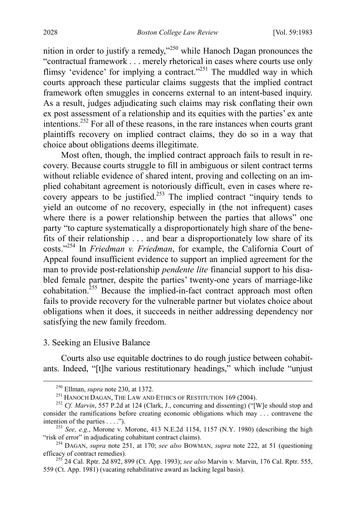<span id="page-46-1"></span>nition in order to justify a remedy, $v^{250}$  while Hanoch Dagan pronounces the "contractual framework . . . merely rhetorical in cases where courts use only flimsy 'evidence' for implying a contract."<sup>251</sup> The muddled way in which courts approach these particular claims suggests that the implied contract framework often smuggles in concerns external to an intent-based inquiry. As a result, judges adjudicating such claims may risk conflating their own ex post assessment of a relationship and its equities with the parties' ex ante intentions.252 For all of these reasons, in the rare instances when courts grant plaintiffs recovery on implied contract claims, they do so in a way that choice about obligations deems illegitimate.

<span id="page-46-0"></span>Most often, though, the implied contract approach fails to result in recovery. Because courts struggle to fill in ambiguous or silent contract terms without reliable evidence of shared intent, proving and collecting on an implied cohabitant agreement is notoriously difficult, even in cases where recovery appears to be justified.<sup>253</sup> The implied contract "inquiry tends to yield an outcome of no recovery, especially in (the not infrequent) cases where there is a power relationship between the parties that allows" one party "to capture systematically a disproportionately high share of the benefits of their relationship . . . and bear a disproportionately low share of its costs."254 In *Friedman v. Friedman*, for example, the California Court of Appeal found insufficient evidence to support an implied agreement for the man to provide post-relationship *pendente lite* financial support to his disabled female partner, despite the parties' twenty-one years of marriage-like cohabitation.<sup>255</sup> Because the implied-in-fact contract approach most often fails to provide recovery for the vulnerable partner but violates choice about obligations when it does, it succeeds in neither addressing dependency nor satisfying the new family freedom.

### 3. Seeking an Elusive Balance

Courts also use equitable doctrines to do rough justice between cohabitants. Indeed, "[t]he various restitutionary headings," which include "unjust

<sup>&</sup>lt;sup>250</sup> Ellman, *supra* not[e 230,](#page-43-2) at 1372.<br><sup>251</sup> HANOCH DAGAN, THE LAW AND ETHICS OF RESTITUTION 169 (2004).<br><sup>252</sup> *Cf. Marvin*, 557 P.2d at 124 (Clark, J., concurring and dissenting) ("[W]e should stop and consider the ramifications before creating economic obligations which may . . . contravene the

intention of the parties . . . .").<br><sup>253</sup> *See, e.g.*, Morone v. Morone, 413 N.E.2d 1154, 1157 (N.Y. 1980) (describing the high "risk of error" in adjudicating cohabitant contract claims).

<sup>&</sup>lt;sup>254</sup> DAGAN, *supra* note [251,](#page-46-1) at 170; *see also* BOWMAN, *supra* note [222,](#page-42-0) at 51 (questioning efficacy of contract remedies).

<sup>&</sup>lt;sup>255</sup> 24 Cal. Rptr. 2d 892, 899 (Ct. App. 1993); *see also* Marvin v. Marvin, 176 Cal. Rptr. 555, 559 (Ct. App. 1981) (vacating rehabilitative award as lacking legal basis).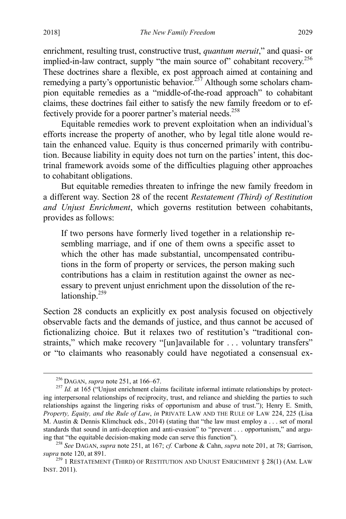enrichment, resulting trust, constructive trust, *quantum meruit*," and quasi- or implied-in-law contract, supply "the main source of" cohabitant recovery.<sup>256</sup> These doctrines share a flexible, ex post approach aimed at containing and remedying a party's opportunistic behavior.<sup>257</sup> Although some scholars champion equitable remedies as a "middle-of-the-road approach" to cohabitant claims, these doctrines fail either to satisfy the new family freedom or to effectively provide for a poorer partner's material needs.<sup>258</sup>

Equitable remedies work to prevent exploitation when an individual's efforts increase the property of another, who by legal title alone would retain the enhanced value. Equity is thus concerned primarily with contribution. Because liability in equity does not turn on the parties' intent, this doctrinal framework avoids some of the difficulties plaguing other approaches to cohabitant obligations.

But equitable remedies threaten to infringe the new family freedom in a different way. Section 28 of the recent *Restatement (Third) of Restitution and Unjust Enrichment*, which governs restitution between cohabitants, provides as follows:

If two persons have formerly lived together in a relationship resembling marriage, and if one of them owns a specific asset to which the other has made substantial, uncompensated contributions in the form of property or services, the person making such contributions has a claim in restitution against the owner as necessary to prevent unjust enrichment upon the dissolution of the relationship. $259$ 

Section 28 conducts an explicitly ex post analysis focused on objectively observable facts and the demands of justice, and thus cannot be accused of fictionalizing choice. But it relaxes two of restitution's "traditional constraints," which make recovery "[un]available for . . . voluntary transfers" or "to claimants who reasonably could have negotiated a consensual ex-

<sup>&</sup>lt;sup>256</sup> DAGAN, *supra* not[e 251,](#page-46-1) at 166–67.<br><sup>257</sup> *Id.* at 165 ("Unjust enrichment claims facilitate informal intimate relationships by protecting interpersonal relationships of reciprocity, trust, and reliance and shielding the parties to such relationships against the lingering risks of opportunism and abuse of trust."); Henry E. Smith, *Property, Equity, and the Rule of Law*, *in* PRIVATE LAW AND THE RULE OF LAW 224, 225 (Lisa M. Austin & Dennis Klimchuck eds., 2014) (stating that "the law must employ a . . . set of moral standards that sound in anti-deception and anti-evasion" to "prevent . . . opportunism," and argu-

ing that "the equitable decision-making mode can serve this function"). <sup>258</sup> *See* DAGAN, *supra* not[e 251,](#page-46-1) at 167; *cf.* Carbone & Cahn, *supra* note [201,](#page-37-0) at 78; Garrison,

<sup>&</sup>lt;sup>259</sup> 1 RESTATEMENT (THIRD) OF RESTITUTION AND UNJUST ENRICHMENT § 28(1) (AM. LAW INST. 2011).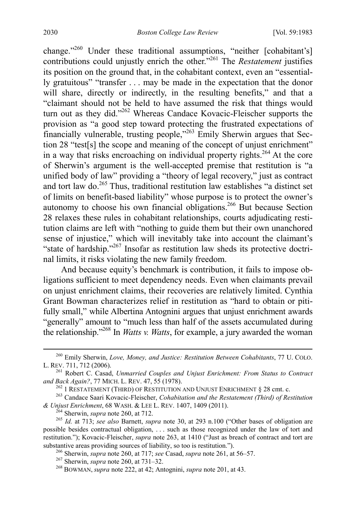<span id="page-48-2"></span><span id="page-48-1"></span><span id="page-48-0"></span>change."<sup>260</sup> Under these traditional assumptions, "neither [cohabitant's] contributions could unjustly enrich the other."<sup>261</sup> The *Restatement* justifies its position on the ground that, in the cohabitant context, even an "essentially gratuitous" "transfer . . . may be made in the expectation that the donor will share, directly or indirectly, in the resulting benefits," and that a "claimant should not be held to have assumed the risk that things would turn out as they did."<sup>262</sup> Whereas Candace Kovacic-Fleischer supports the provision as "a good step toward protecting the frustrated expectations of financially vulnerable, trusting people,"263 Emily Sherwin argues that Section 28 "test[s] the scope and meaning of the concept of unjust enrichment" in a way that risks encroaching on individual property rights.264 At the core of Sherwin's argument is the well-accepted premise that restitution is "a unified body of law" providing a "theory of legal recovery," just as contract and tort law do.265 Thus, traditional restitution law establishes "a distinct set of limits on benefit-based liability" whose purpose is to protect the owner's autonomy to choose his own financial obligations.<sup>266</sup> But because Section 28 relaxes these rules in cohabitant relationships, courts adjudicating restitution claims are left with "nothing to guide them but their own unanchored sense of injustice," which will inevitably take into account the claimant's "state of hardship."<sup>267</sup> Insofar as restitution law sheds its protective doctrinal limits, it risks violating the new family freedom.

And because equity's benchmark is contribution, it fails to impose obligations sufficient to meet dependency needs. Even when claimants prevail on unjust enrichment claims, their recoveries are relatively limited. Cynthia Grant Bowman characterizes relief in restitution as "hard to obtain or pitifully small," while Albertina Antognini argues that unjust enrichment awards "generally" amount to "much less than half of the assets accumulated during the relationship."268 In *Watts v. Watts*, for example, a jury awarded the woman

<sup>&</sup>lt;sup>260</sup> Emily Sherwin, *Love, Money, and Justice: Restitution Between Cohabitants*, 77 U. COLO.<br>L. REV. 711, 712 (2006).

<sup>&</sup>lt;sup>261</sup> Robert C. Casad, *Unmarried Couples and Unjust Enrichment: From Status to Contract* 

and Back Again?, 77 MICH. L. REV. 47, 55 (1978).<br>
<sup>262</sup> 1 RESTATEMENT (THIRD) OF RESTITUTION AND UNJUST ENRICHMENT § 28 cmt. c.<br>
<sup>263</sup> Candace Saari Kovacic-Fleischer, *Cohabitation and the Restatement (Third) of Restitut* 

<sup>&</sup>lt;sup>264</sup> Sherwin, *supra* note [260,](#page-48-0) at 712.<br><sup>265</sup> *Id.* at 713; *see also* Barnett, *supra* note [30,](#page-7-0) at 293 n.100 ("Other bases of obligation are possible besides contractual obligation, . . . such as those recognized under the law of tort and restitution."); Kovacic-Fleischer, *supra* note [263,](#page-48-1) at 1410 ("Just as breach of contract and tort are substantive areas providing sources of liability, so too is restitution.").<br><sup>266</sup> Sherwin, *supra* note [260,](#page-48-0) at 717; *see* Casad, *supra* note [261,](#page-48-2) at 56–57.<br><sup>267</sup> Sherwin, *supra* note 260, at 731–32.<br><sup>268</sup> BOWMAN, *supr*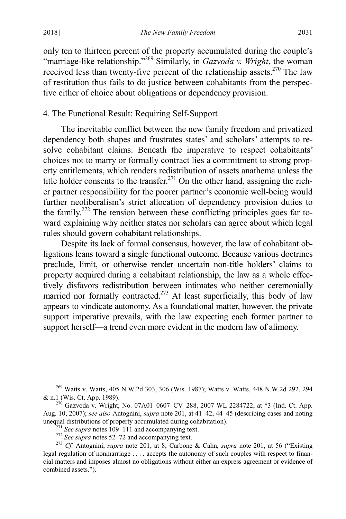only ten to thirteen percent of the property accumulated during the couple's "marriage-like relationship."<sup>269</sup> Similarly, in *Gazvoda v. Wright*, the woman received less than twenty-five percent of the relationship assets.<sup>270</sup> The law of restitution thus fails to do justice between cohabitants from the perspective either of choice about obligations or dependency provision.

## 4. The Functional Result: Requiring Self-Support

The inevitable conflict between the new family freedom and privatized dependency both shapes and frustrates states' and scholars' attempts to resolve cohabitant claims. Beneath the imperative to respect cohabitants' choices not to marry or formally contract lies a commitment to strong property entitlements, which renders redistribution of assets anathema unless the title holder consents to the transfer.<sup>271</sup> On the other hand, assigning the richer partner responsibility for the poorer partner's economic well-being would further neoliberalism's strict allocation of dependency provision duties to the family.<sup>272</sup> The tension between these conflicting principles goes far toward explaining why neither states nor scholars can agree about which legal rules should govern cohabitant relationships.

<span id="page-49-0"></span>Despite its lack of formal consensus, however, the law of cohabitant obligations leans toward a single functional outcome. Because various doctrines preclude, limit, or otherwise render uncertain non-title holders' claims to property acquired during a cohabitant relationship, the law as a whole effectively disfavors redistribution between intimates who neither ceremonially married nor formally contracted.<sup>273</sup> At least superficially, this body of law appears to vindicate autonomy. As a foundational matter, however, the private support imperative prevails, with the law expecting each former partner to support herself—a trend even more evident in the modern law of alimony.

<sup>&</sup>lt;sup>269</sup> Watts v. Watts, 405 N.W.2d 303, 306 (Wis. 1987); Watts v. Watts, 448 N.W.2d 292, 294 & n.1 (Wis. Ct. App. 1989).

 $^{270}$  Gazvoda v. Wright, No. 07A01-0607-CV-288, 2007 WL 2284722, at \*3 (Ind. Ct. App. Aug. 10, 2007); *see also* Antognini, *supra* note [201,](#page-37-0) at 41–42, 44–45 (describing cases and noting unequ[a](#page-20-2)l distributions of property accumulated during cohabitation).<br>
<sup>271</sup> See supra notes 109–111 and accompanying text.<br>
<sup>272</sup> See supra notes 52–72 and accompanying text.<br>
<sup>273</sup> Cf. Antognini, *supra* note [201,](#page-37-0) at 8; C

legal regulation of nonmarriage . . . . accepts the autonomy of such couples with respect to financial matters and imposes almost no obligations without either an express agreement or evidence of combined assets.").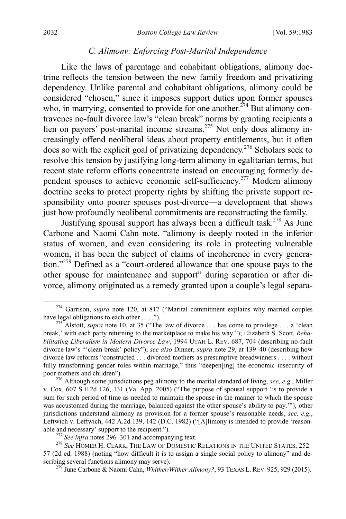#### *C. Alimony: Enforcing Post-Marital Independence*

Like the laws of parentage and cohabitant obligations, alimony doctrine reflects the tension between the new family freedom and privatizing dependency. Unlike parental and cohabitant obligations, alimony could be considered "chosen," since it imposes support duties upon former spouses who, in marrying, consented to provide for one another.<sup> $274$ </sup> But alimony contravenes no-fault divorce law's "clean break" norms by granting recipients a lien on payors' post-marital income streams.<sup>275</sup> Not only does alimony increasingly offend neoliberal ideas about property entitlements, but it often does so with the explicit goal of privatizing dependency.<sup>276</sup> Scholars seek to resolve this tension by justifying long-term alimony in egalitarian terms, but recent state reform efforts concentrate instead on encouraging formerly dependent spouses to achieve economic self-sufficiency.<sup>277</sup> Modern alimony doctrine seeks to protect property rights by shifting the private support responsibility onto poorer spouses post-divorce—a development that shows just how profoundly neoliberal commitments are reconstructing the family.

<span id="page-50-0"></span>Justifying spousal support has always been a difficult task.<sup>278</sup> As June Carbone and Naomi Cahn note, "alimony is deeply rooted in the inferior status of women, and even considering its role in protecting vulnerable women, it has been the subject of claims of incoherence in every generation."<sup>279</sup> Defined as a "court-ordered allowance that one spouse pays to the other spouse for maintenance and support" during separation or after divorce, alimony originated as a remedy granted upon a couple's legal separa-

<sup>&</sup>lt;sup>274</sup> Garrison, *supra* note [120,](#page-22-1) at 817 ("Marital commitment explains why married couples have legal obligations to each other . . . .").

<sup>&</sup>lt;sup>275</sup> Alstott, *supra* note [10,](#page-4-0) at 35 ("The law of divorce ... has come to privilege ... a 'clean break,' with each party returning to the marketplace to make his way."); Elizabeth S. Scott, *Rehabilitating Liberalism in Modern Divorce Law*, 1994 UTAH L. REV. 687, 704 (describing no-fault divorce law's "'clean break' policy"); *see also* Dinner, *supra* note [29,](#page-7-1) at 139–40 (describing how divorce law reforms "constructed . . . divorced mothers as presumptive breadwinners . . . . without fully transforming gender roles within marriage," thus "deepen[ing] the economic insecurity of poor mothers and children"). <sup>276</sup> Although some jurisdictions peg alimony to the marital standard of living, *see, e.g.*, Miller

v. Cox, 607 S.E.2d 126, 131 (Va. App. 2005) ("The purpose of spousal support 'is to provide a sum for such period of time as needed to maintain the spouse in the manner to which the spouse was accustomed during the marriage, balanced against the other spouse's ability to pay.'"), other jurisdictions understand alimony as provision for a former spouse's reasonable needs, *see, e.g.*, Leftwich v. Leftwich, 442 A.2d 139, 142 (D.C. 1982) ("[A]limony is intended to provide 'reason-<br>able and necessary' support to the recipient.").

<sup>&</sup>lt;sup>277</sup> *See infra* note[s 296](#page-53-0)[–301](#page-53-1) and accompanying text.<br><sup>278</sup> *See* HOMER H. CLARK, THE LAW OF DOMESTIC RELATIONS IN THE UNITED STATES, 252– 57 (2d ed. 1988) (noting "how difficult it is to assign a single social policy to alimony" and describing several functions alimony may serve).<br><sup>279</sup> June Carbone & Naomi Cahn, *Whither/Wither Alimony?*, 93 TEXAS L. REV. 925, 929 (2015).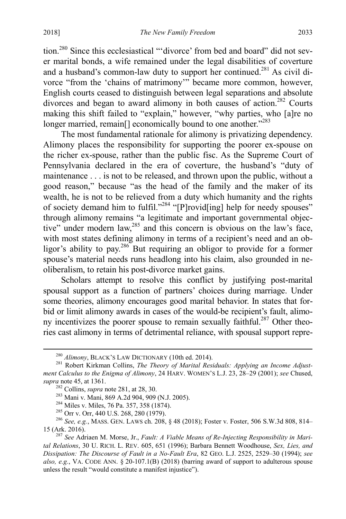<span id="page-51-0"></span>tion.280 Since this ecclesiastical "'divorce' from bed and board" did not sever marital bonds, a wife remained under the legal disabilities of coverture and a husband's common-law duty to support her continued.281 As civil divorce "from the 'chains of matrimony'" became more common, however, English courts ceased to distinguish between legal separations and absolute divorces and began to award alimony in both causes of action.<sup>282</sup> Courts making this shift failed to "explain," however, "why parties, who [a]re no longer married, remain<sup>[]</sup> economically bound to one another."<sup>283</sup>

The most fundamental rationale for alimony is privatizing dependency. Alimony places the responsibility for supporting the poorer ex-spouse on the richer ex-spouse, rather than the public fisc. As the Supreme Court of Pennsylvania declared in the era of coverture, the husband's "duty of maintenance . . . is not to be released, and thrown upon the public, without a good reason," because "as the head of the family and the maker of its wealth, he is not to be relieved from a duty which humanity and the rights of society demand him to fulfil."<sup>284</sup> "[P]rovid[ing] help for needy spouses" through alimony remains "a legitimate and important governmental objective" under modern law,  $285$  and this concern is obvious on the law's face, with most states defining alimony in terms of a recipient's need and an obligor's ability to pay.<sup>286</sup> But requiring an obligor to provide for a former spouse's material needs runs headlong into his claim, also grounded in neoliberalism, to retain his post-divorce market gains.

Scholars attempt to resolve this conflict by justifying post-marital spousal support as a function of partners' choices during marriage. Under some theories, alimony encourages good marital behavior. In states that forbid or limit alimony awards in cases of the would-be recipient's fault, alimony incentivizes the poorer spouse to remain sexually faithful.<sup>287</sup> Other theories cast alimony in terms of detrimental reliance, with spousal support repre-

<sup>&</sup>lt;sup>280</sup> Alimony, BLACK'S LAW DICTIONARY (10th ed. 2014).<br><sup>281</sup> Robert Kirkman Collins, *The Theory of Marital Residuals: Applying an Income Adjustment Calculus to the Enigma of Alimony*, 24 HARV. WOMEN'S L.J. 23, 28–29 (2001); *see* Chused,

supra not[e 45,](#page-11-0) at 1361.<br>
<sup>282</sup> Collins, *supra* not[e 281,](#page-51-0) at 28, 30.<br>
<sup>283</sup> Mani v. Mani, 869 A.2d 904, 909 (N.J. 2005).<br>
<sup>284</sup> Miles v. Miles, 76 Pa. 357, 358 (1874).<br>
<sup>285</sup> Orr v. Orr, 440 U.S. 268, 280 (1979).<br>
<sup>286</sup> Se

<sup>&</sup>lt;sup>287</sup> See Adriaen M. Morse, Jr., *Fault: A Viable Means of Re-Injecting Responsibility in Marital Relations*, 30 U. RICH. L. REV. 605, 651 (1996); Barbara Bennett Woodhouse, *Sex, Lies, and Dissipation: The Discourse of Fault in a No-Fault Era*, 82 GEO. L.J. 2525, 2529–30 (1994); *see also, e.g.*, VA. CODE ANN. § 20-107.1(B) (2018) (barring award of support to adulterous spouse unless the result "would constitute a manifest injustice").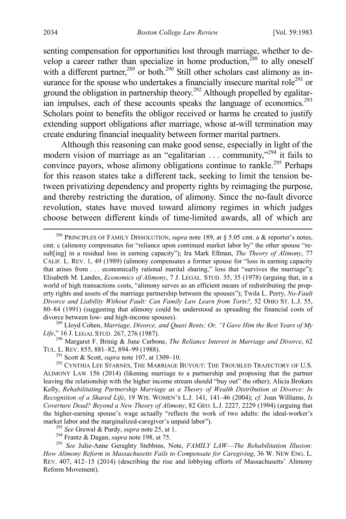<span id="page-52-1"></span><span id="page-52-0"></span>senting compensation for opportunities lost through marriage, whether to develop a career rather than specialize in home production,<sup>288</sup> to ally oneself with a different partner,<sup>289</sup> or both.<sup>290</sup> Still other scholars cast alimony as insurance for the spouse who undertakes a financially insecure marital role<sup>291</sup> or ground the obligation in partnership theory.<sup>292</sup> Although propelled by egalitarian impulses, each of these accounts speaks the language of economics.<sup>293</sup> Scholars point to benefits the obligor received or harms he created to justify extending support obligations after marriage, whose at-will termination may create enduring financial inequality between former marital partners.

Although this reasoning can make good sense, especially in light of the modern vision of marriage as an "egalitarian . . . community,"<sup>294</sup> it fails to convince payors, whose alimony obligations continue to rankle.<sup>295</sup> Perhaps for this reason states take a different tack, seeking to limit the tension between privatizing dependency and property rights by reimaging the purpose, and thereby restricting the duration, of alimony. Since the no-fault divorce revolution, states have moved toward alimony regimes in which judges choose between different kinds of time-limited awards, all of which are

*Life*," 16 J. LEGAL STUD. 267, 276 (1987).<br><sup>290</sup> Margaret F. Brinig & June Carbone, *The Reliance Interest in Marriage and Divorce*, 62<br>TUL. L. REV. 855, 881–82, 894–99 (1988).<br><sup>291</sup> Scott & Scott, *supra* note 107, at 13

<sup>292</sup> CYNTHIA LEE STARNES, THE MARRIAGE BUYOUT: THE TROUBLED TRAJECTORY OF U.S. ALIMONY LAW 156 (2014) (likening marriage to a partnership and proposing that the partner leaving the relationship with the higher income stream should "buy out" the other); Alicia Brokars Kelly, *Rehabilitating Partnership Marriage as a Theory of Wealth Distribution at Divorce: In Recognition of a Shared Life*, 19 WIS. WOMEN'S L.J. 141, 141–46 (2004); *cf.* Joan Williams, *Is Coverture Dead? Beyond a New Theory of Alimony*, 82 GEO. L.J. 2227, 2229 (1994) (arguing that the higher-earning spouse's wage actually "reflects the work of two adults: the ideal-worker's market labor and the marginalized-caregiver's unpaid labor").<br>
<sup>293</sup> See Grewal & Purdy, *supra* note [25,](#page-6-0) at 1.<br>
<sup>294</sup> Frantz & Dagan, *supra* not[e 198,](#page-36-1) at 75.<br>
<sup>295</sup> See Julie-Anne Geraghty Stebbins, Note, *FAMILY LAW—Th* 

*How Alimony Reform in Massachusetts Fails to Compensate for Caregiving*, 36 W. NEW ENG. L. REV. 407, 412–15 (2014) (describing the rise and lobbying efforts of Massachusetts' Alimony Reform Movement).

 <sup>288</sup> PRINCIPLES OF FAMILY DISSOLUTION, *supra* note [189,](#page-34-0) at § 5.05 cmt. a & reporter's notes, cmt. c (alimony compensates for "reliance upon continued market labor by" the other spouse "result[ing] in a residual loss in earning capacity"); Ira Mark Ellman, *The Theory of Alimony*, 77 CALIF. L. REV. 1, 49 (1989) (alimony compensates a former spouse for "loss in earning capacity that arises from ... economically rational marital sharing," loss that "survives the marriage"); Elisabeth M. Landes, *Economics of Alimony*, 7 J. LEGAL. STUD. 35, 35 (1978) (arguing that, in a world of high transactions costs, "alimony serves as an efficient means of redistributing the property rights and assets of the marriage partnership between the spouses"); Twila L. Perry, *No-Fault Divorce and Liability Without Fault: Can Family Law Learn from Torts?*, 52 OHIO ST. L.J. 55, 80–84 (1991) (suggesting that alimony could be understood as spreading the financial costs of divorce between low- and high-income spouses). <sup>289</sup> Lloyd Cohen, *Marriage, Divorce, and Quasi Rents; Or, "I Gave Him the Best Years of My*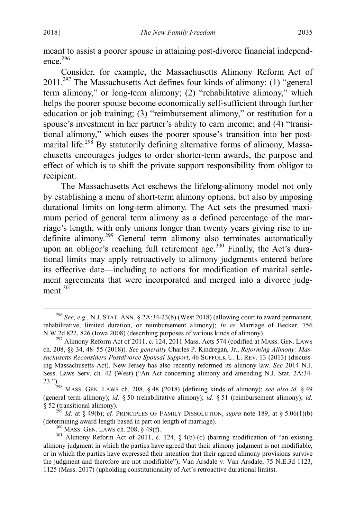<span id="page-53-0"></span>meant to assist a poorer spouse in attaining post-divorce financial independence. $296$ 

Consider, for example, the Massachusetts Alimony Reform Act of  $2011.<sup>297</sup>$  The Massachusetts Act defines four kinds of alimony: (1) "general term alimony," or long-term alimony; (2) "rehabilitative alimony," which helps the poorer spouse become economically self-sufficient through further education or job training; (3) "reimbursement alimony," or restitution for a spouse's investment in her partner's ability to earn income; and (4) "transitional alimony," which eases the poorer spouse's transition into her postmarital life.<sup>298</sup> By statutorily defining alternative forms of alimony, Massachusetts encourages judges to order shorter-term awards, the purpose and effect of which is to shift the private support responsibility from obligor to recipient.

The Massachusetts Act eschews the lifelong-alimony model not only by establishing a menu of short-term alimony options, but also by imposing durational limits on long-term alimony. The Act sets the presumed maximum period of general term alimony as a defined percentage of the marriage's length, with only unions longer than twenty years giving rise to indefinite alimony.<sup>299</sup> General term alimony also terminates automatically upon an obligor's reaching full retirement age.<sup>300</sup> Finally, the Act's durational limits may apply retroactively to alimony judgments entered before its effective date—including to actions for modification of marital settlement agreements that were incorporated and merged into a divorce judgment $^{30\overline{1}}$ 

<span id="page-53-1"></span> <sup>296</sup> *See, e.g.*, N.J. STAT. ANN. § 2A:34-23(b) (West 2018) (allowing court to award permanent, rehabilitative, limited duration, or reimbursement alimony); *In re* Marriage of Becker, 756 N.W.2d 822, 826 (Iowa 2008) (describing purposes of various kinds of alimony).<br><sup>297</sup> Alimony Reform Act of 2011, c. 124, 2011 Mass. Acts 574 (codified at MASS. GEN. LAWS

ch. 208, §§ 34, 48–55 (2018))*. See generally* Charles P. Kindregan, Jr., *Reforming Alimony: Massachusetts Reconsiders Postdivorce Spousal Support*, 46 SUFFOLK U. L. REV. 13 (2013) (discussing Massachusetts Act). New Jersey has also recently reformed its alimony law. *See* 2014 N.J. Sess. Laws Serv. ch. 42 (West) ("An Act concerning alimony and amending N.J. Stat. 2A:34-

<sup>23.&</sup>quot;).298 MASS. GEN. LAWS ch. 208, § 48 (2018) (defining kinds of alimony); *see also id.* § 49 (general term alimony); *id.* § 50 (rehabilitative alimony); *id.* § 51 (reimbursement alimony); *id.*

<sup>§ 52 (</sup>transitional alimony). <sup>299</sup> *Id.* at § 49(b); *cf.* PRINCIPLES OF FAMILY DISSOLUTION, *supra* note [189,](#page-34-0) at § 5.06(1)(b) (determining award length based in part on length of marriage).<br><sup>300</sup> MASS. GEN. LAWS ch. 208, § 49(f).<br><sup>301</sup> Alimony Reform Act of 2011, c. 124, § 4(b)-(c) (barring modification of "an existing

alimony judgment in which the parties have agreed that their alimony judgment is not modifiable, or in which the parties have expressed their intention that their agreed alimony provisions survive the judgment and therefore are not modifiable"); Van Arsdale v. Van Arsdale, 75 N.E.3d 1123, 1125 (Mass. 2017) (upholding constitutionality of Act's retroactive durational limits).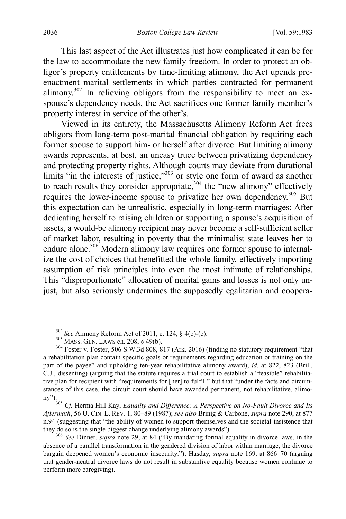This last aspect of the Act illustrates just how complicated it can be for the law to accommodate the new family freedom. In order to protect an obligor's property entitlements by time-limiting alimony, the Act upends preenactment marital settlements in which parties contracted for permanent alimony.<sup>302</sup> In relieving obligors from the responsibility to meet an exspouse's dependency needs, the Act sacrifices one former family member's property interest in service of the other's.

Viewed in its entirety, the Massachusetts Alimony Reform Act frees obligors from long-term post-marital financial obligation by requiring each former spouse to support him- or herself after divorce. But limiting alimony awards represents, at best, an uneasy truce between privatizing dependency and protecting property rights. Although courts may deviate from durational limits "in the interests of justice," $303$  or style one form of award as another to reach results they consider appropriate,  $304$  the "new alimony" effectively requires the lower-income spouse to privatize her own dependency.305 But this expectation can be unrealistic, especially in long-term marriages: After dedicating herself to raising children or supporting a spouse's acquisition of assets, a would-be alimony recipient may never become a self-sufficient seller of market labor, resulting in poverty that the minimalist state leaves her to endure alone.<sup>306</sup> Modern alimony law requires one former spouse to internalize the cost of choices that benefitted the whole family, effectively importing assumption of risk principles into even the most intimate of relationships. This "disproportionate" allocation of marital gains and losses is not only unjust, but also seriously undermines the supposedly egalitarian and coopera-

<sup>&</sup>lt;sup>302</sup> *See* Alimony Reform Act of 2011, c. 124, § 4(b)-(c).  $303$  MASS. GEN. LAWS ch. 208, § 49(b). 304 Foster v. Foster, 506 S.W.3d 808, 817 (Ark. 2016) (finding no statutory requirement "that a rehabilitation plan contain specific goals or requirements regarding education or training on the part of the payee" and upholding ten-year rehabilitative alimony award); *id.* at 822, 823 (Brill, C.J., dissenting) (arguing that the statute requires a trial court to establish a "feasible" rehabilitative plan for recipient with "requirements for [her] to fulfill" but that "under the facts and circumstances of this case, the circuit court should have awarded permanent, not rehabilitative, alimony").

<sup>305</sup> *Cf.* Herma Hill Kay, *Equality and Difference: A Perspective on No-Fault Divorce and Its Aftermath*, 56 U. CIN. L. REV. 1, 80–89 (1987); *see also* Brinig & Carbone, *supra* note [290,](#page-52-0) at 877 n.94 (suggesting that "the ability of women to support themselves and the societal insistence that they do so is the single biggest change underlying alimony awards").

<sup>&</sup>lt;sup>306</sup> See Dinner, *supra* note [29,](#page-7-1) at 84 ("By mandating formal equality in divorce laws, in the absence of a parallel transformation in the gendered division of labor within marriage, the divorce bargain deepened women's economic insecurity."); Hasday, *supra* note [169,](#page-30-0) at 866–70 (arguing that gender-neutral divorce laws do not result in substantive equality because women continue to perform more caregiving).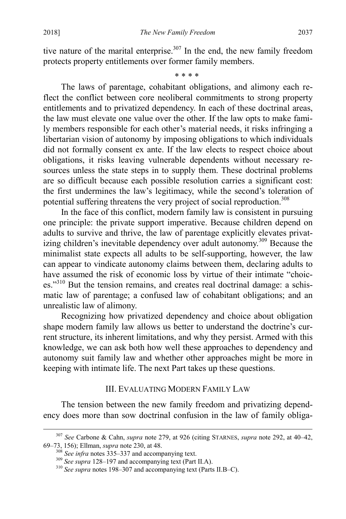tive nature of the marital enterprise.<sup>307</sup> In the end, the new family freedom protects property entitlements over former family members.

<span id="page-55-0"></span>\* \* \* \*

The laws of parentage, cohabitant obligations, and alimony each reflect the conflict between core neoliberal commitments to strong property entitlements and to privatized dependency. In each of these doctrinal areas, the law must elevate one value over the other. If the law opts to make family members responsible for each other's material needs, it risks infringing a libertarian vision of autonomy by imposing obligations to which individuals did not formally consent ex ante. If the law elects to respect choice about obligations, it risks leaving vulnerable dependents without necessary resources unless the state steps in to supply them. These doctrinal problems are so difficult because each possible resolution carries a significant cost: the first undermines the law's legitimacy, while the second's toleration of potential suffering threatens the very project of social reproduction.<sup>308</sup>

In the face of this conflict, modern family law is consistent in pursuing one principle: the private support imperative. Because children depend on adults to survive and thrive, the law of parentage explicitly elevates privatizing children's inevitable dependency over adult autonomy.<sup>309</sup> Because the minimalist state expects all adults to be self-supporting, however, the law can appear to vindicate autonomy claims between them, declaring adults to have assumed the risk of economic loss by virtue of their intimate "choices."<sup>310</sup> But the tension remains, and creates real doctrinal damage: a schismatic law of parentage; a confused law of cohabitant obligations; and an unrealistic law of alimony.

<span id="page-55-1"></span>Recognizing how privatized dependency and choice about obligation shape modern family law allows us better to understand the doctrine's current structure, its inherent limitations, and why they persist. Armed with this knowledge, we can ask both how well these approaches to dependency and autonomy suit family law and whether other approaches might be more in keeping with intimate life. The next Part takes up these questions.

### III. EVALUATING MODERN FAMILY LAW

The tension between the new family freedom and privatizing dependency does more than sow doctrinal confusion in the law of family obliga-

 <sup>307</sup> *See* Carbone & Cahn, *supra* note [279,](#page-50-0) at 926 (citing STARNES, *supra* note [292,](#page-52-1) at 40–42, 69–73, 156); Ellman, *supra* not[e 230,](#page-43-2) at 48.<br><sup>308</sup> *See infra* notes [335–](#page-61-0)[337](#page-61-1) and accompanying text.<br><sup>309</sup> *See supra* [128](#page-25-0)[–197](#page-35-0) and accompanying text (Part II.A).<br><sup>310</sup> *See supra* note[s 198](#page-36-1)[–307](#page-55-0) and accompanying text (Part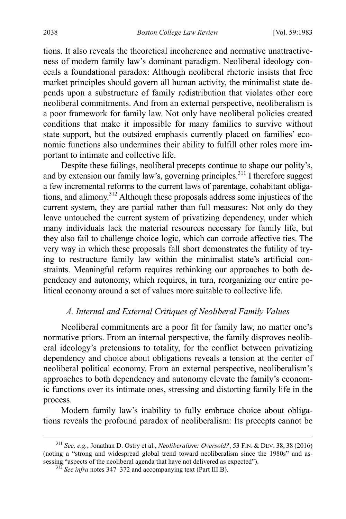tions. It also reveals the theoretical incoherence and normative unattractiveness of modern family law's dominant paradigm. Neoliberal ideology conceals a foundational paradox: Although neoliberal rhetoric insists that free market principles should govern all human activity, the minimalist state depends upon a substructure of family redistribution that violates other core neoliberal commitments. And from an external perspective, neoliberalism is a poor framework for family law. Not only have neoliberal policies created conditions that make it impossible for many families to survive without state support, but the outsized emphasis currently placed on families' economic functions also undermines their ability to fulfill other roles more important to intimate and collective life.

Despite these failings, neoliberal precepts continue to shape our polity's, and by extension our family law's, governing principles.<sup>311</sup> I therefore suggest a few incremental reforms to the current laws of parentage, cohabitant obligations, and alimony.<sup>312</sup> Although these proposals address some injustices of the current system, they are partial rather than full measures: Not only do they leave untouched the current system of privatizing dependency, under which many individuals lack the material resources necessary for family life, but they also fail to challenge choice logic, which can corrode affective ties. The very way in which these proposals fall short demonstrates the futility of trying to restructure family law within the minimalist state's artificial constraints. Meaningful reform requires rethinking our approaches to both dependency and autonomy, which requires, in turn, reorganizing our entire political economy around a set of values more suitable to collective life.

#### *A. Internal and External Critiques of Neoliberal Family Values*

Neoliberal commitments are a poor fit for family law, no matter one's normative priors. From an internal perspective, the family disproves neoliberal ideology's pretensions to totality, for the conflict between privatizing dependency and choice about obligations reveals a tension at the center of neoliberal political economy. From an external perspective, neoliberalism's approaches to both dependency and autonomy elevate the family's economic functions over its intimate ones, stressing and distorting family life in the process.

Modern family law's inability to fully embrace choice about obligations reveals the profound paradox of neoliberalism: Its precepts cannot be

 <sup>311</sup> *See, e.g.*, Jonathan D. Ostry et al., *Neoliberalism: Oversold?*, 53 FIN. & DEV. 38, <sup>38</sup> (2016) (noting a "strong and widespread global trend toward neoliberalism since the 1980s" and assessing "aspects of the neoliberal agenda that have not delivered as expected"). 312 *See infra* note[s 347](#page-63-0)[–372](#page-68-0) and accompanying text (Part III.B).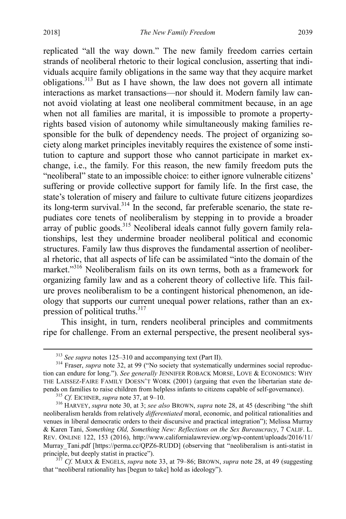replicated "all the way down." The new family freedom carries certain strands of neoliberal rhetoric to their logical conclusion, asserting that individuals acquire family obligations in the same way that they acquire market obligations.313 But as I have shown, the law does not govern all intimate interactions as market transactions—nor should it. Modern family law cannot avoid violating at least one neoliberal commitment because, in an age when not all families are marital, it is impossible to promote a propertyrights based vision of autonomy while simultaneously making families responsible for the bulk of dependency needs. The project of organizing society along market principles inevitably requires the existence of some institution to capture and support those who cannot participate in market exchange, i.e., the family. For this reason, the new family freedom puts the "neoliberal" state to an impossible choice: to either ignore vulnerable citizens' suffering or provide collective support for family life. In the first case, the state's toleration of misery and failure to cultivate future citizens jeopardizes its long-term survival. $314$  In the second, far preferable scenario, the state repudiates core tenets of neoliberalism by stepping in to provide a broader array of public goods.<sup>315</sup> Neoliberal ideals cannot fully govern family relationships, lest they undermine broader neoliberal political and economic structures. Family law thus disproves the fundamental assertion of neoliberal rhetoric, that all aspects of life can be assimilated "into the domain of the market."<sup>316</sup> Neoliberalism fails on its own terms, both as a framework for organizing family law and as a coherent theory of collective life. This failure proves neoliberalism to be a contingent historical phenomenon, an ideology that supports our current unequal power relations, rather than an expression of political truths. $317$ 

<span id="page-57-0"></span>This insight, in turn, renders neoliberal principles and commitments ripe for challenge. From an external perspective, the present neoliberal sys-

<sup>&</sup>lt;sup>313</sup> *See supra* note[s 125](#page-23-0)[–310](#page-55-1) and accompanying text (Part II).<br><sup>314</sup> Fraser, *supra* note [32,](#page-7-2) at 99 ("No society that systematically undermines social reproduction can endure for long."). *See generally* JENNIFER ROBACK MORSE, LOVE & ECONOMICS: WHY THE LAISSEZ-FAIRE FAMILY DOESN'T WORK (2001) (arguing that even the libertarian state depends on families to raise children from helpless infants to citizens capable of self-governance).<br><sup>315</sup> Cf. EICHNER, *supra* note [37,](#page-10-0) at 9–10.<br><sup>316</sup> HARVEY, *supra* not[e 30,](#page-7-0) at 3; *see also* BROWN, *supra* note [28,](#page-7-3) at 45

neoliberalism heralds from relatively *differentiated* moral, economic, and political rationalities and venues in liberal democratic orders to their discursive and practical integration"); Melissa Murray & Karen Tani, *Something Old, Something New: Reflections on the Sex Bureaucracy*, 7 CALIF. L. REV. ONLINE 122, 153 (2016), http://www.californialawreview.org/wp-content/uploads/2016/11/ Murray Tani.pdf [https://perma.cc/QPZ6-RUDD] (observing that "neoliberalism is anti-statist in principle, but deeply statist in practice").<br><sup>317</sup> *Cf.* MARX & ENGELS, *supra* note [33,](#page-8-0) at 79–86; BROWN, *supra* note [28,](#page-7-3) at 49 (suggesting

that "neoliberal rationality has [begun to take] hold as ideology").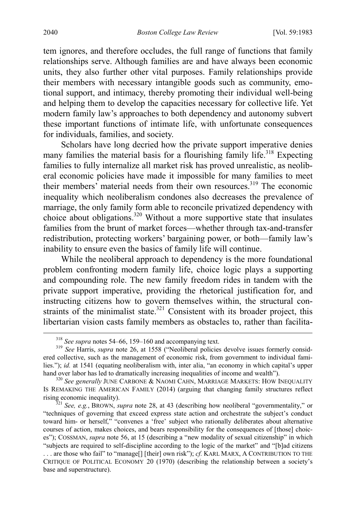tem ignores, and therefore occludes, the full range of functions that family relationships serve. Although families are and have always been economic units, they also further other vital purposes. Family relationships provide their members with necessary intangible goods such as community, emotional support, and intimacy, thereby promoting their individual well-being and helping them to develop the capacities necessary for collective life. Yet modern family law's approaches to both dependency and autonomy subvert these important functions of intimate life, with unfortunate consequences for individuals, families, and society.

Scholars have long decried how the private support imperative denies many families the material basis for a flourishing family life.<sup>318</sup> Expecting families to fully internalize all market risk has proved unrealistic, as neoliberal economic policies have made it impossible for many families to meet their members' material needs from their own resources.<sup>319</sup> The economic inequality which neoliberalism condones also decreases the prevalence of marriage, the only family form able to reconcile privatized dependency with choice about obligations.<sup>320</sup> Without a more supportive state that insulates families from the brunt of market forces—whether through tax-and-transfer redistribution, protecting workers' bargaining power, or both—family law's inability to ensure even the basics of family life will continue.

<span id="page-58-0"></span>While the neoliberal approach to dependency is the more foundational problem confronting modern family life, choice logic plays a supporting and compounding role. The new family freedom rides in tandem with the private support imperative, providing the rhetorical justification for, and instructing citizens how to govern themselves within, the structural constraints of the minimalist state.<sup>321</sup> Consistent with its broader project, this libertarian vision casts family members as obstacles to, rather than facilita-

<sup>&</sup>lt;sup>318</sup> *See supra* note[s 54](#page-12-1)[–66,](#page-14-1) [159](#page-29-0)[–160](#page-29-1) and accompanying text.<br><sup>319</sup> *See* Harris, *supra* note [26,](#page-7-4) at 1558 ("Neoliberal policies devolve issues formerly considered collective, such as the management of economic risk, from government to individual families."); *id.* at 1541 (equating neoliberalism with, inter alia, "an economy in which capital's upper hand over labor has led to dramatically increasing inequalities of income and wealth").<br><sup>320</sup> *See generally* JUNE CARBONE & NAOMI CAHN, MARRIAGE MARKETS: HOW INEQUALITY

IS REMAKING THE AMERICAN FAMILY (2014) (arguing that changing family structures reflect rising economic inequality). <sup>321</sup> *See, e.g.*, BROWN, *supra* note [28,](#page-7-3) at 43 (describing how neoliberal "governmentality," or

<sup>&</sup>quot;techniques of governing that exceed express state action and orchestrate the subject's conduct toward him- or herself," "convenes a 'free' subject who rationally deliberates about alternative courses of action, makes choices, and bears responsibility for the consequences of [those] choices"); COSSMAN, *supra* not[e 56,](#page-13-0) at 15 (describing a "new modality of sexual citizenship" in which "subjects are required to self-discipline according to the logic of the market" and "[b]ad citizens . . . are those who fail" to "manage[] [their] own risk"); *cf.* KARL MARX, A CONTRIBUTION TO THE CRITIQUE OF POLITICAL ECONOMY 20 (1970) (describing the relationship between a society's base and superstructure).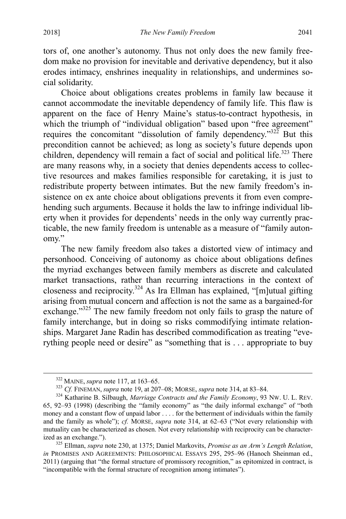tors of, one another's autonomy. Thus not only does the new family freedom make no provision for inevitable and derivative dependency, but it also erodes intimacy, enshrines inequality in relationships, and undermines social solidarity.

Choice about obligations creates problems in family law because it cannot accommodate the inevitable dependency of family life. This flaw is apparent on the face of Henry Maine's status-to-contract hypothesis, in which the triumph of "individual obligation" based upon "free agreement" requires the concomitant "dissolution of family dependency." $32\overline{2}$  But this precondition cannot be achieved; as long as society's future depends upon children, dependency will remain a fact of social and political life.<sup>323</sup> There are many reasons why, in a society that denies dependents access to collective resources and makes families responsible for caretaking, it is just to redistribute property between intimates. But the new family freedom's insistence on ex ante choice about obligations prevents it from even comprehending such arguments. Because it holds the law to infringe individual liberty when it provides for dependents' needs in the only way currently practicable, the new family freedom is untenable as a measure of "family autonomy."

The new family freedom also takes a distorted view of intimacy and personhood. Conceiving of autonomy as choice about obligations defines the myriad exchanges between family members as discrete and calculated market transactions, rather than recurring interactions in the context of closeness and reciprocity.324 As Ira Ellman has explained, "[m]utual gifting arising from mutual concern and affection is not the same as a bargained-for exchange."<sup>325</sup> The new family freedom not only fails to grasp the nature of family interchange, but in doing so risks commodifying intimate relationships. Margaret Jane Radin has described commodification as treating "everything people need or desire" as "something that is . . . appropriate to buy

<sup>&</sup>lt;sup>322</sup> MAINE, *supra* not[e 117,](#page-21-0) at 163–65.<br><sup>323</sup> Cf. FINEMAN, *supra* not[e 19,](#page-5-0) at 207–08; MORSE, *supra* not[e 314,](#page-57-0) at 83–84.<br><sup>324</sup> Katharine B. Silbaugh, *Marriage Contracts and the Family Economy*, 93 Nw. U. L. REV. 65, 92–93 (1998) (describing the "family economy" as "the daily informal exchange" of "both money and a constant flow of unpaid labor . . . . for the betterment of individuals within the family and the family as whole"); *cf.* MORSE, *supra* note [314,](#page-57-0) at 62–63 ("Not every relationship with mutuality can be characterized as chosen. Not every relationship with reciprocity can be characterized as an exchange."). <sup>325</sup> Ellman, *supra* note [230,](#page-43-2) at 1375; Daniel Markovits, *Promise as an Arm's Length Relation*,

*in* PROMISES AND AGREEMENTS: PHILOSOPHICAL ESSAYS 295, 295–96 (Hanoch Sheinman ed., 2011) (arguing that "the formal structure of promissory recognition," as epitomized in contract, is "incompatible with the formal structure of recognition among intimates").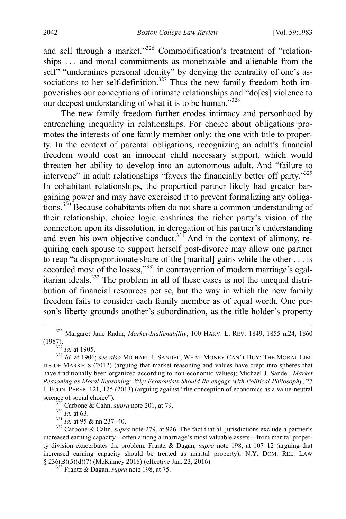<span id="page-60-0"></span>and sell through a market."<sup>326</sup> Commodification's treatment of "relationships . . . and moral commitments as monetizable and alienable from the self" "undermines personal identity" by denying the centrality of one's associations to her self-definition.<sup>327</sup> Thus the new family freedom both impoverishes our conceptions of intimate relationships and "do[es] violence to our deepest understanding of what it is to be human."<sup>328</sup>

The new family freedom further erodes intimacy and personhood by entrenching inequality in relationships. For choice about obligations promotes the interests of one family member only: the one with title to property. In the context of parental obligations, recognizing an adult's financial freedom would cost an innocent child necessary support, which would threaten her ability to develop into an autonomous adult. And "failure to intervene" in adult relationships "favors the financially better off party."<sup>329</sup> In cohabitant relationships, the propertied partner likely had greater bargaining power and may have exercised it to prevent formalizing any obligations.<sup>330</sup> Because cohabitants often do not share a common understanding of their relationship, choice logic enshrines the richer party's vision of the connection upon its dissolution, in derogation of his partner's understanding and even his own objective conduct.<sup>331</sup> And in the context of alimony, requiring each spouse to support herself post-divorce may allow one partner to reap "a disproportionate share of the [marital] gains while the other . . . is accorded most of the losses,"332 in contravention of modern marriage's egalitarian ideals.<sup>333</sup> The problem in all of these cases is not the unequal distribution of financial resources per se, but the way in which the new family freedom fails to consider each family member as of equal worth. One person's liberty grounds another's subordination, as the title holder's property

<sup>&</sup>lt;sup>326</sup> Margaret Jane Radin, *Market-Inalienability*, 100 HARV. L. REV. 1849, 1855 n.24, 1860<br>(1987).<br><sup>327</sup> *14* at 1905

<sup>(1987).</sup> <sup>327</sup> *Id.* at 1905. <sup>328</sup> *Id.* at 1906; *see also* MICHAEL J. SANDEL, WHAT MONEY CAN'T BUY: THE MORAL LIM-ITS OF MARKETS (2012) (arguing that market reasoning and values have crept into spheres that have traditionally been organized according to non-economic values); Michael J. Sandel, *Market Reasoning as Moral Reasoning: Why Economists Should Re-engage with Political Philosophy*, 27 J. ECON. PERSP. 121, 125 (2013) (arguing against "the conception of economics as a value-neutral

<sup>&</sup>lt;sup>329</sup> Carbone & Cahn, *supra* not[e 201,](#page-37-0) at 79.<br><sup>330</sup> *Id.* at 63.<br><sup>331</sup> *Id.* at 95 & nn.237–40.<br><sup>332</sup> Carbone & Cahn, *supra* not[e 279,](#page-50-0) at 926. The fact that all jurisdictions exclude a partner's increased earning capacity—often among a marriage's most valuable assets—from marital property division exacerbates the problem. Frantz & Dagan, *supra* note [198,](#page-36-1) at 107–12 (arguing that increased earning capacity should be treated as marital property); N.Y. DOM. REL. LAW § 236(B)(5)(d)(7) (McKinney 2018) (effective Jan. 23, 2016). <sup>333</sup> Frantz & Dagan, *supra* not[e 198,](#page-36-1) at 75.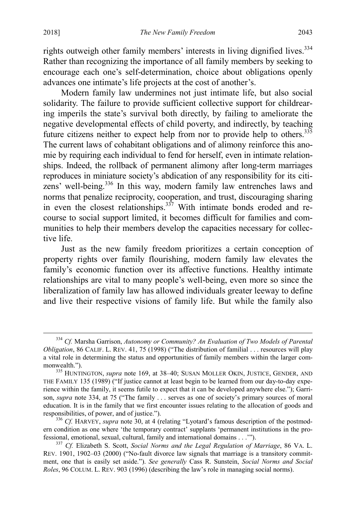<span id="page-61-2"></span>rights outweigh other family members' interests in living dignified lives.<sup>334</sup> Rather than recognizing the importance of all family members by seeking to encourage each one's self-determination, choice about obligations openly advances one intimate's life projects at the cost of another's.

<span id="page-61-0"></span>Modern family law undermines not just intimate life, but also social solidarity. The failure to provide sufficient collective support for childrearing imperils the state's survival both directly, by failing to ameliorate the negative developmental effects of child poverty, and indirectly, by teaching future citizens neither to expect help from nor to provide help to others.<sup>335</sup> The current laws of cohabitant obligations and of alimony reinforce this anomie by requiring each individual to fend for herself, even in intimate relationships. Indeed, the rollback of permanent alimony after long-term marriages reproduces in miniature society's abdication of any responsibility for its citizens' well-being.<sup>336</sup> In this way, modern family law entrenches laws and norms that penalize reciprocity, cooperation, and trust, discouraging sharing in even the closest relationships. $337$  With intimate bonds eroded and recourse to social support limited, it becomes difficult for families and communities to help their members develop the capacities necessary for collective life.

<span id="page-61-1"></span>Just as the new family freedom prioritizes a certain conception of property rights over family flourishing, modern family law elevates the family's economic function over its affective functions. Healthy intimate relationships are vital to many people's well-being, even more so since the liberalization of family law has allowed individuals greater leeway to define and live their respective visions of family life. But while the family also

 <sup>334</sup> *Cf.* Marsha Garrison, *Autonomy or Community? An Evaluation of Two Models of Parental Obligation*, 86 CALIF. L. REV. 41, 75 (1998) ("The distribution of familial . . . resources will play a vital role in determining the status and opportunities of family members within the larger com-

monwealth.").<br><sup>335</sup> HUNTINGTON, *supra* note [169,](#page-30-0) at 38–40; SUSAN MOLLER OKIN, JUSTICE, GENDER, AND THE FAMILY 135 (1989) ("If justice cannot at least begin to be learned from our day-to-day experience within the family, it seems futile to expect that it can be developed anywhere else."); Garrison, *supra* note [334,](#page-61-2) at 75 ("The family . . . serves as one of society's primary sources of moral education. It is in the family that we first encounter issues relating to the allocation of goods and responsibilities, of power, and of justice."). <sup>336</sup> *Cf.* HARVEY, *supra* not[e 30,](#page-7-0) at 4 (relating "Lyotard's famous description of the postmod-

ern condition as one where 'the temporary contract' supplants 'permanent institutions in the professional, emotional, sexual, cultural, family and international domains . . .'"). <sup>337</sup> *Cf.* Elizabeth S. Scott, *Social Norms and the Legal Regulation of Marriage*, 86 VA. L.

REV. 1901, 1902–03 (2000) ("No-fault divorce law signals that marriage is a transitory commitment, one that is easily set aside."). *See generally* Cass R. Sunstein, *Social Norms and Social Roles*, 96 COLUM. L. REV. 903 (1996) (describing the law's role in managing social norms).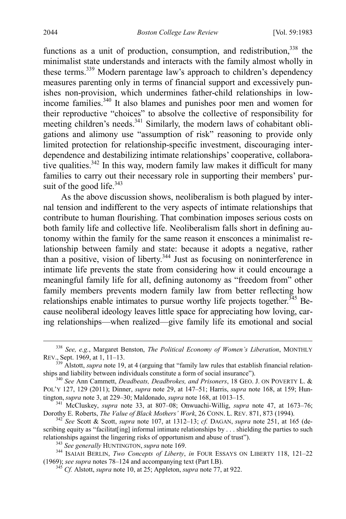functions as a unit of production, consumption, and redistribution,  $338$  the minimalist state understands and interacts with the family almost wholly in these terms.339 Modern parentage law's approach to children's dependency measures parenting only in terms of financial support and excessively punishes non-provision, which undermines father-child relationships in lowincome families.340 It also blames and punishes poor men and women for their reproductive "choices" to absolve the collective of responsibility for meeting children's needs.<sup>341</sup> Similarly, the modern laws of cohabitant obligations and alimony use "assumption of risk" reasoning to provide only limited protection for relationship-specific investment, discouraging interdependence and destabilizing intimate relationships' cooperative, collaborative qualities.<sup>342</sup> In this way, modern family law makes it difficult for many families to carry out their necessary role in supporting their members' pursuit of the good life. $343$ 

As the above discussion shows, neoliberalism is both plagued by internal tension and indifferent to the very aspects of intimate relationships that contribute to human flourishing. That combination imposes serious costs on both family life and collective life. Neoliberalism falls short in defining autonomy within the family for the same reason it ensconces a minimalist relationship between family and state: because it adopts a negative, rather than a positive, vision of liberty.<sup>344</sup> Just as focusing on noninterference in intimate life prevents the state from considering how it could encourage a meaningful family life for all, defining autonomy as "freedom from" other family members prevents modern family law from better reflecting how relationships enable intimates to pursue worthy life projects together.<sup>345</sup> Because neoliberal ideology leaves little space for appreciating how loving, caring relationships—when realized—give family life its emotional and social

 <sup>338</sup> *See, e.g.*, Margaret Benston, *The Political Economy of Women's Liberation*, MONTHLY

<sup>&</sup>lt;sup>339</sup> Alstott, *supra* not[e 19,](#page-5-0) at 4 (arguing that "family law rules that establish financial relation-<br>ships and liability between individuals constitute a form of social insurance").

<sup>&</sup>lt;sup>340</sup> See Ann Cammett, *Deadbeats, Deadbrokes, and Prisoners*, 18 GEO. J. ON POVERTY L. & POL'Y 127, 129 (2011); Dinner, *supra* note [29,](#page-7-1) at 147–51; Harris, *supra* note [168,](#page-30-1) at 159; Hun-

<sup>&</sup>lt;sup>341</sup> McCluskey, *supra* note [33,](#page-8-0) at 807–08; Onwuachi-Willig, *supra* note [47,](#page-11-1) at 1673–76; Dorothy E. Roberts, *The Value of Black Mothers' Work*, 26 CONN. L. REV. 871, 873 (1994).

 $T^{342}$  See Scott & Scott, *supra* note [107,](#page-20-3) at 1312–13; *cf.* DAGAN, *supra* note [251,](#page-46-1) at 165 (describing equity as "facilitat[ing] informal intimate relationships by  $\ldots$  shielding the parties to such relationships against the lingering risks of opportunism and abuse of trust").

<sup>&</sup>lt;sup>343</sup> See generally HUNTINGTON, *supra* note 169.<br><sup>344</sup> ISAIAH BERLIN, *Two Concepts of Liberty*, *in* FOUR ESSAYS ON LIBERTY 118, 121–22 (1969); *see supra* notes 78–124 and accompanying text (Part I.B).

<sup>&</sup>lt;sup>345</sup> *Cf.* Alstott, *supra* not[e 10,](#page-4-0) at 25; Appleton, *supra* not[e 77,](#page-15-1) at 922.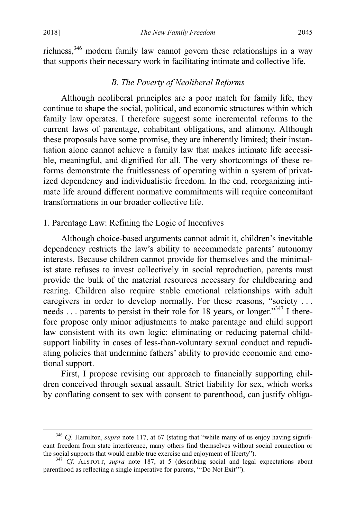richness,346 modern family law cannot govern these relationships in a way that supports their necessary work in facilitating intimate and collective life.

## *B. The Poverty of Neoliberal Reforms*

Although neoliberal principles are a poor match for family life, they continue to shape the social, political, and economic structures within which family law operates. I therefore suggest some incremental reforms to the current laws of parentage, cohabitant obligations, and alimony. Although these proposals have some promise, they are inherently limited; their instantiation alone cannot achieve a family law that makes intimate life accessible, meaningful, and dignified for all. The very shortcomings of these reforms demonstrate the fruitlessness of operating within a system of privatized dependency and individualistic freedom. In the end, reorganizing intimate life around different normative commitments will require concomitant transformations in our broader collective life.

### 1. Parentage Law: Refining the Logic of Incentives

Although choice-based arguments cannot admit it, children's inevitable dependency restricts the law's ability to accommodate parents' autonomy interests. Because children cannot provide for themselves and the minimalist state refuses to invest collectively in social reproduction, parents must provide the bulk of the material resources necessary for childbearing and rearing. Children also require stable emotional relationships with adult caregivers in order to develop normally. For these reasons, "society . . . needs . . . parents to persist in their role for 18 years, or longer."<sup>347</sup> I therefore propose only minor adjustments to make parentage and child support law consistent with its own logic: eliminating or reducing paternal childsupport liability in cases of less-than-voluntary sexual conduct and repudiating policies that undermine fathers' ability to provide economic and emotional support.

<span id="page-63-0"></span>First, I propose revising our approach to financially supporting children conceived through sexual assault. Strict liability for sex, which works by conflating consent to sex with consent to parenthood, can justify obliga-

<sup>&</sup>lt;sup>346</sup> *Cf.* Hamilton, *supra* note [117,](#page-21-0) at 67 (stating that "while many of us enjoy having significant freedom from state interference, many others find themselves without social connection or the social supports that would enable true exercise and enjoyment of liberty"). <sup>347</sup> *Cf.* ALSTOTT, *supra* note [187,](#page-34-1) at 5 (describing social and legal expectations about

parenthood as reflecting a single imperative for parents, "'Do Not Exit'").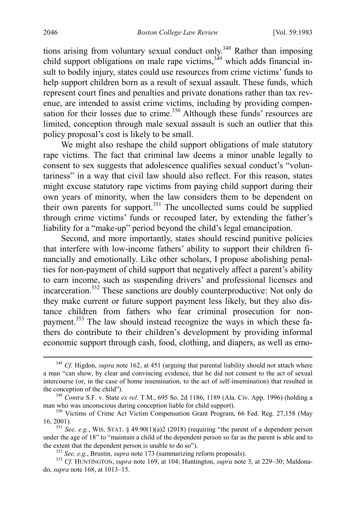tions arising from voluntary sexual conduct only.<sup>348</sup> Rather than imposing child support obligations on male rape victims,<sup>349</sup> which adds financial insult to bodily injury, states could use resources from crime victims' funds to help support children born as a result of sexual assault. These funds, which represent court fines and penalties and private donations rather than tax revenue, are intended to assist crime victims, including by providing compensation for their losses due to crime.<sup>350</sup> Although these funds' resources are limited, conception through male sexual assault is such an outlier that this policy proposal's cost is likely to be small.

We might also reshape the child support obligations of male statutory rape victims. The fact that criminal law deems a minor unable legally to consent to sex suggests that adolescence qualifies sexual conduct's "voluntariness" in a way that civil law should also reflect. For this reason, states might excuse statutory rape victims from paying child support during their own years of minority, when the law considers them to be dependent on their own parents for support.<sup>351</sup> The uncollected sums could be supplied through crime victims' funds or recouped later, by extending the father's liability for a "make-up" period beyond the child's legal emancipation.

Second, and more importantly, states should rescind punitive policies that interfere with low-income fathers' ability to support their children financially and emotionally. Like other scholars, I propose abolishing penalties for non-payment of child support that negatively affect a parent's ability to earn income, such as suspending drivers' and professional licenses and incarceration.352 These sanctions are doubly counterproductive: Not only do they make current or future support payment less likely, but they also distance children from fathers who fear criminal prosecution for nonpayment.<sup>353</sup> The law should instead recognize the ways in which these fathers do contribute to their children's development by providing informal economic support through cash, food, clothing, and diapers, as well as emo-

 <sup>348</sup> *Cf.* Higdon, *supra* note [162,](#page-29-2) at 451 (arguing that parental liability should not attach where a man "can show, by clear and convincing evidence, that he did not consent to the act of sexual intercourse (or, in the case of home insemination, to the act of self-insemination) that resulted in the conception of the child"). <sup>349</sup> *Contra* S.F. v. State *ex rel.* T.M., 695 So. 2d 1186, 1189 (Ala. Civ. App. 1996) (holding a

man who was unconscious during conception liable for child support).<br><sup>350</sup> Victims of Crime Act Victim Compensation Grant Program, 66 Fed. Reg. 27,158 (May

<sup>16, 2001).</sup> <sup>351</sup> *See, e.g.*, WIS. STAT. § 49.90(1)(a)2 (2018) (requiring "the parent of a dependent person

under the age of 18" to "maintain a child of the dependent person so far as the parent is able and to the extent that the dependent person is unable to do so").<br>
<sup>352</sup> See, e.g., Brustin, *supra* not[e 173](#page-31-0) (summarizing reform proposals).<br>
<sup>353</sup> Cf. HUNTINGTON, *supra* not[e 169,](#page-30-0) at 104; Huntington, *supra* not[e 3,](#page-3-0) at 229–30

do, *supra* note [168,](#page-30-1) at 1013–15.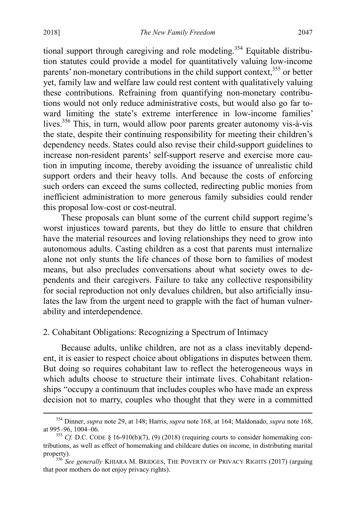tional support through caregiving and role modeling.<sup>354</sup> Equitable distribution statutes could provide a model for quantitatively valuing low-income parents' non-monetary contributions in the child support context,<sup>355</sup> or better yet, family law and welfare law could rest content with qualitatively valuing these contributions. Refraining from quantifying non-monetary contributions would not only reduce administrative costs, but would also go far toward limiting the state's extreme interference in low-income families' lives.356 This, in turn, would allow poor parents greater autonomy vis-à-vis the state, despite their continuing responsibility for meeting their children's dependency needs. States could also revise their child-support guidelines to increase non-resident parents' self-support reserve and exercise more caution in imputing income, thereby avoiding the issuance of unrealistic child support orders and their heavy tolls. And because the costs of enforcing such orders can exceed the sums collected, redirecting public monies from inefficient administration to more generous family subsidies could render this proposal low-cost or cost-neutral.

These proposals can blunt some of the current child support regime's worst injustices toward parents, but they do little to ensure that children have the material resources and loving relationships they need to grow into autonomous adults. Casting children as a cost that parents must internalize alone not only stunts the life chances of those born to families of modest means, but also precludes conversations about what society owes to dependents and their caregivers. Failure to take any collective responsibility for social reproduction not only devalues children, but also artificially insulates the law from the urgent need to grapple with the fact of human vulnerability and interdependence.

## 2. Cohabitant Obligations: Recognizing a Spectrum of Intimacy

Because adults, unlike children, are not as a class inevitably dependent, it is easier to respect choice about obligations in disputes between them. But doing so requires cohabitant law to reflect the heterogeneous ways in which adults choose to structure their intimate lives. Cohabitant relationships "occupy a continuum that includes couples who have made an express decision not to marry, couples who thought that they were in a committed

 <sup>354</sup> Dinner, *supra* note [29,](#page-7-1) at 148; Harris, *supra* not[e 168,](#page-30-1) at 164; Maldonado, *supra* not[e 168,](#page-30-1)

<sup>&</sup>lt;sup>355</sup> *Cf.* D.C. CODE § 16-910(b)(7), (9) (2018) (requiring courts to consider homemaking contributions, as well as effect of homemaking and childcare duties on income, in distributing marital property). <sup>356</sup> *See generally* KHIARA M. BRIDGES, THE POVERTY OF PRIVACY RIGHTS (2017) (arguing

that poor mothers do not enjoy privacy rights).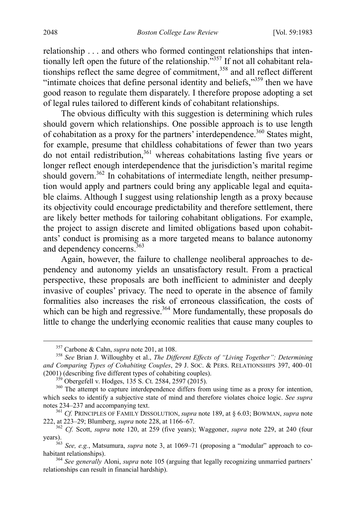relationship . . . and others who formed contingent relationships that intentionally left open the future of the relationship."357 If not all cohabitant relationships reflect the same degree of commitment,  $358$  and all reflect different "intimate choices that define personal identity and beliefs,"<sup>359</sup> then we have good reason to regulate them disparately. I therefore propose adopting a set of legal rules tailored to different kinds of cohabitant relationships.

The obvious difficulty with this suggestion is determining which rules should govern which relationships. One possible approach is to use length of cohabitation as a proxy for the partners' interdependence.<sup>360</sup> States might, for example, presume that childless cohabitations of fewer than two years do not entail redistribution,<sup>361</sup> whereas cohabitations lasting five years or longer reflect enough interdependence that the jurisdiction's marital regime should govern.<sup>362</sup> In cohabitations of intermediate length, neither presumption would apply and partners could bring any applicable legal and equitable claims. Although I suggest using relationship length as a proxy because its objectivity could encourage predictability and therefore settlement, there are likely better methods for tailoring cohabitant obligations. For example, the project to assign discrete and limited obligations based upon cohabitants' conduct is promising as a more targeted means to balance autonomy and dependency concerns.<sup>363</sup>

Again, however, the failure to challenge neoliberal approaches to dependency and autonomy yields an unsatisfactory result. From a practical perspective, these proposals are both inefficient to administer and deeply invasive of couples' privacy. The need to operate in the absence of family formalities also increases the risk of erroneous classification, the costs of which can be high and regressive.<sup>364</sup> More fundamentally, these proposals do little to change the underlying economic realities that cause many couples to

<sup>&</sup>lt;sup>357</sup> Carbone & Cahn, *supra* not[e 201,](#page-37-0) at 108.<br><sup>358</sup> *See* Brian J. Willoughby et al., *The Different Effects of "Living Together": Determining and Comparing Types of Cohabiting Couples*, 29 J. SOC. & PERS. RELATIONSHIPS 397, 400–01

<sup>&</sup>lt;sup>359</sup> Obergefell v. Hodges, 135 S. Ct. 2584, 2597 (2015). <sup>360</sup> The attempt to capture interdependence differs from using time as a proxy for intention, which seeks to identify a subjective state of mind and therefore violates choice logic. *See supra* notes 234–237 and accompanying text.

<sup>&</sup>lt;sup>361</sup> Cf. PRINCIPLES OF FAMILY DISSOLUTION, *supra* not[e 189,](#page-34-0) at § 6.03; BOWMAN, *supra* note 222, at 223–29; Blumberg, *supra* note 228, at 1166–67.

<sup>&</sup>lt;sup>362</sup> *Cf.* Scott, *supra* note [120,](#page-22-1) at 259 (five years); Waggoner, *supra* note [229,](#page-43-1) at 240 (four

years). <sup>363</sup> *See, e.g.*, Matsumura, *supra* note [3,](#page-3-0) at 1069–71 (proposing a "modular" approach to cohabitant relationships).

<sup>364</sup> *See generally* Aloni, *supra* not[e 105](#page-19-0) (arguing that legally recognizing unmarried partners' relationships can result in financial hardship).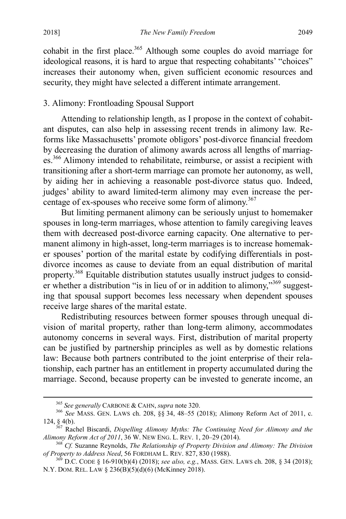cohabit in the first place. $365$  Although some couples do avoid marriage for ideological reasons, it is hard to argue that respecting cohabitants' "choices" increases their autonomy when, given sufficient economic resources and security, they might have selected a different intimate arrangement.

## 3. Alimony: Frontloading Spousal Support

Attending to relationship length, as I propose in the context of cohabitant disputes, can also help in assessing recent trends in alimony law. Reforms like Massachusetts' promote obligors' post-divorce financial freedom by decreasing the duration of alimony awards across all lengths of marriages.<sup>366</sup> Alimony intended to rehabilitate, reimburse, or assist a recipient with transitioning after a short-term marriage can promote her autonomy, as well, by aiding her in achieving a reasonable post-divorce status quo. Indeed, judges' ability to award limited-term alimony may even increase the percentage of ex-spouses who receive some form of alimony.<sup>367</sup>

But limiting permanent alimony can be seriously unjust to homemaker spouses in long-term marriages, whose attention to family caregiving leaves them with decreased post-divorce earning capacity. One alternative to permanent alimony in high-asset, long-term marriages is to increase homemaker spouses' portion of the marital estate by codifying differentials in postdivorce incomes as cause to deviate from an equal distribution of marital property.<sup>368</sup> Equitable distribution statutes usually instruct judges to consider whether a distribution "is in lieu of or in addition to alimony,"<sup>369</sup> suggesting that spousal support becomes less necessary when dependent spouses receive large shares of the marital estate.

Redistributing resources between former spouses through unequal division of marital property, rather than long-term alimony, accommodates autonomy concerns in several ways. First, distribution of marital property can be justified by partnership principles as well as by domestic relations law: Because both partners contributed to the joint enterprise of their relationship, each partner has an entitlement in property accumulated during the marriage. Second, because property can be invested to generate income, an

<sup>&</sup>lt;sup>365</sup> *See generally* CARBONE & CAHN, *supra* not[e 320.](#page-58-0)<br><sup>366</sup> *See* MASS. GEN. LAWS ch. 208, §§ 34, 48–55 (2018); Alimony Reform Act of 2011, c.

<sup>124, § 4(</sup>b).<br><sup>367</sup> Rachel Biscardi, *Dispelling Alimony Myths: The Continuing Need for Alimony and the Alimony Reform Act of 2011*, 36 W. New ENG. L. Rev. 1, 20–29 (2014).

<sup>&</sup>lt;sup>368</sup> Cf. Suzanne Reynolds, *The Relationship of Property Division and Alimony: The Division of Property to Address Need, 56 FORDHAM L. REV. 827, 830 (1988).* 

<sup>&</sup>lt;sup>369</sup> D.C. CODE § 16-910(b)(4) (2018); *see also, e.g.*, MASS. GEN. LAWS ch. 208, § 34 (2018); N.Y. DOM. REL. LAW § 236(B)(5)(d)(6) (McKinney 2018).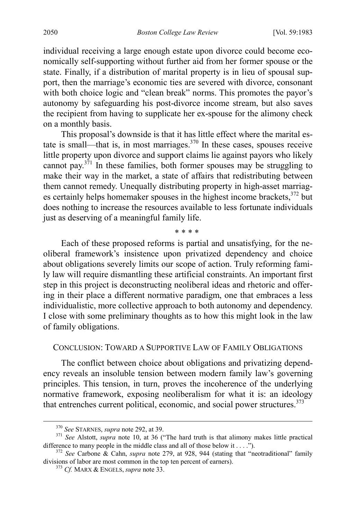individual receiving a large enough estate upon divorce could become economically self-supporting without further aid from her former spouse or the state. Finally, if a distribution of marital property is in lieu of spousal support, then the marriage's economic ties are severed with divorce, consonant with both choice logic and "clean break" norms. This promotes the payor's autonomy by safeguarding his post-divorce income stream, but also saves the recipient from having to supplicate her ex-spouse for the alimony check on a monthly basis.

This proposal's downside is that it has little effect where the marital estate is small—that is, in most marriages. $370$  In these cases, spouses receive little property upon divorce and support claims lie against payors who likely cannot pay. $3^{5}$ <sup>1</sup> In these families, both former spouses may be struggling to make their way in the market, a state of affairs that redistributing between them cannot remedy. Unequally distributing property in high-asset marriages certainly helps homemaker spouses in the highest income brackets, $372$  but does nothing to increase the resources available to less fortunate individuals just as deserving of a meaningful family life.

Each of these proposed reforms is partial and unsatisfying, for the neoliberal framework's insistence upon privatized dependency and choice about obligations severely limits our scope of action. Truly reforming family law will require dismantling these artificial constraints. An important first step in this project is deconstructing neoliberal ideas and rhetoric and offering in their place a different normative paradigm, one that embraces a less individualistic, more collective approach to both autonomy and dependency. I close with some preliminary thoughts as to how this might look in the law of family obligations.

<span id="page-68-0"></span>\* \* \* \*

#### CONCLUSION: TOWARD A SUPPORTIVE LAW OF FAMILY OBLIGATIONS

The conflict between choice about obligations and privatizing dependency reveals an insoluble tension between modern family law's governing principles. This tension, in turn, proves the incoherence of the underlying normative framework, exposing neoliberalism for what it is: an ideology that entrenches current political, economic, and social power structures.<sup>373</sup>

<sup>370</sup> *See* STARNES, *supra* not[e 292,](#page-52-1) at 39. <sup>371</sup> *See* Alstott, *supra* note [10,](#page-4-0) at 36 ("The hard truth is that alimony makes little practical difference to many people in the middle class and all of those below it . . . .").<br><sup>372</sup> *See* Carbone & Cahn, *supra* note [279,](#page-50-0) at 928, 944 (stating that "neotraditional" family

divisions of labor are most common in the top ten percent of earners). <sup>373</sup> *Cf.* MARX & ENGELS, *supra* note [33.](#page-8-0)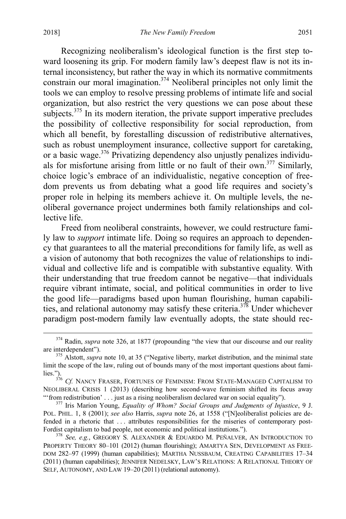Recognizing neoliberalism's ideological function is the first step toward loosening its grip. For modern family law's deepest flaw is not its internal inconsistency, but rather the way in which its normative commitments constrain our moral imagination.<sup>374</sup> Neoliberal principles not only limit the tools we can employ to resolve pressing problems of intimate life and social organization, but also restrict the very questions we can pose about these subjects.<sup>375</sup> In its modern iteration, the private support imperative precludes the possibility of collective responsibility for social reproduction, from which all benefit, by forestalling discussion of redistributive alternatives, such as robust unemployment insurance, collective support for caretaking, or a basic wage.<sup>376</sup> Privatizing dependency also unjustly penalizes individuals for misfortune arising from little or no fault of their own.<sup>377</sup> Similarly, choice logic's embrace of an individualistic, negative conception of freedom prevents us from debating what a good life requires and society's proper role in helping its members achieve it. On multiple levels, the neoliberal governance project undermines both family relationships and collective life.

Freed from neoliberal constraints, however, we could restructure family law to *support* intimate life. Doing so requires an approach to dependency that guarantees to all the material preconditions for family life, as well as a vision of autonomy that both recognizes the value of relationships to individual and collective life and is compatible with substantive equality. With their understanding that true freedom cannot be negative—that individuals require vibrant intimate, social, and political communities in order to live the good life—paradigms based upon human flourishing, human capabilities, and relational autonomy may satisfy these criteria.<sup>378</sup> Under whichever paradigm post-modern family law eventually adopts, the state should rec-

<sup>&</sup>lt;sup>374</sup> Radin, *supra* note [326,](#page-60-0) at 1877 (propounding "the view that our discourse and our reality are interdependent").<br><sup>375</sup> Alstott, *supra* note [10,](#page-4-0) at 35 ("Negative liberty, market distribution, and the minimal state

limit the scope of the law, ruling out of bounds many of the most important questions about fami-

lies.").<br><sup>376</sup> *Cf.* Nancy Fraser, Fortunes of Feminism: From State-Managed Capitalism to NEOLIBERAL CRISIS 1 (2013) (describing how second-wave feminism shifted its focus away "'from redistribution' . . . just as a rising neoliberalism declared war on social equality"). <sup>377</sup> Iris Marion Young, *Equality of Whom? Social Groups and Judgments of Injustice*, 9 J.

POL. PHIL. 1, 8 (2001); *see also* Harris, *supra* note [26,](#page-7-4) at 1558 ("[N]eoliberalist policies are defended in a rhetoric that ... attributes responsibilities for the miseries of contemporary post-<br>Fordist capitalism to bad people, not economic and political institutions.").

<sup>&</sup>lt;sup>378</sup> See, e.g., GREGORY S. ALEXANDER & EDUARDO M. PEÑALVER, AN INTRODUCTION TO PROPERTY THEORY 80–101 (2012) (human flourishing); AMARTYA SEN, DEVELOPMENT AS FREE-DOM 282–97 (1999) (human capabilities); MARTHA NUSSBAUM, CREATING CAPABILITIES 17–34 (2011) (human capabilities); JENNIFER NEDELSKY, LAW'S RELATIONS: A RELATIONAL THEORY OF SELF, AUTONOMY, AND LAW 19–20 (2011) (relational autonomy).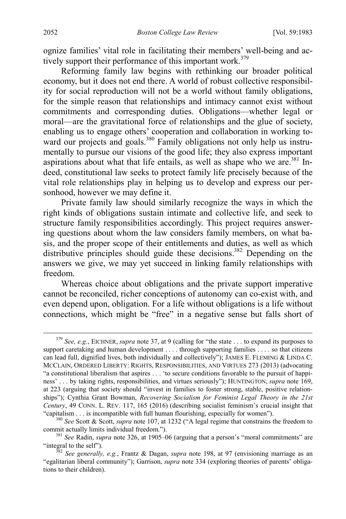ognize families' vital role in facilitating their members' well-being and actively support their performance of this important work.<sup>379</sup>

Reforming family law begins with rethinking our broader political economy, but it does not end there. A world of robust collective responsibility for social reproduction will not be a world without family obligations, for the simple reason that relationships and intimacy cannot exist without commitments and corresponding duties. Obligations—whether legal or moral—are the gravitational force of relationships and the glue of society, enabling us to engage others' cooperation and collaboration in working toward our projects and goals.<sup>380</sup> Family obligations not only help us instrumentally to pursue our visions of the good life; they also express important aspirations about what that life entails, as well as shape who we are.<sup>381</sup> Indeed, constitutional law seeks to protect family life precisely because of the vital role relationships play in helping us to develop and express our personhood, however we may define it.

Private family law should similarly recognize the ways in which the right kinds of obligations sustain intimate and collective life, and seek to structure family responsibilities accordingly. This project requires answering questions about whom the law considers family members, on what basis, and the proper scope of their entitlements and duties, as well as which distributive principles should guide these decisions.<sup>382</sup> Depending on the answers we give, we may yet succeed in linking family relationships with freedom.

Whereas choice about obligations and the private support imperative cannot be reconciled, richer conceptions of autonomy can co-exist with, and even depend upon, obligation. For a life without obligations is a life without connections, which might be "free" in a negative sense but falls short of

 <sup>379</sup> *See, e.g.*, EICHNER, *supra* note [37,](#page-10-0) at 9 (calling for "the state . . . to expand its purposes to support caretaking and human development . . . . through supporting families . . . . so that citizens can lead full, dignified lives, both individually and collectively"); JAMES E. FLEMING & LINDA C. MCCLAIN, ORDERED LIBERTY: RIGHTS, RESPONSIBILITIES, AND VIRTUES 273 (2013) (advocating "a constitutional liberalism that aspires . . . 'to secure conditions favorable to the pursuit of happiness' . . . by taking rights, responsibilities, and virtues seriously"); HUNTINGTON, *supra* note [169,](#page-30-0) at 223 (arguing that society should "invest in families to foster strong, stable, positive relationships"); Cynthia Grant Bowman, *Recovering Socialism for Feminist Legal Theory in the 21st Century*, 49 CONN. L. REV. 117, 165 (2016) (describing socialist feminism's crucial insight that

<sup>&</sup>quot;capitalism . . . is incompatible with full human flourishing, especially for women").<br><sup>380</sup> *See* Scott & Scott, *supra* note [107,](#page-20-3) at 1232 ("A legal regime that constrains the freedom to commit actually limits individual

<sup>&</sup>lt;sup>381</sup> *See* Radin, *supra* note [326,](#page-60-0) at 1905–06 (arguing that a person's "moral commitments" are "integral to the self").

<sup>&</sup>lt;sup>582</sup> See generally, e.g., Frantz & Dagan, *supra* note [198,](#page-36-1) at 97 (envisioning marriage as an "egalitarian liberal community"); Garrison, *supra* note [334](#page-61-2) (exploring theories of parents' obligations to their children).